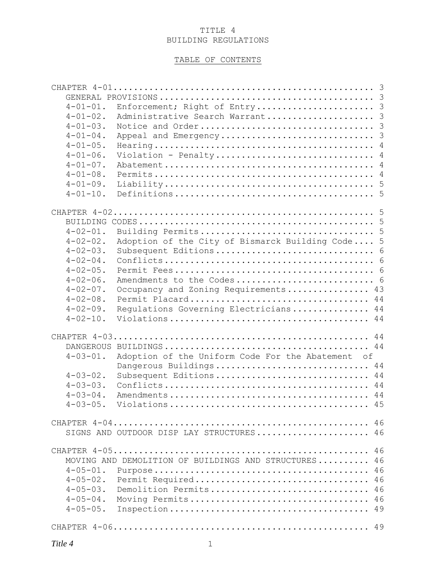## TITLE 4 BUILDING REGULATIONS

# TABLE OF CONTENTS

| $4 - 01 - 01$ . | Enforcement; Right of Entry 3                        |
|-----------------|------------------------------------------------------|
| $4 - 01 - 02$ . | Administrative Search Warrant 3                      |
| $4 - 01 - 03$ . |                                                      |
| $4 - 01 - 04$ . |                                                      |
| $4 - 01 - 05$ . |                                                      |
| $4 - 01 - 06$ . | Violation - Penalty 4                                |
| $4 - 01 - 07$ . |                                                      |
| $4 - 01 - 08$ . |                                                      |
| $4 - 01 - 09$ . |                                                      |
| $4 - 01 - 10$ . |                                                      |
|                 |                                                      |
|                 |                                                      |
|                 |                                                      |
| $4 - 02 - 01$ . |                                                      |
| $4 - 02 - 02$ . | Adoption of the City of Bismarck Building Code 5     |
| $4 - 02 - 03$ . |                                                      |
|                 |                                                      |
| $4 - 02 - 04$ . |                                                      |
| $4 - 02 - 05$ . |                                                      |
| $4 - 02 - 06$ . | Amendments to the Codes 6                            |
| $4 - 02 - 07$ . | 43<br>Occupancy and Zoning Requirements              |
| $4 - 02 - 08$ . | Permit Placard 44                                    |
| $4 - 02 - 09$ . | Regulations Governing Electricians 44                |
| $4 - 02 - 10$ . |                                                      |
|                 |                                                      |
|                 | 44                                                   |
|                 |                                                      |
| $4 - 03 - 01$ . | Adoption of the Uniform Code For the Abatement of    |
|                 | Dangerous Buildings<br>44                            |
| $4 - 03 - 02$ . | Subsequent Editions 44                               |
| $4 - 03 - 03$ . |                                                      |
| $4 - 03 - 04$ . |                                                      |
|                 |                                                      |
|                 |                                                      |
|                 |                                                      |
|                 | SIGNS AND OUTDOOR DISP LAY STRUCTURES 46             |
|                 |                                                      |
|                 | MOVING AND DEMOLITION OF BUILDINGS AND STRUCTURES 46 |
|                 |                                                      |
|                 |                                                      |
| $4 - 05 - 02$ . | Permit Required 46                                   |
| $4 - 05 - 03$ . | Demolition Permits 46                                |
| $4 - 05 - 04$ . | Moving Permits 46                                    |
| $4 - 05 - 05$ . |                                                      |
|                 |                                                      |
|                 |                                                      |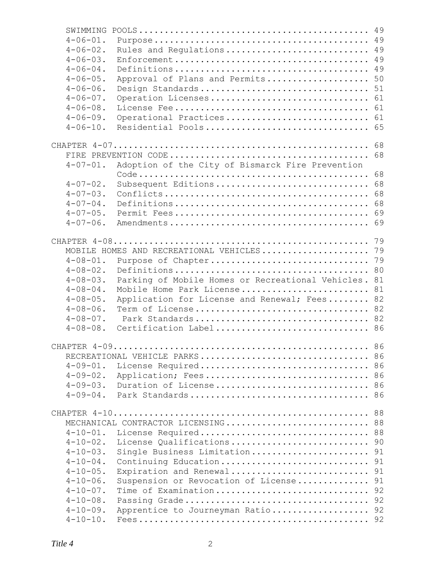| SWIMMING        |                                                   | 49 |
|-----------------|---------------------------------------------------|----|
| $4 - 06 - 01$ . |                                                   | 49 |
| $4 - 06 - 02$ . | Rules and Regulations                             | 49 |
| $4 - 06 - 03$ . |                                                   | 49 |
| $4 - 06 - 04$ . |                                                   | 49 |
| $4 - 06 - 05$ . | Approval of Plans and Permits                     | 50 |
| $4 - 06 - 06$ . | Design Standards                                  | 51 |
| $4 - 06 - 07$ . | Operation Licenses                                | 61 |
| $4 - 06 - 08$ . |                                                   | 61 |
| $4 - 06 - 09$ . | Operational Practices                             | 61 |
| $4 - 06 - 10$ . | Residential Pools                                 | 65 |
|                 |                                                   | 68 |
|                 |                                                   | 68 |
| $4 - 07 - 01$ . | Adoption of the City of Bismarck Fire Prevention  |    |
|                 |                                                   | 68 |
| $4 - 07 - 02$ . | Subsequent Editions                               | 68 |
| $4 - 07 - 03$ . |                                                   | 68 |
| $4 - 07 - 04$ . |                                                   | 68 |
| $4 - 07 - 05$ . |                                                   | 69 |
| $4 - 07 - 06$ . |                                                   | 69 |
|                 |                                                   | 79 |
|                 | MOBILE HOMES AND RECREATIONAL VEHICLES            | 79 |
| $4 - 08 - 01$ . | Purpose of Chapter                                | 79 |
| $4 - 08 - 02$ . |                                                   | 80 |
| $4 - 08 - 03$ . | Parking of Mobile Homes or Recreational Vehicles. | 81 |
| $4 - 08 - 04$ . | Mobile Home Park License                          | 81 |
| $4 - 08 - 05$ . | Application for License and Renewal; Fees         | 82 |
| $4 - 08 - 06$ . | Term of License                                   | 82 |
| $4 - 08 - 07$ . | Park Standards                                    | 82 |
| $4 - 08 - 08$ . | Certification Label 86                            |    |
|                 |                                                   | 86 |
|                 | RECREATIONAL VEHICLE PARKS 86                     |    |
| $4 - 09 - 01$ . | License Required 86                               |    |
| $4 - 09 - 02$ . | Application; Fees 86                              |    |
| $4 - 09 - 03$ . | Duration of License 86                            |    |
| $4 - 09 - 04$ . |                                                   |    |
|                 |                                                   | 88 |
|                 | MECHANICAL CONTRACTOR LICENSING                   | 88 |
| $4 - 10 - 01$ . | License Required                                  | 88 |
| $4 - 10 - 02$ . | License Qualifications                            | 90 |
| $4 - 10 - 03$ . | Single Business Limitation                        | 91 |
| $4 - 10 - 04$ . | Continuing Education                              | 91 |
| $4 - 10 - 05$ . | Expiration and Renewal                            | 91 |
| $4 - 10 - 06$ . | Suspension or Revocation of License               | 91 |
| $4 - 10 - 07$ . | Time of Examination                               | 92 |
| $4 - 10 - 08$ . |                                                   | 92 |
| $4 - 10 - 09$ . | Apprentice to Journeyman Ratio 92                 |    |
| $4 - 10 - 10$ . |                                                   |    |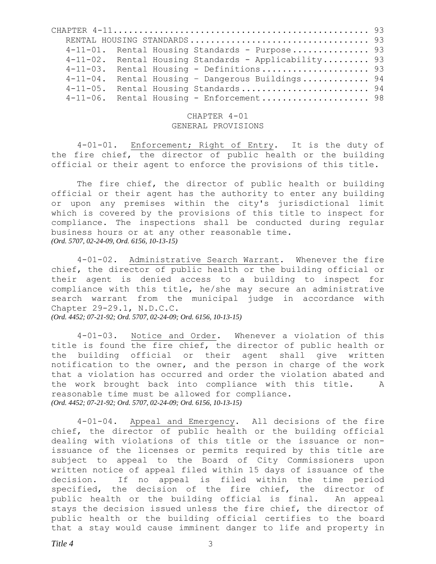|                 |  | 4-11-01. Rental Housing Standards - Purpose 93       |  |
|-----------------|--|------------------------------------------------------|--|
|                 |  | 4-11-02. Rental Housing Standards - Applicability 93 |  |
|                 |  | 4-11-03. Rental Housing - Definitions 93             |  |
| $4 - 11 - 04$ . |  | Rental Housing - Dangerous Buildings 94              |  |
| $4 - 11 - 05$ . |  | Rental Housing Standards 94                          |  |
|                 |  | $4-11-06$ . Rental Housing - Enforcement 98          |  |

#### <span id="page-2-3"></span><span id="page-2-2"></span><span id="page-2-1"></span><span id="page-2-0"></span>CHAPTER 4-01 GENERAL PROVISIONS

4-01-01. Enforcement; Right of Entry. It is the duty of the fire chief, the director of public health or the building official or their agent to enforce the provisions of this title.

The fire chief, the director of public health or building official or their agent has the authority to enter any building or upon any premises within the city's jurisdictional limit which is covered by the provisions of this title to inspect for compliance. The inspections shall be conducted during regular business hours or at any other reasonable time. *(Ord. 5707, 02-24-09, Ord. 6156, 10-13-15)*

4-01-02. Administrative Search Warrant. Whenever the fire chief, the director of public health or the building official or their agent is denied access to a building to inspect for compliance with this title, he/she may secure an administrative search warrant from the municipal judge in accordance with Chapter 29-29.1, N.D.C.C. *(Ord. 4452; 07-21-92; Ord. 5707, 02-24-09; Ord. 6156, 10-13-15)*

<span id="page-2-4"></span>4-01-03. Notice and Order. Whenever a violation of this title is found the fire chief, the director of public health or the building official or their agent shall give written notification to the owner, and the person in charge of the work that a violation has occurred and order the violation abated and the work brought back into compliance with this title. A reasonable time must be allowed for compliance. *(Ord. 4452; 07-21-92; Ord. 5707, 02-24-09; Ord. 6156, 10-13-15)*

<span id="page-2-5"></span>4-01-04. Appeal and Emergency. All decisions of the fire chief, the director of public health or the building official dealing with violations of this title or the issuance or nonissuance of the licenses or permits required by this title are subject to appeal to the Board of City Commissioners upon written notice of appeal filed within 15 days of issuance of the decision. If no appeal is filed within the time period specified, the decision of the fire chief, the director of public health or the building official is final. An appeal stays the decision issued unless the fire chief, the director of public health or the building official certifies to the board that a stay would cause imminent danger to life and property in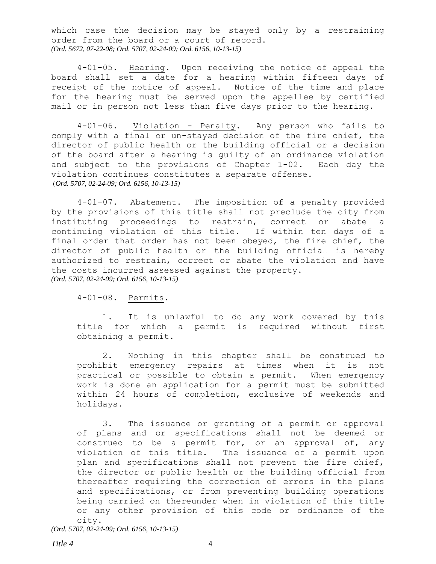which case the decision may be stayed only by a restraining order from the board or a court of record. *(Ord. 5672, 07-22-08; Ord. 5707, 02-24-09; Ord. 6156, 10-13-15)*

<span id="page-3-0"></span>4-01-05. Hearing. Upon receiving the notice of appeal the board shall set a date for a hearing within fifteen days of receipt of the notice of appeal. Notice of the time and place for the hearing must be served upon the appellee by certified mail or in person not less than five days prior to the hearing.

<span id="page-3-1"></span>4-01-06. Violation - Penalty. Any person who fails to comply with a final or un-stayed decision of the fire chief, the director of public health or the building official or a decision of the board after a hearing is guilty of an ordinance violation and subject to the provisions of Chapter 1-02. Each day the violation continues constitutes a separate offense. (*Ord. 5707, 02-24-09; Ord. 6156, 10-13-15)*

<span id="page-3-2"></span>4-01-07. Abatement. The imposition of a penalty provided by the provisions of this title shall not preclude the city from instituting proceedings to restrain, correct or abate a continuing violation of this title. If within ten days of a final order that order has not been obeyed, the fire chief, the director of public health or the building official is hereby authorized to restrain, correct or abate the violation and have the costs incurred assessed against the property. *(Ord. 5707, 02-24-09; Ord. 6156, 10-13-15)*

<span id="page-3-3"></span>4-01-08. Permits.

1. It is unlawful to do any work covered by this title for which a permit is required without first obtaining a permit.

2. Nothing in this chapter shall be construed to prohibit emergency repairs at times when it is not practical or possible to obtain a permit. When emergency work is done an application for a permit must be submitted within 24 hours of completion, exclusive of weekends and holidays.

3. The issuance or granting of a permit or approval of plans and or specifications shall not be deemed or construed to be a permit for, or an approval of, any violation of this title. The issuance of a permit upon plan and specifications shall not prevent the fire chief, the director or public health or the building official from thereafter requiring the correction of errors in the plans and specifications, or from preventing building operations being carried on thereunder when in violation of this title or any other provision of this code or ordinance of the city.

*(Ord. 5707, 02-24-09; Ord. 6156, 10-13-15)*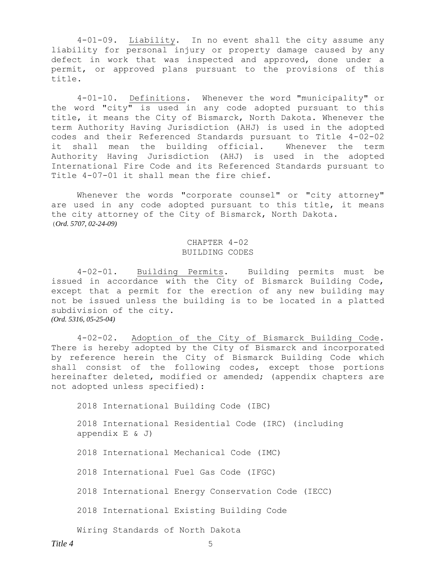<span id="page-4-0"></span>4-01-09. Liability. In no event shall the city assume any liability for personal injury or property damage caused by any defect in work that was inspected and approved, done under a permit, or approved plans pursuant to the provisions of this title.

<span id="page-4-1"></span>4-01-10. Definitions. Whenever the word "municipality" or the word "city" is used in any code adopted pursuant to this title, it means the City of Bismarck, North Dakota. Whenever the term Authority Having Jurisdiction (AHJ) is used in the adopted codes and their Referenced Standards pursuant to Title 4-02-02 it shall mean the building official. Whenever the term Authority Having Jurisdiction (AHJ) is used in the adopted International Fire Code and its Referenced Standards pursuant to Title 4-07-01 it shall mean the fire chief.

Whenever the words "corporate counsel" or "city attorney" are used in any code adopted pursuant to this title, it means the city attorney of the City of Bismarck, North Dakota. (*Ord. 5707, 02-24-09)*

### <span id="page-4-5"></span><span id="page-4-4"></span><span id="page-4-3"></span><span id="page-4-2"></span>CHAPTER 4-02 BUILDING CODES

4-02-01. Building Permits. Building permits must be issued in accordance with the City of Bismarck Building Code, except that a permit for the erection of any new building may not be issued unless the building is to be located in a platted subdivision of the city. *(Ord. 5316, 05-25-04)*

4-02-02. Adoption of the City of Bismarck Building Code. There is hereby adopted by the City of Bismarck and incorporated by reference herein the City of Bismarck Building Code which shall consist of the following codes, except those portions hereinafter deleted, modified or amended; (appendix chapters are not adopted unless specified):

2018 International Building Code (IBC)

2018 International Residential Code (IRC) (including appendix E & J)

2018 International Mechanical Code (IMC)

2018 International Fuel Gas Code (IFGC)

2018 International Energy Conservation Code (IECC)

2018 International Existing Building Code

Wiring Standards of North Dakota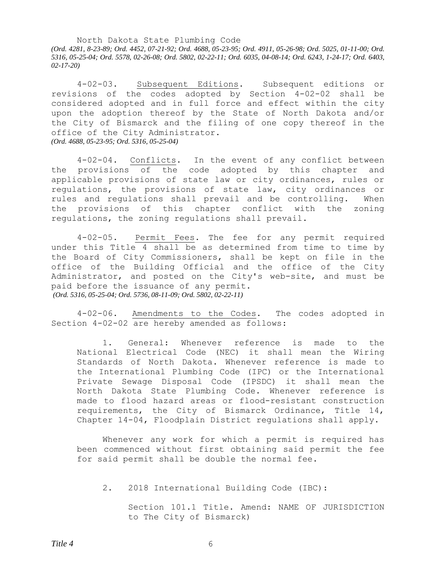North Dakota State Plumbing Code *(Ord. 4281, 8-23-89; Ord. 4452, 07-21-92; Ord. 4688, 05-23-95; Ord. 4911, 05-26-98; Ord. 5025, 01-11-00; Ord. 5316, 05-25-04; Ord. 5578, 02-26-08; Ord. 5802, 02-22-11; Ord. 6035, 04-08-14; Ord. 6243, 1-24-17; Ord. 6403, 02-17-20)*

<span id="page-5-0"></span>4-02-03. Subsequent Editions. Subsequent editions or revisions of the codes adopted by Section 4-02-02 shall be considered adopted and in full force and effect within the city upon the adoption thereof by the State of North Dakota and/or the City of Bismarck and the filing of one copy thereof in the office of the City Administrator. *(Ord. 4688, 05-23-95; Ord. 5316, 05-25-04)*

<span id="page-5-1"></span>4-02-04. Conflicts. In the event of any conflict between the provisions of the code adopted by this chapter and applicable provisions of state law or city ordinances, rules or regulations, the provisions of state law, city ordinances or rules and regulations shall prevail and be controlling. When the provisions of this chapter conflict with the zoning regulations, the zoning regulations shall prevail.

<span id="page-5-2"></span>4-02-05. Permit Fees. The fee for any permit required under this Title 4 shall be as determined from time to time by the Board of City Commissioners, shall be kept on file in the office of the Building Official and the office of the City Administrator, and posted on the City's web-site, and must be paid before the issuance of any permit. *(Ord. 5316, 05-25-04; Ord. 5736, 08-11-09; Ord. 5802, 02-22-11)*

4-02-06. Amendments to the Codes. The codes adopted in Section 4-02-02 are hereby amended as follows:

<span id="page-5-3"></span>1. General: Whenever reference is made to the National Electrical Code (NEC) it shall mean the Wiring Standards of North Dakota. Whenever reference is made to the International Plumbing Code (IPC) or the International Private Sewage Disposal Code (IPSDC) it shall mean the North Dakota State Plumbing Code. Whenever reference is made to flood hazard areas or flood-resistant construction requirements, the City of Bismarck Ordinance, Title 14, Chapter 14-04, Floodplain District regulations shall apply.

Whenever any work for which a permit is required has been commenced without first obtaining said permit the fee for said permit shall be double the normal fee.

2. 2018 International Building Code (IBC):

Section 101.1 Title. Amend: NAME OF JURISDICTION to The City of Bismarck)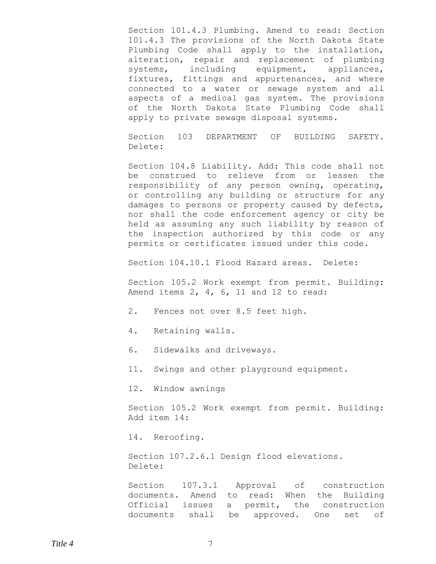Section 101.4.3 Plumbing. Amend to read: Section 101.4.3 The provisions of the North Dakota State Plumbing Code shall apply to the installation, alteration, repair and replacement of plumbing systems, including equipment, appliances, fixtures, fittings and appurtenances, and where connected to a water or sewage system and all aspects of a medical gas system. The provisions of the North Dakota State Plumbing Code shall apply to private sewage disposal systems.

Section 103 DEPARTMENT OF BUILDING SAFETY. Delete:

Section 104.8 Liability. Add: This code shall not be construed to relieve from or lessen the responsibility of any person owning, operating, or controlling any building or structure for any damages to persons or property caused by defects, nor shall the code enforcement agency or city be held as assuming any such liability by reason of the inspection authorized by this code or any permits or certificates issued under this code.

Section 104.10.1 Flood Hazard areas. Delete:

Section 105.2 Work exempt from permit. Building: Amend items 2, 4, 6, 11 and 12 to read:

2. Fences not over 8.5 feet high.

4. Retaining walls.

6. Sidewalks and driveways.

11. Swings and other playground equipment.

12. Window awnings

Section 105.2 Work exempt from permit. Building: Add item 14:

14. Reroofing.

Section 107.2.6.1 Design flood elevations. Delete:

Section 107.3.1 Approval of construction documents. Amend to read: When the Building Official issues a permit, the construction documents shall be approved. One set of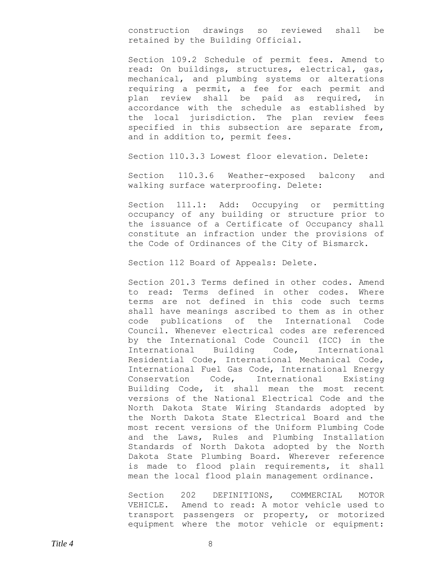construction drawings so reviewed shall be retained by the Building Official.

Section 109.2 Schedule of permit fees. Amend to read: On buildings, structures, electrical, gas, mechanical, and plumbing systems or alterations requiring a permit, a fee for each permit and plan review shall be paid as required, in accordance with the schedule as established by the local jurisdiction. The plan review fees specified in this subsection are separate from, and in addition to, permit fees.

Section 110.3.3 Lowest floor elevation. Delete:

Section 110.3.6 Weather-exposed balcony and walking surface waterproofing. Delete:

Section 111.1: Add: Occupying or permitting occupancy of any building or structure prior to the issuance of a Certificate of Occupancy shall constitute an infraction under the provisions of the Code of Ordinances of the City of Bismarck.

Section 112 Board of Appeals: Delete.

Section 201.3 Terms defined in other codes. Amend to read: Terms defined in other codes. Where terms are not defined in this code such terms shall have meanings ascribed to them as in other code publications of the International Code Council. Whenever electrical codes are referenced by the International Code Council (ICC) in the International Building Code, International Residential Code, International Mechanical Code, International Fuel Gas Code, International Energy Conservation Code, International Existing Building Code, it shall mean the most recent versions of the National Electrical Code and the North Dakota State Wiring Standards adopted by the North Dakota State Electrical Board and the most recent versions of the Uniform Plumbing Code and the Laws, Rules and Plumbing Installation Standards of North Dakota adopted by the North Dakota State Plumbing Board. Wherever reference is made to flood plain requirements, it shall mean the local flood plain management ordinance.

Section 202 DEFINITIONS, COMMERCIAL MOTOR VEHICLE. Amend to read: A motor vehicle used to transport passengers or property, or motorized equipment where the motor vehicle or equipment: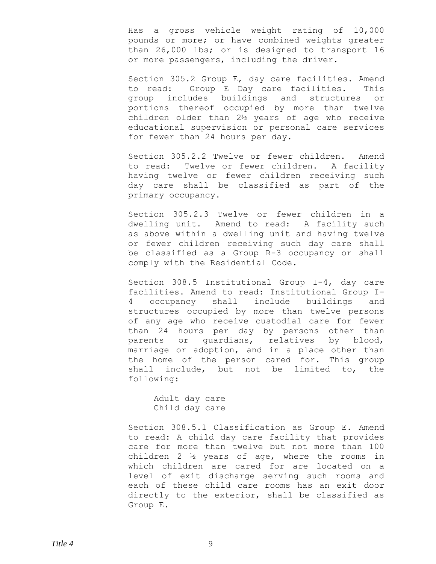Has a gross vehicle weight rating of 10,000 pounds or more; or have combined weights greater than 26,000 lbs; or is designed to transport 16 or more passengers, including the driver.

Section 305.2 Group E, day care facilities. Amend to read: Group E Day care facilities. This group includes buildings and structures or portions thereof occupied by more than twelve children older than 2½ years of age who receive educational supervision or personal care services for fewer than 24 hours per day.

Section 305.2.2 Twelve or fewer children. Amend to read: Twelve or fewer children. A facility having twelve or fewer children receiving such day care shall be classified as part of the primary occupancy.

Section 305.2.3 Twelve or fewer children in a dwelling unit. Amend to read: A facility such as above within a dwelling unit and having twelve or fewer children receiving such day care shall be classified as a Group R-3 occupancy or shall comply with the Residential Code.

Section 308.5 Institutional Group I-4, day care facilities. Amend to read: Institutional Group I-4 occupancy shall include buildings and structures occupied by more than twelve persons of any age who receive custodial care for fewer than 24 hours per day by persons other than parents or guardians, relatives by blood, marriage or adoption, and in a place other than the home of the person cared for. This group shall include, but not be limited to, the following:

Adult day care Child day care

Section 308.5.1 Classification as Group E. Amend to read: A child day care facility that provides care for more than twelve but not more than 100 children 2 ½ years of age, where the rooms in which children are cared for are located on a level of exit discharge serving such rooms and each of these child care rooms has an exit door directly to the exterior, shall be classified as Group E.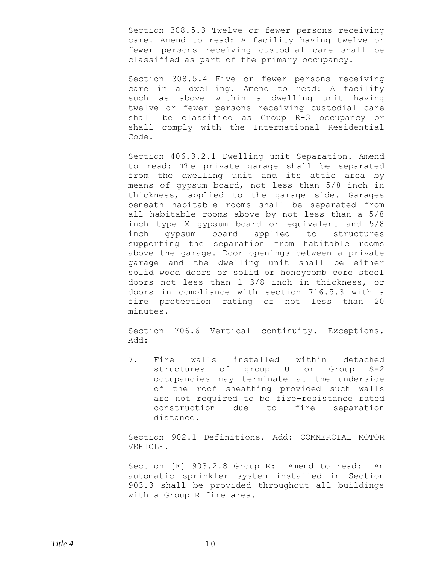Section 308.5.3 Twelve or fewer persons receiving care. Amend to read: A facility having twelve or fewer persons receiving custodial care shall be classified as part of the primary occupancy.

Section 308.5.4 Five or fewer persons receiving care in a dwelling. Amend to read: A facility such as above within a dwelling unit having twelve or fewer persons receiving custodial care shall be classified as Group R-3 occupancy or shall comply with the International Residential Code.

Section 406.3.2.1 Dwelling unit Separation. Amend to read: The private garage shall be separated from the dwelling unit and its attic area by means of gypsum board, not less than 5/8 inch in thickness, applied to the garage side. Garages beneath habitable rooms shall be separated from all habitable rooms above by not less than a 5/8 inch type X gypsum board or equivalent and 5/8 inch gypsum board applied to structures supporting the separation from habitable rooms above the garage. Door openings between a private garage and the dwelling unit shall be either solid wood doors or solid or honeycomb core steel doors not less than 1 3/8 inch in thickness, or doors in compliance with section 716.5.3 with a fire protection rating of not less than 20 minutes.

Section 706.6 Vertical continuity. Exceptions. Add:

7. Fire walls installed within detached structures of group U or Group S-2 occupancies may terminate at the underside of the roof sheathing provided such walls are not required to be fire-resistance rated construction due to fire separation distance.

Section 902.1 Definitions. Add: COMMERCIAL MOTOR VEHICLE.

Section [F] 903.2.8 Group R: Amend to read: An automatic sprinkler system installed in Section 903.3 shall be provided throughout all buildings with a Group R fire area.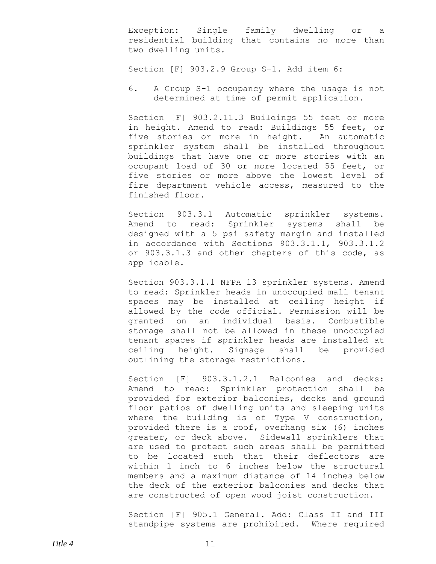Exception: Single family dwelling or a residential building that contains no more than two dwelling units.

Section [F] 903.2.9 Group S-1. Add item 6:

6. A Group S-1 occupancy where the usage is not determined at time of permit application.

Section [F] 903.2.11.3 Buildings 55 feet or more in height. Amend to read: Buildings 55 feet, or five stories or more in height. An automatic sprinkler system shall be installed throughout buildings that have one or more stories with an occupant load of 30 or more located 55 feet, or five stories or more above the lowest level of fire department vehicle access, measured to the finished floor.

Section 903.3.1 Automatic sprinkler systems. Amend to read: Sprinkler systems shall be designed with a 5 psi safety margin and installed in accordance with Sections 903.3.1.1, 903.3.1.2 or 903.3.1.3 and other chapters of this code, as applicable.

Section 903.3.1.1 NFPA 13 sprinkler systems. Amend to read: Sprinkler heads in unoccupied mall tenant spaces may be installed at ceiling height if allowed by the code official. Permission will be granted on an individual basis. Combustible storage shall not be allowed in these unoccupied tenant spaces if sprinkler heads are installed at ceiling height. Signage shall be provided outlining the storage restrictions.

Section [F] 903.3.1.2.1 Balconies and decks: Amend to read: Sprinkler protection shall be provided for exterior balconies, decks and ground floor patios of dwelling units and sleeping units where the building is of Type V construction, provided there is a roof, overhang six (6) inches greater, or deck above. Sidewall sprinklers that are used to protect such areas shall be permitted to be located such that their deflectors are within 1 inch to 6 inches below the structural members and a maximum distance of 14 inches below the deck of the exterior balconies and decks that are constructed of open wood joist construction.

Section [F] 905.1 General. Add: Class II and III standpipe systems are prohibited. Where required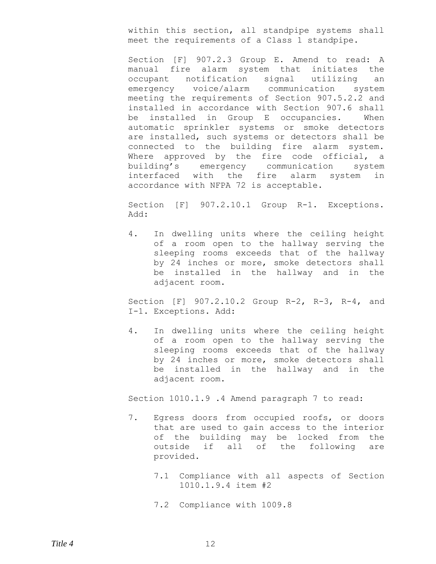within this section, all standpipe systems shall meet the requirements of a Class 1 standpipe.

Section [F] 907.2.3 Group E. Amend to read: A manual fire alarm system that initiates the occupant notification signal utilizing an emergency voice/alarm communication system meeting the requirements of Section 907.5.2.2 and installed in accordance with Section 907.6 shall be installed in Group E occupancies. When automatic sprinkler systems or smoke detectors are installed, such systems or detectors shall be connected to the building fire alarm system. Where approved by the fire code official, a building's emergency communication system interfaced with the fire alarm system in accordance with NFPA 72 is acceptable.

Section [F] 907.2.10.1 Group R-1. Exceptions. Add:

4. In dwelling units where the ceiling height of a room open to the hallway serving the sleeping rooms exceeds that of the hallway by 24 inches or more, smoke detectors shall be installed in the hallway and in the adjacent room.

Section [F] 907.2.10.2 Group R-2, R-3, R-4, and I-1. Exceptions. Add:

4. In dwelling units where the ceiling height of a room open to the hallway serving the sleeping rooms exceeds that of the hallway by 24 inches or more, smoke detectors shall be installed in the hallway and in the adjacent room.

Section 1010.1.9 .4 Amend paragraph 7 to read:

- 7. Egress doors from occupied roofs, or doors that are used to gain access to the interior of the building may be locked from the outside if all of the following are provided.
	- 7.1 Compliance with all aspects of Section 1010.1.9.4 item #2
	- 7.2 Compliance with 1009.8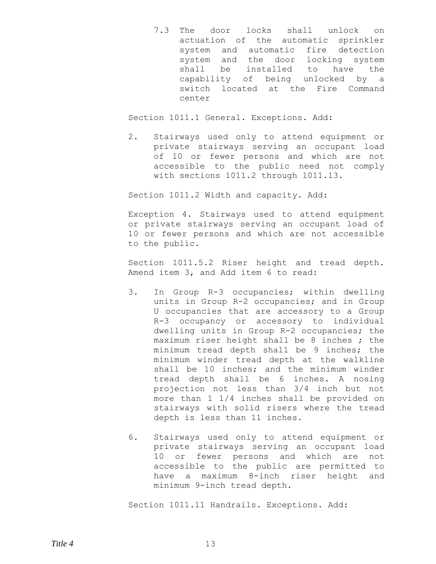7.3 The door locks shall unlock on actuation of the automatic sprinkler system and automatic fire detection system and the door locking system shall be installed to have the capability of being unlocked by a switch located at the Fire Command center

Section 1011.1 General. Exceptions. Add:

2. Stairways used only to attend equipment or private stairways serving an occupant load of 10 or fewer persons and which are not accessible to the public need not comply with sections 1011.2 through 1011.13.

Section 1011.2 Width and capacity. Add:

Exception 4. Stairways used to attend equipment or private stairways serving an occupant load of 10 or fewer persons and which are not accessible to the public.

Section 1011.5.2 Riser height and tread depth. Amend item 3, and Add item 6 to read:

- 3. In Group R-3 occupancies; within dwelling units in Group R-2 occupancies; and in Group U occupancies that are accessory to a Group R-3 occupancy or accessory to individual dwelling units in Group R-2 occupancies; the maximum riser height shall be 8 inches ; the minimum tread depth shall be 9 inches; the minimum winder tread depth at the walkline shall be 10 inches; and the minimum winder tread depth shall be 6 inches. A nosing projection not less than 3/4 inch but not more than 1 1/4 inches shall be provided on stairways with solid risers where the tread depth is less than 11 inches.
- 6. Stairways used only to attend equipment or private stairways serving an occupant load 10 or fewer persons and which are not accessible to the public are permitted to have a maximum 8-inch riser height and minimum 9-inch tread depth.

Section 1011.11 Handrails. Exceptions. Add: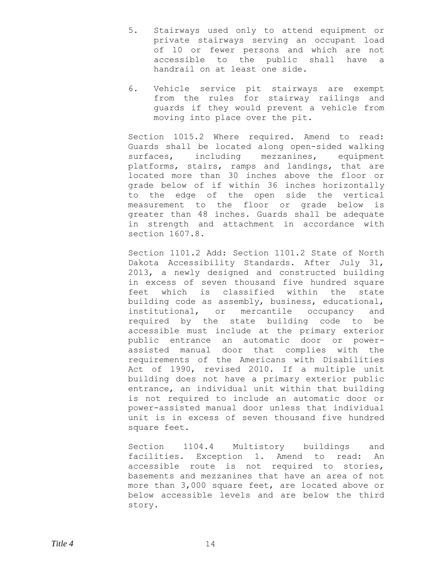- 5. Stairways used only to attend equipment or private stairways serving an occupant load of 10 or fewer persons and which are not accessible to the public shall have a handrail on at least one side.
- 6. Vehicle service pit stairways are exempt from the rules for stairway railings and guards if they would prevent a vehicle from moving into place over the pit.

Section 1015.2 Where required. Amend to read: Guards shall be located along open-sided walking surfaces, including mezzanines, equipment platforms, stairs, ramps and landings, that are located more than 30 inches above the floor or grade below of if within 36 inches horizontally to the edge of the open side the vertical measurement to the floor or grade below is greater than 48 inches. Guards shall be adequate in strength and attachment in accordance with section 1607.8.

Section 1101.2 Add: Section 1101.2 State of North Dakota Accessibility Standards. After July 31, 2013, a newly designed and constructed building in excess of seven thousand five hundred square feet which is classified within the state building code as assembly, business, educational, institutional, or mercantile occupancy and required by the state building code to be accessible must include at the primary exterior public entrance an automatic door or powerassisted manual door that complies with the requirements of the Americans with Disabilities Act of 1990, revised 2010. If a multiple unit building does not have a primary exterior public entrance, an individual unit within that building is not required to include an automatic door or power-assisted manual door unless that individual unit is in excess of seven thousand five hundred square feet.

Section 1104.4 Multistory buildings and facilities. Exception 1. Amend to read: An accessible route is not required to stories, basements and mezzanines that have an area of not more than 3,000 square feet, are located above or below accessible levels and are below the third story.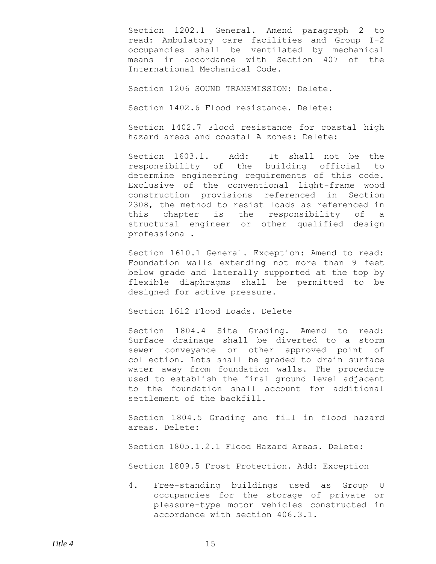Section 1202.1 General. Amend paragraph 2 to read: Ambulatory care facilities and Group I-2 occupancies shall be ventilated by mechanical means in accordance with Section 407 of the International Mechanical Code.

Section 1206 SOUND TRANSMISSION: Delete.

Section 1402.6 Flood resistance. Delete:

Section 1402.7 Flood resistance for coastal high hazard areas and coastal A zones: Delete:

Section 1603.1. Add: It shall not be the responsibility of the building official to determine engineering requirements of this code. Exclusive of the conventional light-frame wood construction provisions referenced in Section 2308, the method to resist loads as referenced in this chapter is the responsibility of a structural engineer or other qualified design professional.

Section 1610.1 General. Exception: Amend to read: Foundation walls extending not more than 9 feet below grade and laterally supported at the top by flexible diaphragms shall be permitted to be designed for active pressure.

Section 1612 Flood Loads. Delete

Section 1804.4 Site Grading. Amend to read: Surface drainage shall be diverted to a storm sewer conveyance or other approved point of collection. Lots shall be graded to drain surface water away from foundation walls. The procedure used to establish the final ground level adjacent to the foundation shall account for additional settlement of the backfill.

Section 1804.5 Grading and fill in flood hazard areas. Delete:

Section 1805.1.2.1 Flood Hazard Areas. Delete:

Section 1809.5 Frost Protection. Add: Exception

4. Free-standing buildings used as Group U occupancies for the storage of private or pleasure-type motor vehicles constructed in accordance with section 406.3.1.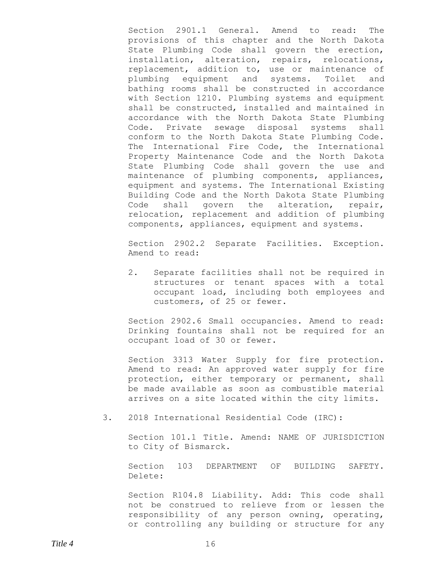Section 2901.1 General. Amend to read: The provisions of this chapter and the North Dakota State Plumbing Code shall govern the erection, installation, alteration, repairs, relocations, replacement, addition to, use or maintenance of plumbing equipment and systems. Toilet and bathing rooms shall be constructed in accordance with Section 1210. Plumbing systems and equipment shall be constructed, installed and maintained in accordance with the North Dakota State Plumbing Code. Private sewage disposal systems shall conform to the North Dakota State Plumbing Code. The International Fire Code, the International Property Maintenance Code and the North Dakota State Plumbing Code shall govern the use and maintenance of plumbing components, appliances, equipment and systems. The International Existing Building Code and the North Dakota State Plumbing Code shall govern the alteration, repair, relocation, replacement and addition of plumbing components, appliances, equipment and systems.

Section 2902.2 Separate Facilities. Exception. Amend to read:

2. Separate facilities shall not be required in structures or tenant spaces with a total occupant load, including both employees and customers, of 25 or fewer.

Section 2902.6 Small occupancies. Amend to read: Drinking fountains shall not be required for an occupant load of 30 or fewer.

Section 3313 Water Supply for fire protection. Amend to read: An approved water supply for fire protection, either temporary or permanent, shall be made available as soon as combustible material arrives on a site located within the city limits.

3. 2018 International Residential Code (IRC):

Section 101.1 Title. Amend: NAME OF JURISDICTION to City of Bismarck.

Section 103 DEPARTMENT OF BUILDING SAFETY. Delete:

Section R104.8 Liability. Add: This code shall not be construed to relieve from or lessen the responsibility of any person owning, operating, or controlling any building or structure for any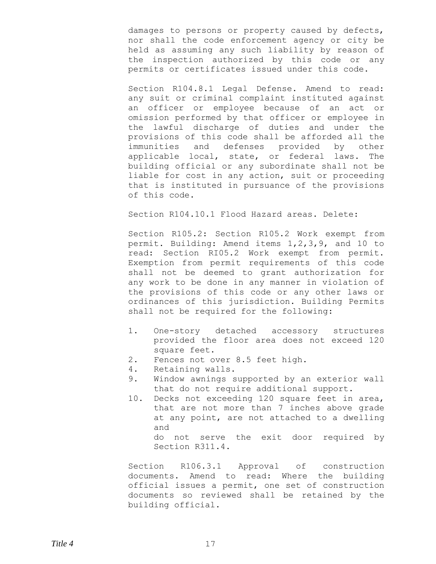damages to persons or property caused by defects, nor shall the code enforcement agency or city be held as assuming any such liability by reason of the inspection authorized by this code or any permits or certificates issued under this code.

Section R104.8.1 Legal Defense. Amend to read: any suit or criminal complaint instituted against an officer or employee because of an act or omission performed by that officer or employee in the lawful discharge of duties and under the provisions of this code shall be afforded all the immunities and defenses provided by other applicable local, state, or federal laws. The building official or any subordinate shall not be liable for cost in any action, suit or proceeding that is instituted in pursuance of the provisions of this code.

Section R104.10.1 Flood Hazard areas. Delete:

Section R105.2: Section R105.2 Work exempt from permit. Building: Amend items 1,2,3,9, and 10 to read: Section RI05.2 Work exempt from permit. Exemption from permit requirements of this code shall not be deemed to grant authorization for any work to be done in any manner in violation of the provisions of this code or any other laws or ordinances of this jurisdiction. Building Permits shall not be required for the following:

- 1. One-story detached accessory structures provided the floor area does not exceed 120 square feet.
- 2. Fences not over 8.5 feet high.
- 4. Retaining walls.
- 9. Window awnings supported by an exterior wall that do not require additional support.
- 10. Decks not exceeding 120 square feet in area, that are not more than 7 inches above grade at any point, are not attached to a dwelling and do not serve the exit door required by Section R311.4.

Section R106.3.1 Approval of construction documents. Amend to read: Where the building official issues a permit, one set of construction documents so reviewed shall be retained by the building official.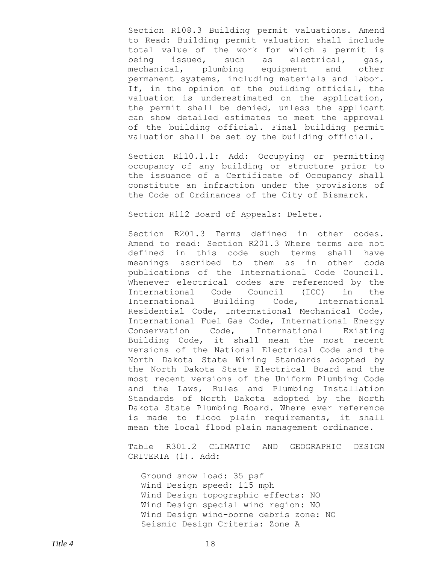Section R108.3 Building permit valuations. Amend to Read: Building permit valuation shall include total value of the work for which a permit is being issued, such as electrical, gas, mechanical, plumbing equipment and other permanent systems, including materials and labor. If, in the opinion of the building official, the valuation is underestimated on the application, the permit shall be denied, unless the applicant can show detailed estimates to meet the approval of the building official. Final building permit valuation shall be set by the building official.

Section R110.1.1: Add: Occupying or permitting occupancy of any building or structure prior to the issuance of a Certificate of Occupancy shall constitute an infraction under the provisions of the Code of Ordinances of the City of Bismarck.

Section R112 Board of Appeals: Delete.

Section R201.3 Terms defined in other codes. Amend to read: Section R201.3 Where terms are not defined in this code such terms shall have meanings ascribed to them as in other code publications of the International Code Council. Whenever electrical codes are referenced by the International Code Council (ICC) in the International Building Code, International Residential Code, International Mechanical Code, International Fuel Gas Code, International Energy Conservation Code, International Existing Building Code, it shall mean the most recent versions of the National Electrical Code and the North Dakota State Wiring Standards adopted by the North Dakota State Electrical Board and the most recent versions of the Uniform Plumbing Code and the Laws, Rules and Plumbing Installation Standards of North Dakota adopted by the North Dakota State Plumbing Board. Where ever reference is made to flood plain requirements, it shall mean the local flood plain management ordinance.

Table R301.2 CLIMATIC AND GEOGRAPHIC DESIGN CRITERIA (1). Add:

Ground snow load: 35 psf Wind Design speed: 115 mph Wind Design topographic effects: NO Wind Design special wind region: NO Wind Design wind-borne debris zone: NO Seismic Design Criteria: Zone A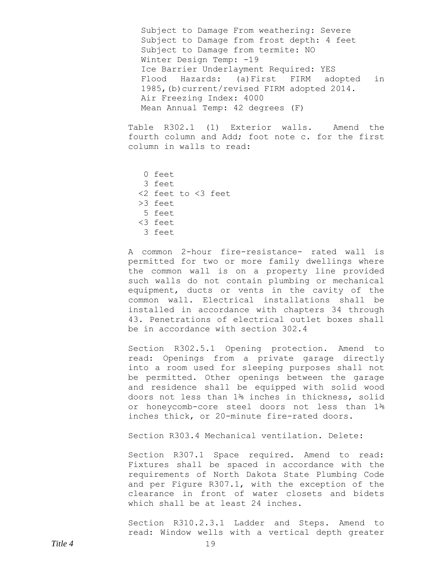Subject to Damage From weathering: Severe Subject to Damage from frost depth: 4 feet Subject to Damage from termite: NO Winter Design Temp: -19 Ice Barrier Underlayment Required: YES Flood Hazards: (a)First FIRM adopted in 1985,(b)current/revised FIRM adopted 2014. Air Freezing Index: 4000 Mean Annual Temp: 42 degrees (F)

Table R302.1 (1) Exterior walls. Amend the fourth column and Add; foot note c. for the first column in walls to read:

 0 feet 3 feet <2 feet to <3 feet >3 feet 5 feet <3 feet 3 feet

A common 2-hour fire-resistance- rated wall is permitted for two or more family dwellings where the common wall is on a property line provided such walls do not contain plumbing or mechanical equipment, ducts or vents in the cavity of the common wall. Electrical installations shall be installed in accordance with chapters 34 through 43. Penetrations of electrical outlet boxes shall be in accordance with section 302.4

Section R302.5.1 Opening protection. Amend to read: Openings from a private garage directly into a room used for sleeping purposes shall not be permitted. Other openings between the garage and residence shall be equipped with solid wood doors not less than 1⅜ inches in thickness, solid or honeycomb-core steel doors not less than 1⅜ inches thick, or 20-minute fire-rated doors.

Section R303.4 Mechanical ventilation. Delete:

Section R307.1 Space required. Amend to read: Fixtures shall be spaced in accordance with the requirements of North Dakota State Plumbing Code and per Figure R307.1, with the exception of the clearance in front of water closets and bidets which shall be at least 24 inches.

Section R310.2.3.1 Ladder and Steps. Amend to read: Window wells with a vertical depth greater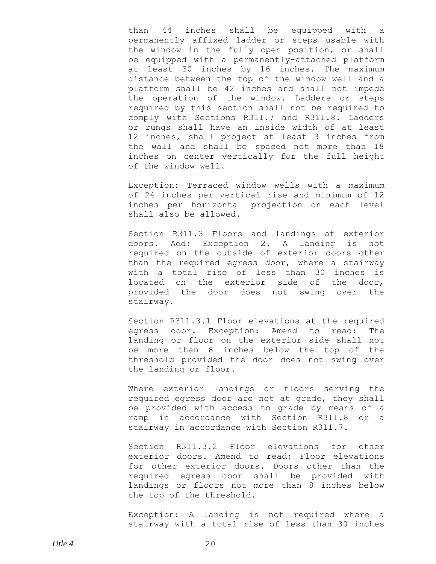than 44 inches shall be equipped with a permanently affixed ladder or steps usable with the window in the fully open position, or shall be equipped with a permanently-attached platform at least 30 inches by 16 inches. The maximum distance between the top of the window well and a platform shall be 42 inches and shall not impede the operation of the window. Ladders or steps required by this section shall not be required to comply with Sections R31l.7 and R31l.8. Ladders or rungs shall have an inside width of at least 12 inches, shall project at least 3 inches from the wall and shall be spaced not more than 18 inches on center vertically for the full height of the window well.

Exception: Terraced window wells with a maximum of 24 inches per vertical rise and minimum of 12 inches per horizontal projection on each level shall also be allowed.

Section R311.3 Floors and landings at exterior doors. Add: Exception 2. A landing is not required on the outside of exterior doors other than the required egress door, where a stairway with a total rise of less than 30 inches is located on the exterior side of the door, provided the door does not swing over the stairway.

Section R311.3.1 Floor elevations at the required egress door. Exception: Amend to read: The landing or floor on the exterior side shall not be more than 8 inches below the top of the threshold provided the door does not swing over the landing or floor.

Where exterior landings or floors serving the required egress door are not at grade, they shall be provided with access to grade by means of a ramp in accordance with Section R3ll.8 or a stairway in accordance with Section R3l1.7.

Section R311.3.2 Floor elevations for other exterior doors. Amend to read: Floor elevations for other exterior doors. Doors other than the required egress door shall be provided with landings or floors not more than 8 inches below the top of the threshold.

Exception: A landing is not required where a stairway with a total rise of less than 30 inches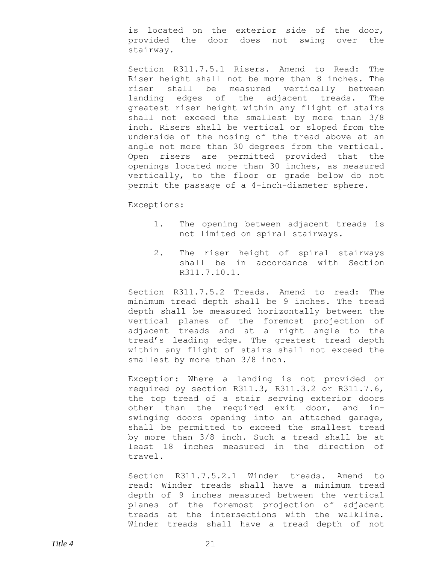is located on the exterior side of the door, provided the door does not swing over the stairway.

Section R311.7.5.1 Risers. Amend to Read: The Riser height shall not be more than 8 inches. The riser shall be measured vertically between landing edges of the adjacent treads. The greatest riser height within any flight of stairs shall not exceed the smallest by more than 3/8 inch. Risers shall be vertical or sloped from the underside of the nosing of the tread above at an angle not more than 30 degrees from the vertical. Open risers are permitted provided that the openings located more than 30 inches, as measured vertically, to the floor or grade below do not permit the passage of a 4-inch-diameter sphere.

Exceptions:

- 1. The opening between adjacent treads is not limited on spiral stairways.
- 2. The riser height of spiral stairways shall be in accordance with Section R311.7.10.1.

Section R311.7.5.2 Treads. Amend to read: The minimum tread depth shall be 9 inches. The tread depth shall be measured horizontally between the vertical planes of the foremost projection of adjacent treads and at a right angle to the tread's leading edge. The greatest tread depth within any flight of stairs shall not exceed the smallest by more than 3/8 inch.

Exception: Where a landing is not provided or required by section R311.3, R311.3.2 or R311.7.6, the top tread of a stair serving exterior doors other than the required exit door, and inswinging doors opening into an attached garage, shall be permitted to exceed the smallest tread by more than 3/8 inch. Such a tread shall be at least 18 inches measured in the direction of travel.

Section R311.7.5.2.1 Winder treads. Amend to read: Winder treads shall have a minimum tread depth of 9 inches measured between the vertical planes of the foremost projection of adjacent treads at the intersections with the walkline. Winder treads shall have a tread depth of not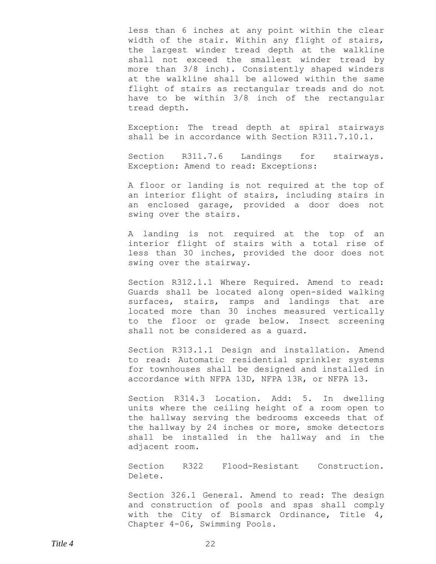less than 6 inches at any point within the clear width of the stair. Within any flight of stairs, the largest winder tread depth at the walkline shall not exceed the smallest winder tread by more than 3/8 inch). Consistently shaped winders at the walkline shall be allowed within the same flight of stairs as rectangular treads and do not have to be within 3/8 inch of the rectangular tread depth.

Exception: The tread depth at spiral stairways shall be in accordance with Section R311.7.10.1.

Section R311.7.6 Landings for stairways. Exception: Amend to read: Exceptions:

A floor or landing is not required at the top of an interior flight of stairs, including stairs in an enclosed garage, provided a door does not swing over the stairs.

A landing is not required at the top of an interior flight of stairs with a total rise of less than 30 inches, provided the door does not swing over the stairway.

Section R312.1.1 Where Required. Amend to read: Guards shall be located along open-sided walking surfaces, stairs, ramps and landings that are located more than 30 inches measured vertically to the floor or grade below. Insect screening shall not be considered as a guard.

Section R313.1.1 Design and installation. Amend to read: Automatic residential sprinkler systems for townhouses shall be designed and installed in accordance with NFPA 13D, NFPA 13R, or NFPA 13.

Section R314.3 Location. Add: 5. In dwelling units where the ceiling height of a room open to the hallway serving the bedrooms exceeds that of the hallway by 24 inches or more, smoke detectors shall be installed in the hallway and in the adjacent room.

Section R322 Flood-Resistant Construction. Delete.

Section 326.1 General. Amend to read: The design and construction of pools and spas shall comply with the City of Bismarck Ordinance, Title 4, Chapter 4-06, Swimming Pools.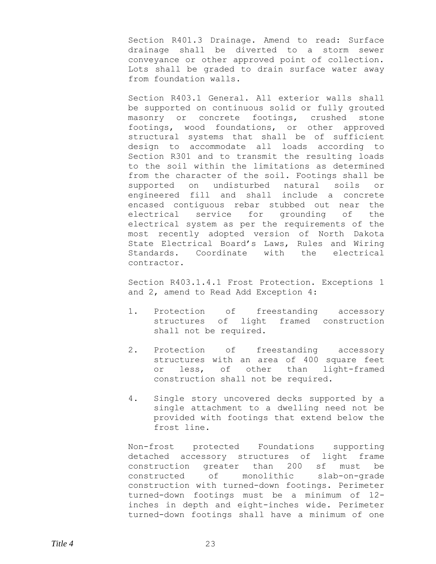Section R401.3 Drainage. Amend to read: Surface drainage shall be diverted to a storm sewer conveyance or other approved point of collection. Lots shall be graded to drain surface water away from foundation walls.

Section R403.1 General. All exterior walls shall be supported on continuous solid or fully grouted masonry or concrete footings, crushed stone footings, wood foundations, or other approved structural systems that shall be of sufficient design to accommodate all loads according to Section R301 and to transmit the resulting loads to the soil within the limitations as determined from the character of the soil. Footings shall be supported on undisturbed natural soils or engineered fill and shall include a concrete encased contiguous rebar stubbed out near the electrical service for grounding of the electrical system as per the requirements of the most recently adopted version of North Dakota State Electrical Board's Laws, Rules and Wiring Standards. Coordinate with the electrical contractor.

Section R403.1.4.1 Frost Protection. Exceptions 1 and 2, amend to Read Add Exception 4:

- 1. Protection of freestanding accessory structures of light framed construction shall not be required.
- 2. Protection of freestanding accessory structures with an area of 400 square feet or less, of other than light-framed construction shall not be required.
- 4. Single story uncovered decks supported by a single attachment to a dwelling need not be provided with footings that extend below the frost line.

Non-frost protected Foundations supporting detached accessory structures of light frame construction greater than 200 sf must be constructed of monolithic slab-on-grade construction with turned-down footings. Perimeter turned-down footings must be a minimum of 12 inches in depth and eight-inches wide. Perimeter turned-down footings shall have a minimum of one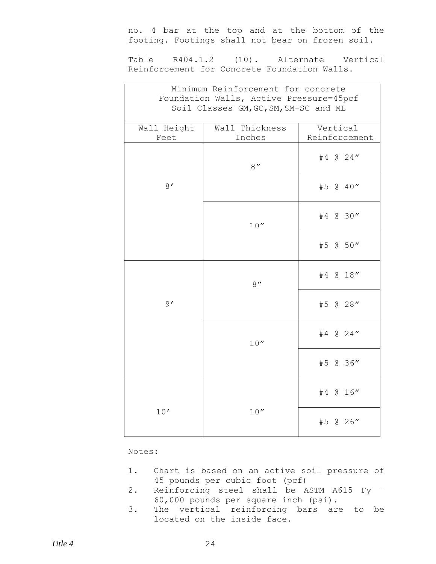no. 4 bar at the top and at the bottom of the footing. Footings shall not bear on frozen soil.

Table R404.1.2 (10). Alternate Vertical Reinforcement for Concrete Foundation Walls.

| Minimum Reinforcement for concrete                                               |                |               |  |  |  |  |  |
|----------------------------------------------------------------------------------|----------------|---------------|--|--|--|--|--|
| Foundation Walls, Active Pressure=45pcf<br>Soil Classes GM, GC, SM, SM-SC and ML |                |               |  |  |  |  |  |
|                                                                                  |                |               |  |  |  |  |  |
| Wall Height                                                                      | Wall Thickness | Vertical      |  |  |  |  |  |
| Feet                                                                             | Inches         | Reinforcement |  |  |  |  |  |
|                                                                                  | 8''            | #4 @ 24"      |  |  |  |  |  |
| 8'                                                                               |                | #5 @ 40"      |  |  |  |  |  |
|                                                                                  | 10''           | #4 @ 30"      |  |  |  |  |  |
|                                                                                  |                | #5 @ 50"      |  |  |  |  |  |
|                                                                                  | 8''            | #4 @ 18"      |  |  |  |  |  |
| 9'                                                                               |                | #5 @ 28"      |  |  |  |  |  |
|                                                                                  | 10''           | #4 @ 24"      |  |  |  |  |  |
|                                                                                  |                | #5 @ 36"      |  |  |  |  |  |
|                                                                                  |                | #4 @ 16"      |  |  |  |  |  |
| 10'                                                                              | 10''           | #5 @ 26"      |  |  |  |  |  |

## Notes:

- 1. Chart is based on an active soil pressure of 45 pounds per cubic foot (pcf)
- 2. Reinforcing steel shall be ASTM A615 Fy 60,000 pounds per square inch (psi).
- 3. The vertical reinforcing bars are to be located on the inside face.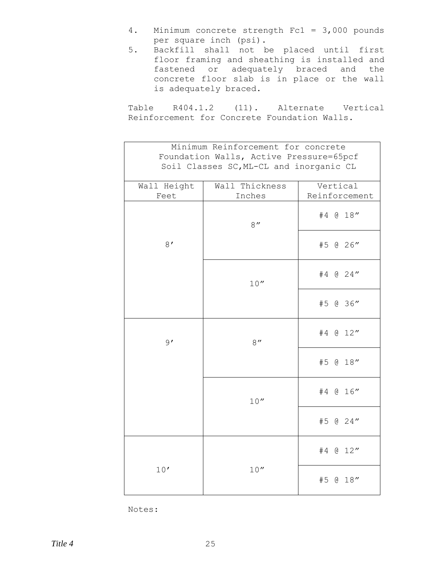- 4. Minimum concrete strength Fc1 = 3,000 pounds per square inch (psi).
- 5. Backfill shall not be placed until first floor framing and sheathing is installed and fastened or adequately braced and the concrete floor slab is in place or the wall is adequately braced.

Table R404.1.2 (11). Alternate Vertical Reinforcement for Concrete Foundation Walls.

| Minimum Reinforcement for concrete<br>Foundation Walls, Active Pressure=65pcf<br>Soil Classes SC, ML-CL and inorganic CL |                          |                           |  |  |  |
|--------------------------------------------------------------------------------------------------------------------------|--------------------------|---------------------------|--|--|--|
| Wall Height<br>Feet                                                                                                      | Wall Thickness<br>Inches | Vertical<br>Reinforcement |  |  |  |
|                                                                                                                          | 8''                      | #4 @ 18"                  |  |  |  |
| 8'                                                                                                                       |                          | #5 @ 26"                  |  |  |  |
|                                                                                                                          | 10''                     | #4 @ 24"                  |  |  |  |
|                                                                                                                          |                          | #5 @ 36"                  |  |  |  |
| 9'                                                                                                                       | 8''                      | #4 @ 12"                  |  |  |  |
|                                                                                                                          |                          | #5 @ 18"                  |  |  |  |
|                                                                                                                          | 10''                     | #4 @ 16"                  |  |  |  |
|                                                                                                                          |                          | #5 @ 24"                  |  |  |  |
|                                                                                                                          |                          | #4 @ 12"                  |  |  |  |
| 10'                                                                                                                      | 10''                     | #5 @ 18"                  |  |  |  |

Notes: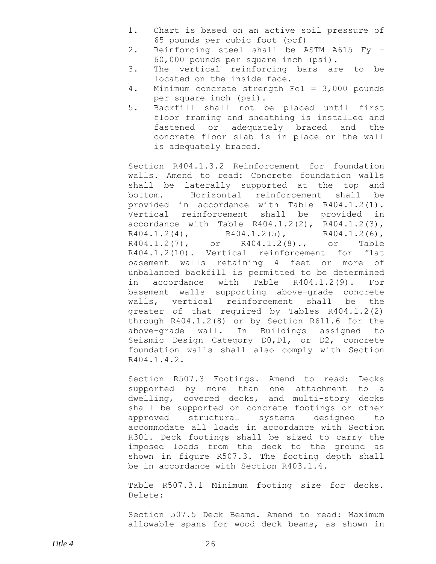- 1. Chart is based on an active soil pressure of 65 pounds per cubic foot (pcf)
- 2. Reinforcing steel shall be ASTM A615 Fy 60,000 pounds per square inch (psi).
- 3. The vertical reinforcing bars are to be located on the inside face.
- 4. Minimum concrete strength Fc1 = 3,000 pounds per square inch (psi).
- 5. Backfill shall not be placed until first floor framing and sheathing is installed and fastened or adequately braced and the concrete floor slab is in place or the wall is adequately braced.

Section R404.1.3.2 Reinforcement for foundation walls. Amend to read: Concrete foundation walls shall be laterally supported at the top and bottom. Horizontal reinforcement shall be provided in accordance with Table R404.1.2(1). Vertical reinforcement shall be provided in accordance with Table R404.1.2(2), R404.1.2(3),  $R404.1.2(4)$ ,  $R404.1.2(5)$ ,  $R404.1.2(6)$ , R404.1.2(7), or R404.1.2(8)., or Table R404.1.2(10). Vertical reinforcement for flat basement walls retaining 4 feet or more of unbalanced backfill is permitted to be determined in accordance with Table R404.1.2(9). For basement walls supporting above-grade concrete walls, vertical reinforcement shall be the greater of that required by Tables R404.1.2(2) through R404.1.2(8) or by Section R611.6 for the above-grade wall. In Buildings assigned to Seismic Design Category D0,D1, or D2, concrete foundation walls shall also comply with Section R404.1.4.2.

Section R507.3 Footings. Amend to read: Decks supported by more than one attachment to a dwelling, covered decks, and multi-story decks shall be supported on concrete footings or other approved structural systems designed to accommodate all loads in accordance with Section R301. Deck footings shall be sized to carry the imposed loads from the deck to the ground as shown in figure R507.3. The footing depth shall be in accordance with Section R403.1.4.

Table R507.3.1 Minimum footing size for decks. Delete:

Section 507.5 Deck Beams. Amend to read: Maximum allowable spans for wood deck beams, as shown in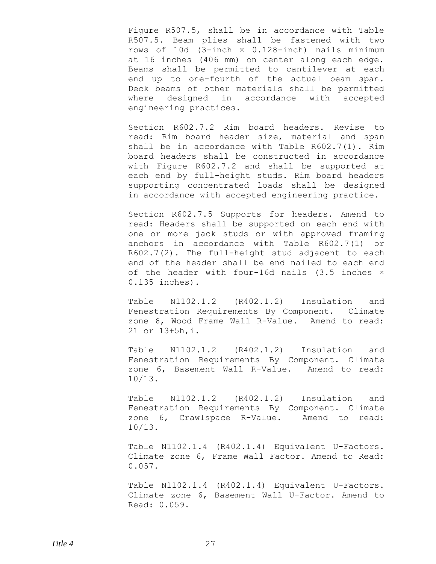Figure R507.5, shall be in accordance with Table R507.5. Beam plies shall be fastened with two rows of 10d (3-inch x 0.128-inch) nails minimum at 16 inches (406 mm) on center along each edge. Beams shall be permitted to cantilever at each end up to one-fourth of the actual beam span. Deck beams of other materials shall be permitted where designed in accordance with accepted engineering practices.

Section R602.7.2 Rim board headers. Revise to read: Rim board header size, material and span shall be in accordance with Table R602.7(1). Rim board headers shall be constructed in accordance with Figure R602.7.2 and shall be supported at each end by full-height studs. Rim board headers supporting concentrated loads shall be designed in accordance with accepted engineering practice.

Section R602.7.5 Supports for headers. Amend to read: Headers shall be supported on each end with one or more jack studs or with approved framing anchors in accordance with Table R602.7(1) or R602.7(2). The full-height stud adjacent to each end of the header shall be end nailed to each end of the header with four-16d nails (3.5 inches × 0.135 inches).

Table N1102.1.2 (R402.1.2) Insulation and Fenestration Requirements By Component. Climate zone 6, Wood Frame Wall R-Value. Amend to read: 21 or 13+5h,i.

Table N1102.1.2 (R402.1.2) Insulation and Fenestration Requirements By Component. Climate zone 6, Basement Wall R-Value. Amend to read: 10/13.

Table N1102.1.2 (R402.1.2) Insulation and Fenestration Requirements By Component. Climate zone 6, Crawlspace R-Value. Amend to read: 10/13.

Table N1102.1.4 (R402.1.4) Equivalent U-Factors. Climate zone 6, Frame Wall Factor. Amend to Read: 0.057.

Table N1102.1.4 (R402.1.4) Equivalent U-Factors. Climate zone 6, Basement Wall U-Factor. Amend to Read: 0.059.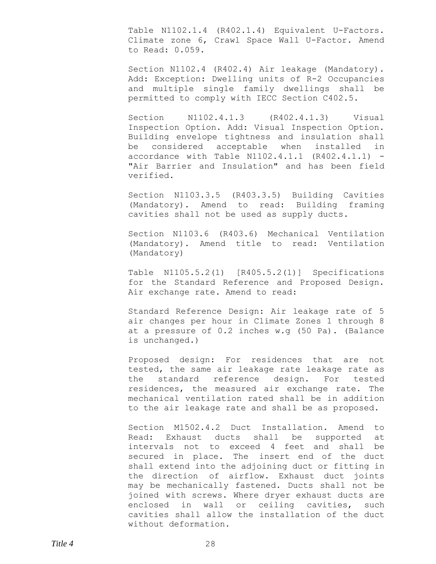Table N1102.1.4 (R402.1.4) Equivalent U-Factors. Climate zone 6, Crawl Space Wall U-Factor. Amend to Read: 0.059.

Section N1102.4 (R402.4) Air leakage (Mandatory). Add: Exception: Dwelling units of R-2 Occupancies and multiple single family dwellings shall be permitted to comply with IECC Section C402.5.

Section N1102.4.1.3 (R402.4.1.3) Visual Inspection Option. Add: Visual Inspection Option. Building envelope tightness and insulation shall be considered acceptable when installed in accordance with Table N1102.4.1.1 (R402.4.1.1) - "Air Barrier and Insulation" and has been field verified.

Section N1103.3.5 (R403.3.5) Building Cavities (Mandatory). Amend to read: Building framing cavities shall not be used as supply ducts.

Section N1103.6 (R403.6) Mechanical Ventilation (Mandatory). Amend title to read: Ventilation (Mandatory)

Table N1105.5.2(1) [R405.5.2(1)] Specifications for the Standard Reference and Proposed Design. Air exchange rate. Amend to read:

Standard Reference Design: Air leakage rate of 5 air changes per hour in Climate Zones 1 through 8 at a pressure of 0.2 inches w.g (50 Pa). (Balance is unchanged.)

Proposed design: For residences that are not tested, the same air leakage rate leakage rate as the standard reference design. For tested residences, the measured air exchange rate. The mechanical ventilation rated shall be in addition to the air leakage rate and shall be as proposed.

Section M1502.4.2 Duct Installation. Amend to Read: Exhaust ducts shall be supported at intervals not to exceed 4 feet and shall be secured in place. The insert end of the duct shall extend into the adjoining duct or fitting in the direction of airflow. Exhaust duct joints may be mechanically fastened. Ducts shall not be joined with screws. Where dryer exhaust ducts are enclosed in wall or ceiling cavities, such cavities shall allow the installation of the duct without deformation.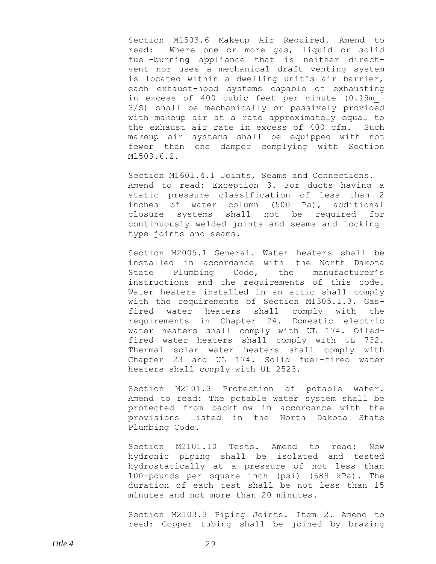Section M1503.6 Makeup Air Required. Amend to read: Where one or more gas, liquid or solid fuel-burning appliance that is neither directvent nor uses a mechanical draft venting system is located within a dwelling unit's air barrier, each exhaust-hood systems capable of exhausting in excess of 400 cubic feet per minute (0.19m\_- 3/S) shall be mechanically or passively provided with makeup air at a rate approximately equal to the exhaust air rate in excess of 400 cfm. Such makeup air systems shall be equipped with not fewer than one damper complying with Section Ml503.6.2.

Section M1601.4.1 Joints, Seams and Connections. Amend to read: Exception 3. For ducts having a static pressure classification of less than 2 inches of water column (500 Pa), additional closure systems shall not be required for continuously welded joints and seams and lockingtype joints and seams.

Section M2005.1 General. Water heaters shall be installed in accordance with the North Dakota State Plumbing Code, the manufacturer's instructions and the requirements of this code. Water heaters installed in an attic shall comply with the requirements of Section M1305.1.3. Gasfired water heaters shall comply with the requirements in Chapter 24. Domestic electric water heaters shall comply with UL 174. Oiledfired water heaters shall comply with UL 732. Thermal solar water heaters shall comply with Chapter 23 and UL 174. Solid fuel-fired water heaters shall comply with UL 2523.

Section M2101.3 Protection of potable water. Amend to read: The potable water system shall be protected from backflow in accordance with the provisions listed in the North Dakota State Plumbing Code.

Section M2101.10 Tests. Amend to read: New hydronic piping shall be isolated and tested hydrostatically at a pressure of not less than 100-pounds per square inch (psi) (689 kPa). The duration of each test shall be not less than 15 minutes and not more than 20 minutes.

Section M2103.3 Piping Joints. Item 2. Amend to read: Copper tubing shall be joined by brazing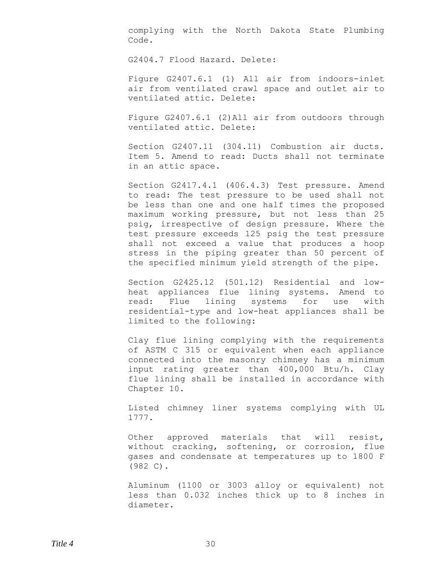complying with the North Dakota State Plumbing Code.

G2404.7 Flood Hazard. Delete:

Figure G2407.6.1 (1) All air from indoors-inlet air from ventilated crawl space and outlet air to ventilated attic. Delete:

Figure G2407.6.1 (2)All air from outdoors through ventilated attic. Delete:

Section G2407.11 (304.11) Combustion air ducts. Item 5. Amend to read: Ducts shall not terminate in an attic space.

Section G2417.4.1 (406.4.3) Test pressure. Amend to read: The test pressure to be used shall not be less than one and one half times the proposed maximum working pressure, but not less than 25 psig, irrespective of design pressure. Where the test pressure exceeds 125 psig the test pressure shall not exceed a value that produces a hoop stress in the piping greater than 50 percent of the specified minimum yield strength of the pipe.

Section G2425.12 (501.12) Residential and lowheat appliances flue lining systems. Amend to read: Flue lining systems for use with residential-type and low-heat appliances shall be limited to the following:

Clay flue lining complying with the requirements of ASTM C 315 or equivalent when each appliance connected into the masonry chimney has a minimum input rating greater than 400,000 Btu/h. Clay flue lining shall be installed in accordance with Chapter 10.

Listed chimney liner systems complying with UL 1777.

Other approved materials that will resist, without cracking, softening, or corrosion, flue gases and condensate at temperatures up to 1800 F (982 C).

Aluminum (1100 or 3003 alloy or equivalent) not less than 0.032 inches thick up to 8 inches in diameter.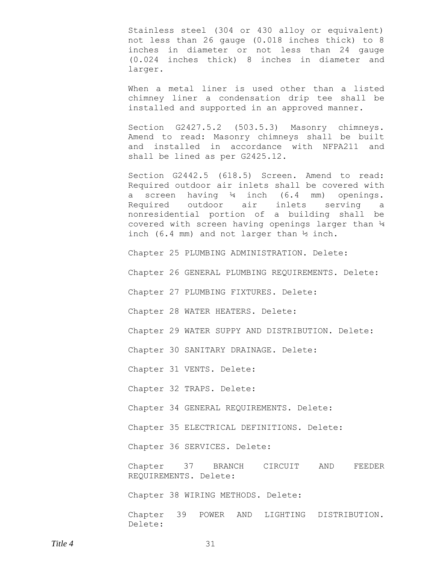Stainless steel (304 or 430 alloy or equivalent) not less than 26 gauge (0.018 inches thick) to 8 inches in diameter or not less than 24 gauge (0.024 inches thick) 8 inches in diameter and larger.

When a metal liner is used other than a listed chimney liner a condensation drip tee shall be installed and supported in an approved manner.

Section G2427.5.2 (503.5.3) Masonry chimneys. Amend to read: Masonry chimneys shall be built and installed in accordance with NFPA211 and shall be lined as per G2425.12.

Section G2442.5 (618.5) Screen. Amend to read: Required outdoor air inlets shall be covered with a screen having  $\frac{1}{4}$  inch (6.4 mm) openings. Required outdoor air inlets serving a nonresidential portion of a building shall be covered with screen having openings larger than ¼ inch (6.4 mm) and not larger than ½ inch.

Chapter 25 PLUMBING ADMINISTRATION. Delete:

Chapter 26 GENERAL PLUMBING REQUIREMENTS. Delete:

Chapter 27 PLUMBING FIXTURES. Delete:

Chapter 28 WATER HEATERS. Delete:

Chapter 29 WATER SUPPY AND DISTRIBUTION. Delete:

Chapter 30 SANITARY DRAINAGE. Delete:

Chapter 31 VENTS. Delete:

Chapter 32 TRAPS. Delete:

Chapter 34 GENERAL REQUIREMENTS. Delete:

Chapter 35 ELECTRICAL DEFINITIONS. Delete:

Chapter 36 SERVICES. Delete:

Chapter 37 BRANCH CIRCUIT AND FEEDER REQUIREMENTS. Delete:

Chapter 38 WIRING METHODS. Delete:

Chapter 39 POWER AND LIGHTING DISTRIBUTION. Delete: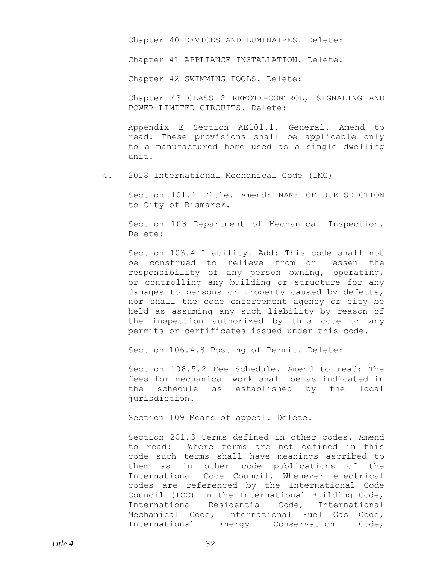Chapter 40 DEVICES AND LUMINAIRES. Delete:

Chapter 41 APPLIANCE INSTALLATION. Delete:

Chapter 42 SWIMMING POOLS. Delete:

Chapter 43 CLASS 2 REMOTE-CONTROL, SIGNALING AND POWER-LIMITED CIRCUITS. Delete:

Appendix E Section AE101.1. General. Amend to read: These provisions shall be applicable only to a manufactured home used as a single dwelling unit.

4. 2018 International Mechanical Code (IMC)

Section 101.1 Title. Amend: NAME OF JURISDICTION to City of Bismarck.

Section 103 Department of Mechanical Inspection. Delete:

Section 103.4 Liability. Add: This code shall not be construed to relieve from or lessen the responsibility of any person owning, operating, or controlling any building or structure for any damages to persons or property caused by defects, nor shall the code enforcement agency or city be held as assuming any such liability by reason of the inspection authorized by this code or any permits or certificates issued under this code.

Section 106.4.8 Posting of Permit. Delete:

Section 106.5.2 Fee Schedule. Amend to read: The fees for mechanical work shall be as indicated in the schedule as established by the local jurisdiction.

Section 109 Means of appeal. Delete.

Section 201.3 Terms defined in other codes. Amend to read: Where terms are not defined in this code such terms shall have meanings ascribed to them as in other code publications of the International Code Council. Whenever electrical codes are referenced by the International Code Council (ICC) in the International Building Code, International Residential Code, International Mechanical Code, International Fuel Gas Code, International Energy Conservation Code,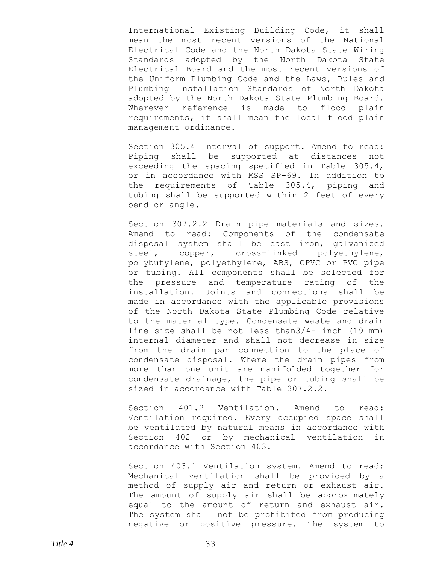International Existing Building Code, it shall mean the most recent versions of the National Electrical Code and the North Dakota State Wiring Standards adopted by the North Dakota State Electrical Board and the most recent versions of the Uniform Plumbing Code and the Laws, Rules and Plumbing Installation Standards of North Dakota adopted by the North Dakota State Plumbing Board. Wherever reference is made to flood plain requirements, it shall mean the local flood plain management ordinance.

Section 305.4 Interval of support. Amend to read: Piping shall be supported at distances not exceeding the spacing specified in Table 305.4, or in accordance with MSS SP-69. In addition to the requirements of Table 305.4, piping and tubing shall be supported within 2 feet of every bend or angle.

Section 307.2.2 Drain pipe materials and sizes. Amend to read: Components of the condensate disposal system shall be cast iron, galvanized steel, copper, cross-linked polyethylene, polybutylene, polyethylene, ABS, CPVC or PVC pipe or tubing. All components shall be selected for the pressure and temperature rating of the installation. Joints and connections shall be made in accordance with the applicable provisions of the North Dakota State Plumbing Code relative to the material type. Condensate waste and drain line size shall be not less than3/4- inch (19 mm) internal diameter and shall not decrease in size from the drain pan connection to the place of condensate disposal. Where the drain pipes from more than one unit are manifolded together for condensate drainage, the pipe or tubing shall be sized in accordance with Table 307.2.2.

Section 401.2 Ventilation. Amend to read: Ventilation required. Every occupied space shall be ventilated by natural means in accordance with Section 402 or by mechanical ventilation in accordance with Section 403.

Section 403.1 Ventilation system. Amend to read: Mechanical ventilation shall be provided by a method of supply air and return or exhaust air. The amount of supply air shall be approximately equal to the amount of return and exhaust air. The system shall not be prohibited from producing negative or positive pressure. The system to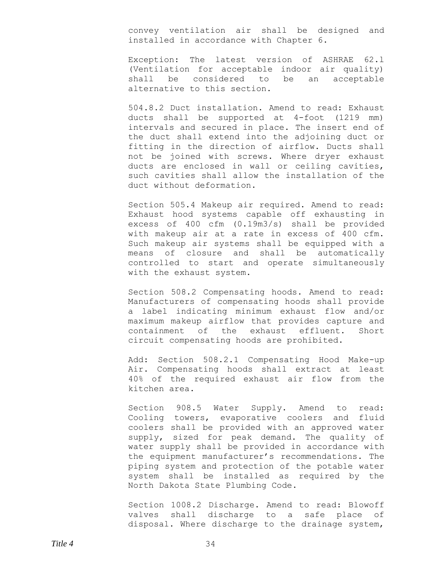convey ventilation air shall be designed and installed in accordance with Chapter 6.

Exception: The latest version of ASHRAE 62.l (Ventilation for acceptable indoor air quality) shall be considered to be an acceptable alternative to this section.

504.8.2 Duct installation. Amend to read: Exhaust ducts shall be supported at 4-foot (1219 mm) intervals and secured in place. The insert end of the duct shall extend into the adjoining duct or fitting in the direction of airflow. Ducts shall not be joined with screws. Where dryer exhaust ducts are enclosed in wall or ceiling cavities, such cavities shall allow the installation of the duct without deformation.

Section 505.4 Makeup air required. Amend to read: Exhaust hood systems capable off exhausting in excess of 400 cfm (0.19m3/s) shall be provided with makeup air at a rate in excess of 400 cfm. Such makeup air systems shall be equipped with a means of closure and shall be automatically controlled to start and operate simultaneously with the exhaust system.

Section 508.2 Compensating hoods. Amend to read: Manufacturers of compensating hoods shall provide a label indicating minimum exhaust flow and/or maximum makeup airflow that provides capture and containment of the exhaust effluent. Short circuit compensating hoods are prohibited.

Add: Section 508.2.1 Compensating Hood Make-up Air. Compensating hoods shall extract at least 40% of the required exhaust air flow from the kitchen area.

Section 908.5 Water Supply. Amend to read: Cooling towers, evaporative coolers and fluid coolers shall be provided with an approved water supply, sized for peak demand. The quality of water supply shall be provided in accordance with the equipment manufacturer's recommendations. The piping system and protection of the potable water system shall be installed as required by the North Dakota State Plumbing Code.

Section 1008.2 Discharge. Amend to read: Blowoff valves shall discharge to a safe place of disposal. Where discharge to the drainage system,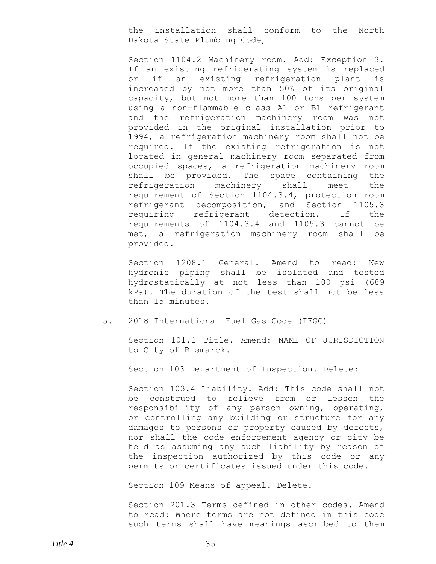the installation shall conform to the North Dakota State Plumbing Code.

Section 1104.2 Machinery room. Add: Exception 3. If an existing refrigerating system is replaced or if an existing refrigeration plant is increased by not more than 50% of its original capacity, but not more than 100 tons per system using a non-flammable class A1 or B1 refrigerant and the refrigeration machinery room was not provided in the original installation prior to 1994, a refrigeration machinery room shall not be required. If the existing refrigeration is not located in general machinery room separated from occupied spaces, a refrigeration machinery room shall be provided. The space containing the refrigeration machinery shall meet the requirement of Section 1104.3.4, protection room refrigerant decomposition, and Section 1105.3 requiring refrigerant detection. If the requirements of 1104.3.4 and 1105.3 cannot be met, a refrigeration machinery room shall be provided.

Section 1208.1 General. Amend to read: New hydronic piping shall be isolated and tested hydrostatically at not less than 100 psi (689 kPa). The duration of the test shall not be less than 15 minutes.

#### 5. 2018 International Fuel Gas Code (IFGC)

Section 101.1 Title. Amend: NAME OF JURISDICTION to City of Bismarck.

Section 103 Department of Inspection. Delete:

Section 103.4 Liability. Add: This code shall not be construed to relieve from or lessen the responsibility of any person owning, operating, or controlling any building or structure for any damages to persons or property caused by defects, nor shall the code enforcement agency or city be held as assuming any such liability by reason of the inspection authorized by this code or any permits or certificates issued under this code.

Section 109 Means of appeal. Delete.

Section 201.3 Terms defined in other codes. Amend to read: Where terms are not defined in this code such terms shall have meanings ascribed to them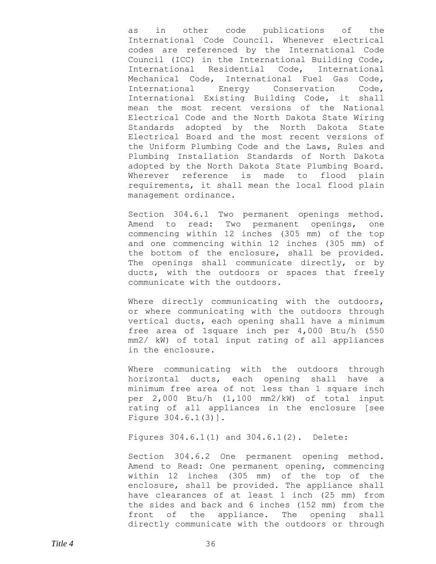as in other code publications of the International Code Council. Whenever electrical codes are referenced by the International Code Council (ICC) in the International Building Code, International Residential Code, International Mechanical Code, International Fuel Gas Code, International Energy Conservation Code, International Existing Building Code, it shall mean the most recent versions of the National Electrical Code and the North Dakota State Wiring Standards adopted by the North Dakota State Electrical Board and the most recent versions of the Uniform Plumbing Code and the Laws, Rules and Plumbing Installation Standards of North Dakota adopted by the North Dakota State Plumbing Board. Wherever reference is made to flood plain requirements, it shall mean the local flood plain management ordinance.

Section 304.6.1 Two permanent openings method. Amend to read: Two permanent openings, one commencing within 12 inches (305 mm) of the top and one commencing within 12 inches (305 mm) of the bottom of the enclosure, shall be provided. The openings shall communicate directly, or by ducts, with the outdoors or spaces that freely communicate with the outdoors.

Where directly communicating with the outdoors, or where communicating with the outdoors through vertical ducts, each opening shall have a minimum free area of 1square inch per 4,000 Btu/h (550 mm2/ kW) of total input rating of all appliances in the enclosure.

Where communicating with the outdoors through horizontal ducts, each opening shall have a minimum free area of not less than 1 square inch per 2,000 Btu/h (1,100 mm2/kW) of total input rating of all appliances in the enclosure [see Figure 304.6.1(3)].

Figures 304.6.1(1) and 304.6.1(2). Delete:

Section 304.6.2 One permanent opening method. Amend to Read: One permanent opening, commencing within 12 inches (305 mm) of the top of the enclosure, shall be provided. The appliance shall have clearances of at least 1 inch (25 mm) from the sides and back and 6 inches (152 mm) from the front of the appliance. The opening shall directly communicate with the outdoors or through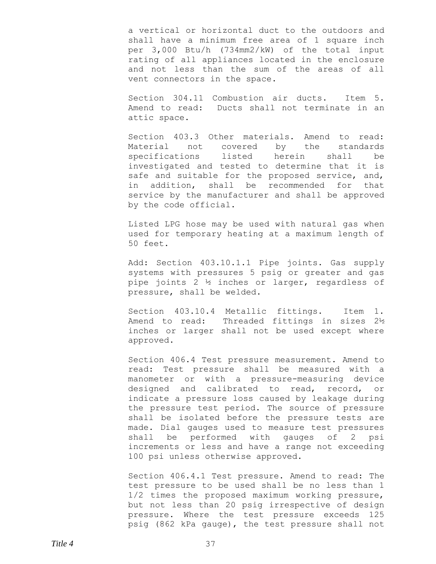a vertical or horizontal duct to the outdoors and shall have a minimum free area of 1 square inch per 3,000 Btu/h (734mm2/kW) of the total input rating of all appliances located in the enclosure and not less than the sum of the areas of all vent connectors in the space.

Section 304.11 Combustion air ducts. Item 5. Amend to read: Ducts shall not terminate in an attic space.

Section 403.3 Other materials. Amend to read: Material not covered by the standards specifications listed herein shall be investigated and tested to determine that it is safe and suitable for the proposed service, and, in addition, shall be recommended for that service by the manufacturer and shall be approved by the code official.

Listed LPG hose may be used with natural gas when used for temporary heating at a maximum length of 50 feet.

Add: Section 403.10.1.1 Pipe joints. Gas supply systems with pressures 5 psig or greater and gas pipe joints 2 ½ inches or larger, regardless of pressure, shall be welded.

Section 403.10.4 Metallic fittings. Item 1. Amend to read: Threaded fittings in sizes 2½ inches or larger shall not be used except where approved.

Section 406.4 Test pressure measurement. Amend to read: Test pressure shall be measured with a manometer or with a pressure-measuring device designed and calibrated to read, record, or indicate a pressure loss caused by leakage during the pressure test period. The source of pressure shall be isolated before the pressure tests are made. Dial gauges used to measure test pressures shall be performed with gauges of 2 psi increments or less and have a range not exceeding 100 psi unless otherwise approved.

Section 406.4.1 Test pressure. Amend to read: The test pressure to be used shall be no less than 1 1/2 times the proposed maximum working pressure, but not less than 20 psig irrespective of design pressure. Where the test pressure exceeds 125 psig (862 kPa gauge), the test pressure shall not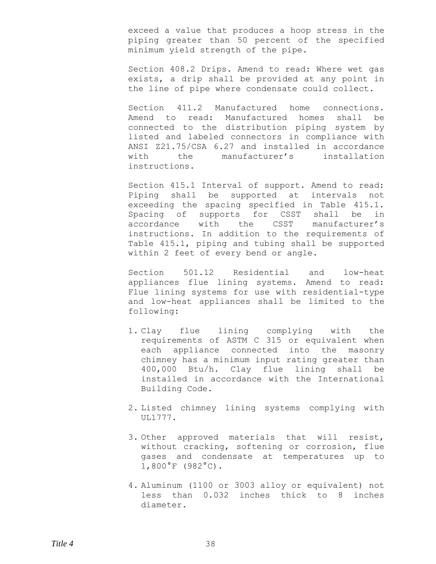exceed a value that produces a hoop stress in the piping greater than 50 percent of the specified minimum yield strength of the pipe.

Section 408.2 Drips. Amend to read: Where wet gas exists, a drip shall be provided at any point in the line of pipe where condensate could collect.

Section 411.2 Manufactured home connections. Amend to read: Manufactured homes shall be connected to the distribution piping system by listed and labeled connectors in compliance with ANSI Z21.75/CSA 6.27 and installed in accordance with the manufacturer's installation instructions.

Section 415.1 Interval of support. Amend to read: Piping shall be supported at intervals not exceeding the spacing specified in Table 415.1. Spacing of supports for CSST shall be in accordance with the CSST manufacturer's instructions. In addition to the requirements of Table 415.1, piping and tubing shall be supported within 2 feet of every bend or angle.

Section 501.12 Residential and low-heat appliances flue lining systems. Amend to read: Flue lining systems for use with residential-type and low-heat appliances shall be limited to the following:

- 1. Clay flue lining complying with the requirements of ASTM C 315 or equivalent when each appliance connected into the masonry chimney has a minimum input rating greater than 400,000 Btu/h. Clay flue lining shall be installed in accordance with the International Building Code.
- 2. Listed chimney lining systems complying with UL1777.
- 3. Other approved materials that will resist, without cracking, softening or corrosion, flue gases and condensate at temperatures up to 1,800°F (982°C).
- 4. Aluminum (1100 or 3003 alloy or equivalent) not less than 0.032 inches thick to 8 inches diameter.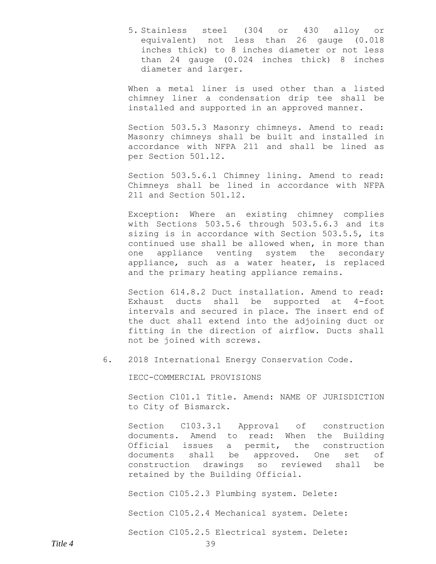5. Stainless steel (304 or 430 alloy or equivalent) not less than 26 gauge (0.018 inches thick) to 8 inches diameter or not less than 24 gauge (0.024 inches thick) 8 inches diameter and larger.

When a metal liner is used other than a listed chimney liner a condensation drip tee shall be installed and supported in an approved manner.

Section 503.5.3 Masonry chimneys. Amend to read: Masonry chimneys shall be built and installed in accordance with NFPA 211 and shall be lined as per Section 501.12.

Section 503.5.6.1 Chimney lining. Amend to read: Chimneys shall be lined in accordance with NFPA 211 and Section 501.12.

Exception: Where an existing chimney complies with Sections 503.5.6 through 503.5.6.3 and its sizing is in accordance with Section 503.5.5, its continued use shall be allowed when, in more than one appliance venting system the secondary appliance, such as a water heater, is replaced and the primary heating appliance remains.

Section 614.8.2 Duct installation. Amend to read: Exhaust ducts shall be supported at 4-foot intervals and secured in place. The insert end of the duct shall extend into the adjoining duct or fitting in the direction of airflow. Ducts shall not be joined with screws.

6. 2018 International Energy Conservation Code.

IECC-COMMERCIAL PROVISIONS

Section C101.1 Title. Amend: NAME OF JURISDICTION to City of Bismarck.

Section C103.3.1 Approval of construction documents. Amend to read: When the Building Official issues a permit, the construction documents shall be approved. One set of construction drawings so reviewed shall be retained by the Building Official.

Section C105.2.3 Plumbing system. Delete:

Section C105.2.4 Mechanical system. Delete:

Section C105.2.5 Electrical system. Delete: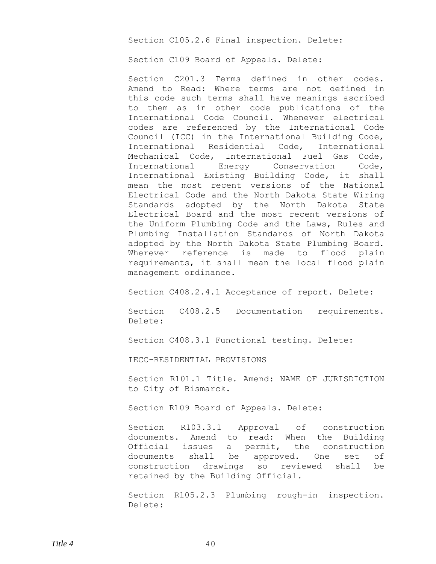Section C105.2.6 Final inspection. Delete:

Section C109 Board of Appeals. Delete:

Section C201.3 Terms defined in other codes. Amend to Read: Where terms are not defined in this code such terms shall have meanings ascribed to them as in other code publications of the International Code Council. Whenever electrical codes are referenced by the International Code Council (ICC) in the International Building Code, International Residential Code, International Mechanical Code, International Fuel Gas Code, International Energy Conservation Code, International Existing Building Code, it shall mean the most recent versions of the National Electrical Code and the North Dakota State Wiring Standards adopted by the North Dakota State Electrical Board and the most recent versions of the Uniform Plumbing Code and the Laws, Rules and Plumbing Installation Standards of North Dakota adopted by the North Dakota State Plumbing Board. Wherever reference is made to flood plain requirements, it shall mean the local flood plain management ordinance.

Section C408.2.4.1 Acceptance of report. Delete:

Section C408.2.5 Documentation requirements. Delete:

Section C408.3.1 Functional testing. Delete:

IECC-RESIDENTIAL PROVISIONS

Section R101.1 Title. Amend: NAME OF JURISDICTION to City of Bismarck.

Section R109 Board of Appeals. Delete:

Section R103.3.1 Approval of construction documents. Amend to read: When the Building Official issues a permit, the construction documents shall be approved. One set of construction drawings so reviewed shall be retained by the Building Official.

Section R105.2.3 Plumbing rough-in inspection. Delete: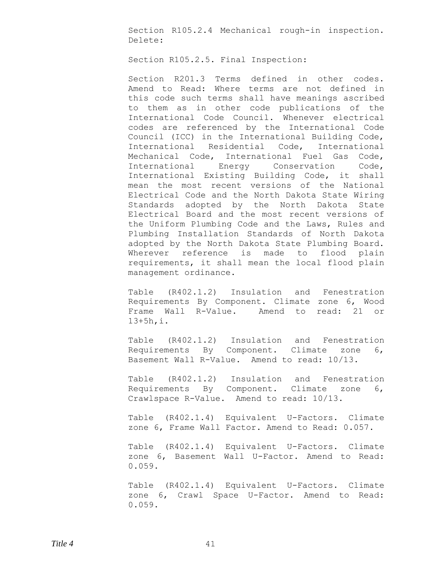Section R105.2.4 Mechanical rough-in inspection. Delete:

Section R105.2.5. Final Inspection:

Section R201.3 Terms defined in other codes. Amend to Read: Where terms are not defined in this code such terms shall have meanings ascribed to them as in other code publications of the International Code Council. Whenever electrical codes are referenced by the International Code Council (ICC) in the International Building Code, International Residential Code, International Mechanical Code, International Fuel Gas Code, International Energy Conservation Code, International Existing Building Code, it shall mean the most recent versions of the National Electrical Code and the North Dakota State Wiring Standards adopted by the North Dakota State Electrical Board and the most recent versions of the Uniform Plumbing Code and the Laws, Rules and Plumbing Installation Standards of North Dakota adopted by the North Dakota State Plumbing Board. Wherever reference is made to flood plain requirements, it shall mean the local flood plain management ordinance.

Table (R402.1.2) Insulation and Fenestration Requirements By Component. Climate zone 6, Wood Frame Wall R-Value. Amend to read: 21 or 13+5h,i.

Table (R402.1.2) Insulation and Fenestration Requirements By Component. Climate zone 6, Basement Wall R-Value. Amend to read: 10/13.

Table (R402.1.2) Insulation and Fenestration Requirements By Component. Climate zone 6, Crawlspace R-Value. Amend to read: 10/13.

Table (R402.1.4) Equivalent U-Factors. Climate zone 6, Frame Wall Factor. Amend to Read: 0.057.

Table (R402.1.4) Equivalent U-Factors. Climate zone 6, Basement Wall U-Factor. Amend to Read: 0.059.

Table (R402.1.4) Equivalent U-Factors. Climate zone 6, Crawl Space U-Factor. Amend to Read: 0.059.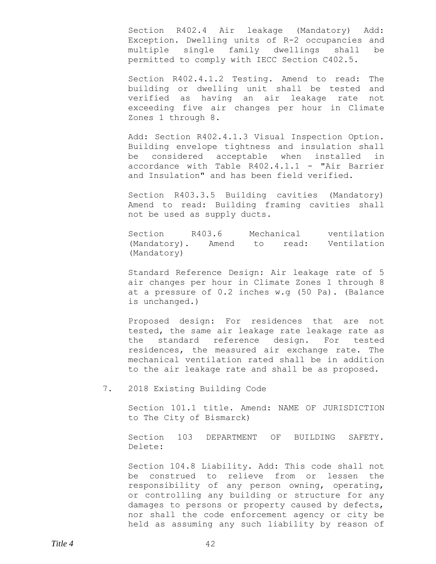Section R402.4 Air leakage (Mandatory) Add: Exception. Dwelling units of R-2 occupancies and multiple single family dwellings shall be permitted to comply with IECC Section C402.5.

Section R402.4.1.2 Testing. Amend to read: The building or dwelling unit shall be tested and verified as having an air leakage rate not exceeding five air changes per hour in Climate Zones 1 through 8.

Add: Section R402.4.1.3 Visual Inspection Option. Building envelope tightness and insulation shall be considered acceptable when installed in accordance with Table R402.4.1.1 - "Air Barrier and Insulation" and has been field verified.

Section R403.3.5 Building cavities (Mandatory) Amend to read: Building framing cavities shall not be used as supply ducts.

Section R403.6 Mechanical ventilation (Mandatory). Amend to read: Ventilation (Mandatory)

Standard Reference Design: Air leakage rate of 5 air changes per hour in Climate Zones 1 through 8 at a pressure of 0.2 inches w.g (50 Pa). (Balance is unchanged.)

Proposed design: For residences that are not tested, the same air leakage rate leakage rate as the standard reference design. For tested residences, the measured air exchange rate. The mechanical ventilation rated shall be in addition to the air leakage rate and shall be as proposed.

7. 2018 Existing Building Code

Section 101.1 title. Amend: NAME OF JURISDICTION to The City of Bismarck)

Section 103 DEPARTMENT OF BUILDING SAFETY. Delete:

Section 104.8 Liability. Add: This code shall not be construed to relieve from or lessen the responsibility of any person owning, operating, or controlling any building or structure for any damages to persons or property caused by defects, nor shall the code enforcement agency or city be held as assuming any such liability by reason of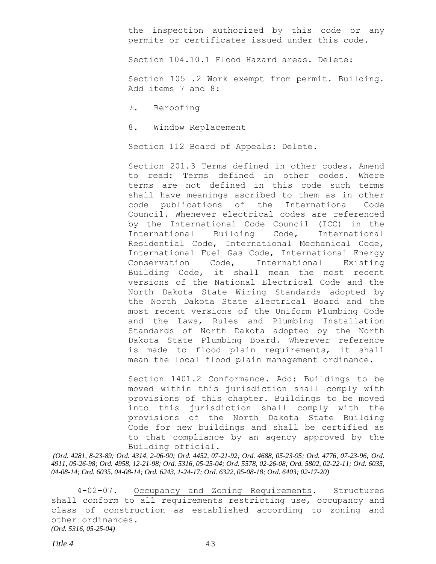the inspection authorized by this code or any permits or certificates issued under this code.

Section 104.10.1 Flood Hazard areas. Delete:

Section 105 .2 Work exempt from permit. Building. Add items 7 and 8:

7. Reroofing

8. Window Replacement

Section 112 Board of Appeals: Delete.

Section 201.3 Terms defined in other codes. Amend to read: Terms defined in other codes. Where terms are not defined in this code such terms shall have meanings ascribed to them as in other code publications of the International Code Council. Whenever electrical codes are referenced by the International Code Council (ICC) in the International Building Code, International Residential Code, International Mechanical Code, International Fuel Gas Code, International Energy Conservation Code, International Existing Building Code, it shall mean the most recent versions of the National Electrical Code and the North Dakota State Wiring Standards adopted by the North Dakota State Electrical Board and the most recent versions of the Uniform Plumbing Code and the Laws, Rules and Plumbing Installation Standards of North Dakota adopted by the North Dakota State Plumbing Board. Wherever reference is made to flood plain requirements, it shall mean the local flood plain management ordinance.

Section 1401.2 Conformance. Add: Buildings to be moved within this jurisdiction shall comply with provisions of this chapter. Buildings to be moved into this jurisdiction shall comply with the provisions of the North Dakota State Building Code for new buildings and shall be certified as to that compliance by an agency approved by the Building official.

*(Ord. 4281, 8-23-89; Ord. 4314, 2-06-90; Ord. 4452, 07-21-92; Ord. 4688, 05-23-95; Ord. 4776, 07-23-96; Ord. 4911, 05-26-98; Ord. 4958, 12-21-98; Ord. 5316, 05-25-04; Ord. 5578, 02-26-08; Ord. 5802, 02-22-11; Ord. 6035, 04-08-14; Ord. 6035, 04-08-14; Ord. 6243, 1-24-17; Ord. 6322, 05-08-18; Ord. 6403; 02-17-20)*

4-02-07. Occupancy and Zoning Requirements. Structures shall conform to all requirements restricting use, occupancy and class of construction as established according to zoning and other ordinances. *(Ord. 5316, 05-25-04)*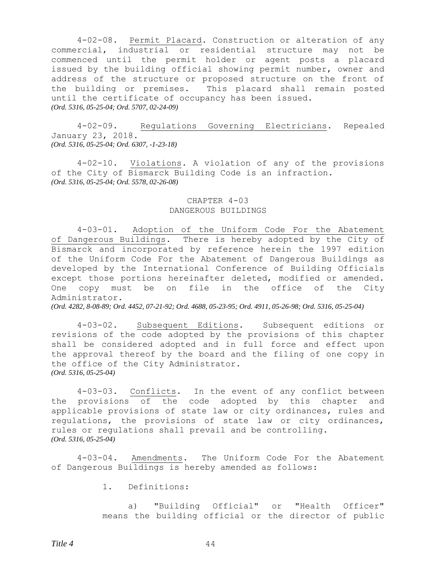4-02-08. Permit Placard. Construction or alteration of any commercial, industrial or residential structure may not be commenced until the permit holder or agent posts a placard issued by the building official showing permit number, owner and address of the structure or proposed structure on the front of the building or premises. This placard shall remain posted until the certificate of occupancy has been issued. *(Ord. 5316, 05-25-04; Ord. 5707, 02-24-09)*

4-02-09. Regulations Governing Electricians. Repealed January 23, 2018. *(Ord. 5316, 05-25-04; Ord. 6307, -1-23-18)*

4-02-10. Violations. A violation of any of the provisions of the City of Bismarck Building Code is an infraction. *(Ord. 5316, 05-25-04; Ord. 5578, 02-26-08)*

# CHAPTER 4-03 DANGEROUS BUILDINGS

4-03-01. Adoption of the Uniform Code For the Abatement of Dangerous Buildings. There is hereby adopted by the City of Bismarck and incorporated by reference herein the 1997 edition of the Uniform Code For the Abatement of Dangerous Buildings as developed by the International Conference of Building Officials except those portions hereinafter deleted, modified or amended. One copy must be on file in the office of the City Administrator.

*(Ord. 4282, 8-08-89; Ord. 4452, 07-21-92; Ord. 4688, 05-23-95; Ord. 4911, 05-26-98; Ord. 5316, 05-25-04)*

4-03-02. Subsequent Editions. Subsequent editions or revisions of the code adopted by the provisions of this chapter shall be considered adopted and in full force and effect upon the approval thereof by the board and the filing of one copy in the office of the City Administrator. *(Ord. 5316, 05-25-04)*

4-03-03. Conflicts. In the event of any conflict between the provisions of the code adopted by this chapter and applicable provisions of state law or city ordinances, rules and regulations, the provisions of state law or city ordinances, rules or regulations shall prevail and be controlling. *(Ord. 5316, 05-25-04)*

4-03-04. Amendments. The Uniform Code For the Abatement of Dangerous Buildings is hereby amended as follows:

1. Definitions:

a) "Building Official" or "Health Officer" means the building official or the director of public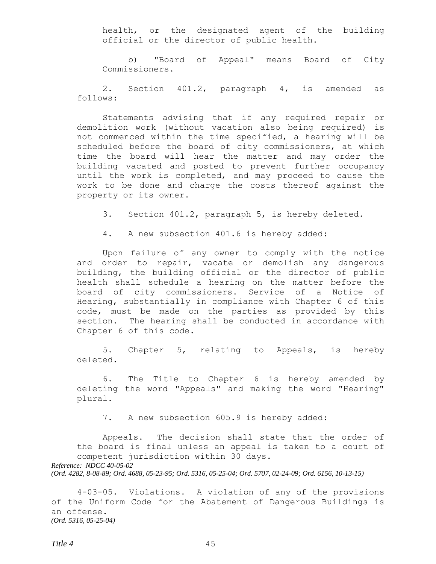health, or the designated agent of the building official or the director of public health.

b) "Board of Appeal" means Board of City Commissioners.

2. Section 401.2, paragraph 4, is amended as follows:

Statements advising that if any required repair or demolition work (without vacation also being required) is not commenced within the time specified, a hearing will be scheduled before the board of city commissioners, at which time the board will hear the matter and may order the building vacated and posted to prevent further occupancy until the work is completed, and may proceed to cause the work to be done and charge the costs thereof against the property or its owner.

3. Section 401.2, paragraph 5, is hereby deleted.

4. A new subsection 401.6 is hereby added:

Upon failure of any owner to comply with the notice and order to repair, vacate or demolish any dangerous building, the building official or the director of public health shall schedule a hearing on the matter before the board of city commissioners. Service of a Notice of Hearing, substantially in compliance with Chapter 6 of this code, must be made on the parties as provided by this section. The hearing shall be conducted in accordance with Chapter 6 of this code.

5. Chapter 5, relating to Appeals, is hereby deleted.

6. The Title to Chapter 6 is hereby amended by deleting the word "Appeals" and making the word "Hearing" plural.

7. A new subsection 605.9 is hereby added:

Appeals. The decision shall state that the order of the board is final unless an appeal is taken to a court of competent jurisdiction within 30 days. *Reference: NDCC 40-05-02* 

*(Ord. 4282, 8-08-89; Ord. 4688, 05-23-95; Ord. 5316, 05-25-04; Ord. 5707, 02-24-09; Ord. 6156, 10-13-15)*

4-03-05. Violations. A violation of any of the provisions of the Uniform Code for the Abatement of Dangerous Buildings is an offense. *(Ord. 5316, 05-25-04)*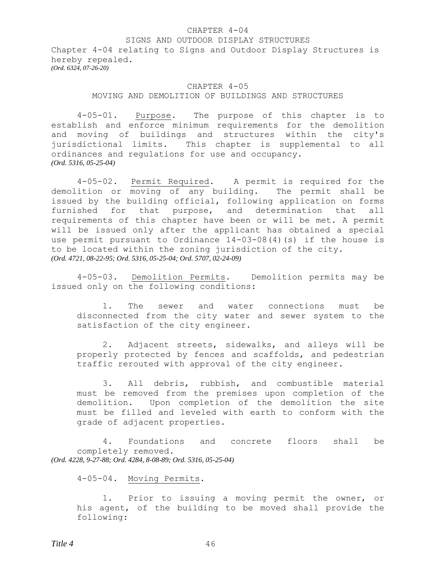#### CHAPTER 4-04

### SIGNS AND OUTDOOR DISPLAY STRUCTURES

Chapter 4-04 relating to Signs and Outdoor Display Structures is hereby repealed. *(Ord. 6324, 07-26-20)*

# CHAPTER 4-05 MOVING AND DEMOLITION OF BUILDINGS AND STRUCTURES

4-05-01. Purpose. The purpose of this chapter is to establish and enforce minimum requirements for the demolition and moving of buildings and structures within the city's jurisdictional limits. This chapter is supplemental to all ordinances and regulations for use and occupancy. *(Ord. 5316, 05-25-04)*

4-05-02. Permit Required. A permit is required for the demolition or moving of any building. The permit shall be issued by the building official, following application on forms furnished for that purpose, and determination that all requirements of this chapter have been or will be met. A permit will be issued only after the applicant has obtained a special use permit pursuant to Ordinance 14-03-08(4)(s) if the house is to be located within the zoning jurisdiction of the city. *(Ord. 4721, 08-22-95; Ord. 5316, 05-25-04; Ord. 5707, 02-24-09)*

4-05-03. Demolition Permits. Demolition permits may be issued only on the following conditions:

1. The sewer and water connections must be disconnected from the city water and sewer system to the satisfaction of the city engineer.

2. Adjacent streets, sidewalks, and alleys will be properly protected by fences and scaffolds, and pedestrian traffic rerouted with approval of the city engineer.

3. All debris, rubbish, and combustible material must be removed from the premises upon completion of the demolition. Upon completion of the demolition the site must be filled and leveled with earth to conform with the grade of adjacent properties.

4. Foundations and concrete floors shall be completely removed. *(Ord. 4228, 9-27-88; Ord. 4284, 8-08-89; Ord. 5316, 05-25-04)*

## 4-05-04. Moving Permits.

1. Prior to issuing a moving permit the owner, or his agent, of the building to be moved shall provide the following: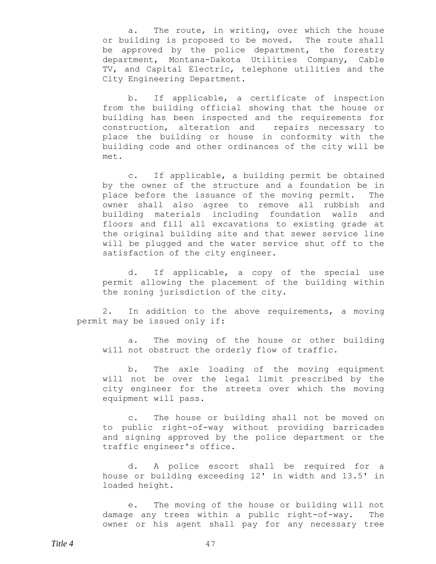a. The route, in writing, over which the house or building is proposed to be moved. The route shall be approved by the police department, the forestry department, Montana-Dakota Utilities Company, Cable TV, and Capital Electric, telephone utilities and the City Engineering Department.

b. If applicable, a certificate of inspection from the building official showing that the house or building has been inspected and the requirements for construction, alteration and repairs necessary to place the building or house in conformity with the building code and other ordinances of the city will be met.

c. If applicable, a building permit be obtained by the owner of the structure and a foundation be in place before the issuance of the moving permit. The owner shall also agree to remove all rubbish and building materials including foundation walls and floors and fill all excavations to existing grade at the original building site and that sewer service line will be plugged and the water service shut off to the satisfaction of the city engineer.

d. If applicable, a copy of the special use permit allowing the placement of the building within the zoning jurisdiction of the city.

2. In addition to the above requirements, a moving permit may be issued only if:

a. The moving of the house or other building will not obstruct the orderly flow of traffic.

b. The axle loading of the moving equipment will not be over the legal limit prescribed by the city engineer for the streets over which the moving equipment will pass.

c. The house or building shall not be moved on to public right-of-way without providing barricades and signing approved by the police department or the traffic engineer's office.

d. A police escort shall be required for a house or building exceeding 12' in width and 13.5' in loaded height.

e. The moving of the house or building will not damage any trees within a public right-of-way. The owner or his agent shall pay for any necessary tree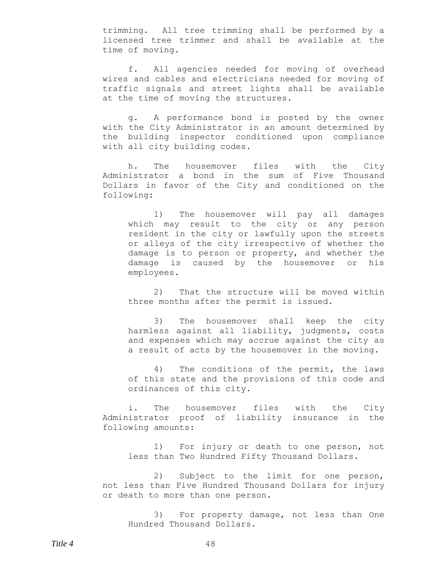trimming. All tree trimming shall be performed by a licensed tree trimmer and shall be available at the time of moving.

f. All agencies needed for moving of overhead wires and cables and electricians needed for moving of traffic signals and street lights shall be available at the time of moving the structures.

g. A performance bond is posted by the owner with the City Administrator in an amount determined by the building inspector conditioned upon compliance with all city building codes.

h. The housemover files with the City Administrator a bond in the sum of Five Thousand Dollars in favor of the City and conditioned on the following:

1) The housemover will pay all damages which may result to the city or any person resident in the city or lawfully upon the streets or alleys of the city irrespective of whether the damage is to person or property, and whether the damage is caused by the housemover or his employees.

2) That the structure will be moved within three months after the permit is issued.

3) The housemover shall keep the city harmless against all liability, judgments, costs and expenses which may accrue against the city as a result of acts by the housemover in the moving.

4) The conditions of the permit, the laws of this state and the provisions of this code and ordinances of this city.

i. The housemover files with the City Administrator proof of liability insurance in the following amounts:

1) For injury or death to one person, not less than Two Hundred Fifty Thousand Dollars.

2) Subject to the limit for one person, not less than Five Hundred Thousand Dollars for injury or death to more than one person.

3) For property damage, not less than One Hundred Thousand Dollars.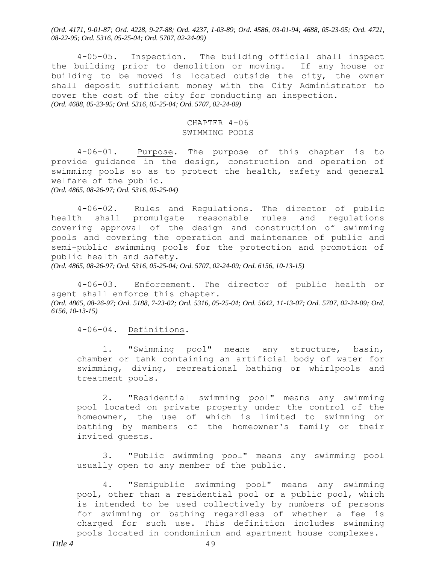*(Ord. 4171, 9-01-87; Ord. 4228, 9-27-88; Ord. 4237, 1-03-89; Ord. 4586, 03-01-94; 4688, 05-23-95; Ord. 4721, 08-22-95; Ord. 5316, 05-25-04; Ord. 5707, 02-24-09)*

4-05-05. Inspection. The building official shall inspect the building prior to demolition or moving. If any house or building to be moved is located outside the city, the owner shall deposit sufficient money with the City Administrator to cover the cost of the city for conducting an inspection. *(Ord. 4688, 05-23-95; Ord. 5316, 05-25-04; Ord. 5707, 02-24-09)*

# CHAPTER 4-06 SWIMMING POOLS

4-06-01. Purpose. The purpose of this chapter is to provide guidance in the design, construction and operation of swimming pools so as to protect the health, safety and general welfare of the public. *(Ord. 4865, 08-26-97; Ord. 5316, 05-25-04)*

4-06-02. Rules and Regulations. The director of public health shall promulgate reasonable rules and regulations covering approval of the design and construction of swimming pools and covering the operation and maintenance of public and semi-public swimming pools for the protection and promotion of public health and safety.

*(Ord. 4865, 08-26-97; Ord. 5316, 05-25-04; Ord. 5707, 02-24-09; Ord. 6156, 10-13-15)*

4-06-03. Enforcement. The director of public health or agent shall enforce this chapter. *(Ord. 4865, 08-26-97; Ord. 5188, 7-23-02; Ord. 5316, 05-25-04; Ord. 5642, 11-13-07; Ord. 5707, 02-24-09; Ord. 6156, 10-13-15)*

4-06-04. Definitions.

1. "Swimming pool" means any structure, basin, chamber or tank containing an artificial body of water for swimming, diving, recreational bathing or whirlpools and treatment pools.

2. "Residential swimming pool" means any swimming pool located on private property under the control of the homeowner, the use of which is limited to swimming or bathing by members of the homeowner's family or their invited guests.

3. "Public swimming pool" means any swimming pool usually open to any member of the public.

4. "Semipublic swimming pool" means any swimming pool, other than a residential pool or a public pool, which is intended to be used collectively by numbers of persons for swimming or bathing regardless of whether a fee is charged for such use. This definition includes swimming pools located in condominium and apartment house complexes.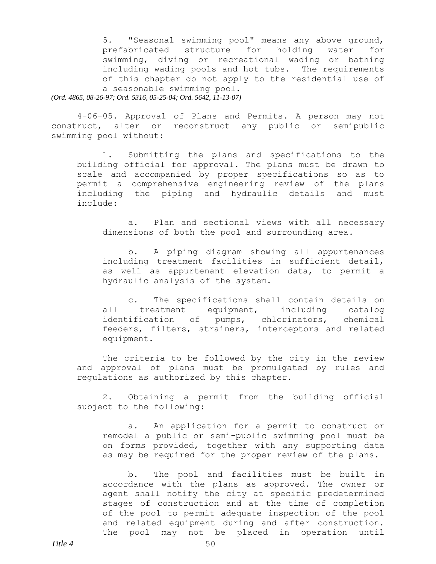5. "Seasonal swimming pool" means any above ground, prefabricated structure for holding water for swimming, diving or recreational wading or bathing including wading pools and hot tubs. The requirements of this chapter do not apply to the residential use of a seasonable swimming pool. *(Ord. 4865, 08-26-97; Ord. 5316, 05-25-04; Ord. 5642, 11-13-07)*

4-06-05. Approval of Plans and Permits. A person may not construct, alter or reconstruct any public or semipublic swimming pool without:

1. Submitting the plans and specifications to the building official for approval. The plans must be drawn to scale and accompanied by proper specifications so as to permit a comprehensive engineering review of the plans including the piping and hydraulic details and must include:

a. Plan and sectional views with all necessary dimensions of both the pool and surrounding area.

b. A piping diagram showing all appurtenances including treatment facilities in sufficient detail, as well as appurtenant elevation data, to permit a hydraulic analysis of the system.

c. The specifications shall contain details on all treatment equipment, including catalog identification of pumps, chlorinators, chemical feeders, filters, strainers, interceptors and related equipment.

The criteria to be followed by the city in the review and approval of plans must be promulgated by rules and regulations as authorized by this chapter.

2. Obtaining a permit from the building official subject to the following:

a. An application for a permit to construct or remodel a public or semi-public swimming pool must be on forms provided, together with any supporting data as may be required for the proper review of the plans.

b. The pool and facilities must be built in accordance with the plans as approved. The owner or agent shall notify the city at specific predetermined stages of construction and at the time of completion of the pool to permit adequate inspection of the pool and related equipment during and after construction. The pool may not be placed in operation until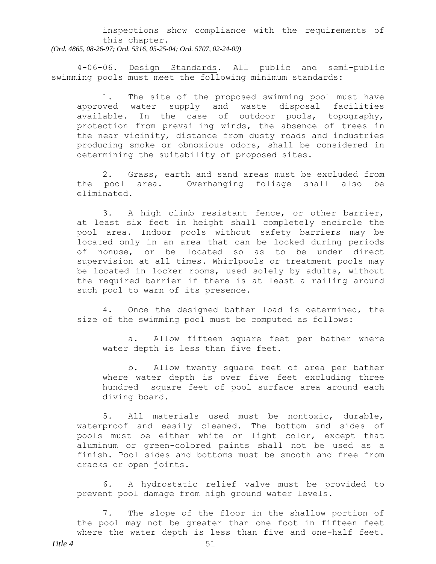inspections show compliance with the requirements of this chapter. *(Ord. 4865, 08-26-97; Ord. 5316, 05-25-04; Ord. 5707, 02-24-09)*

4-06-06. Design Standards. All public and semi-public swimming pools must meet the following minimum standards:

1. The site of the proposed swimming pool must have approved water supply and waste disposal facilities available. In the case of outdoor pools, topography, protection from prevailing winds, the absence of trees in the near vicinity, distance from dusty roads and industries producing smoke or obnoxious odors, shall be considered in determining the suitability of proposed sites.

2. Grass, earth and sand areas must be excluded from the pool area. Overhanging foliage shall also be eliminated.

3. A high climb resistant fence, or other barrier, at least six feet in height shall completely encircle the pool area. Indoor pools without safety barriers may be located only in an area that can be locked during periods of nonuse, or be located so as to be under direct supervision at all times. Whirlpools or treatment pools may be located in locker rooms, used solely by adults, without the required barrier if there is at least a railing around such pool to warn of its presence.

4. Once the designed bather load is determined, the size of the swimming pool must be computed as follows:

a. Allow fifteen square feet per bather where water depth is less than five feet.

b. Allow twenty square feet of area per bather where water depth is over five feet excluding three hundred square feet of pool surface area around each diving board.

5. All materials used must be nontoxic, durable, waterproof and easily cleaned. The bottom and sides of pools must be either white or light color, except that aluminum or green-colored paints shall not be used as a finish. Pool sides and bottoms must be smooth and free from cracks or open joints.

6. A hydrostatic relief valve must be provided to prevent pool damage from high ground water levels.

7. The slope of the floor in the shallow portion of the pool may not be greater than one foot in fifteen feet where the water depth is less than five and one-half feet.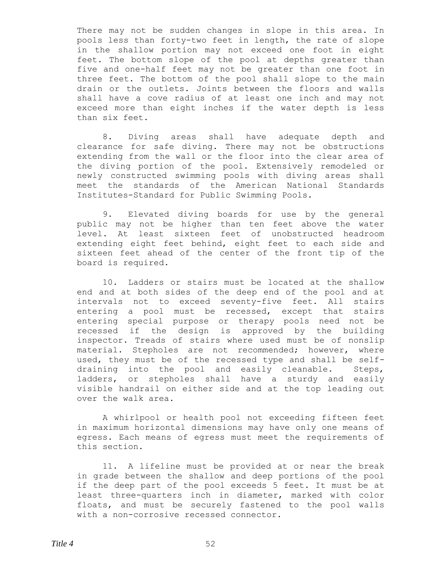There may not be sudden changes in slope in this area. In pools less than forty-two feet in length, the rate of slope in the shallow portion may not exceed one foot in eight feet. The bottom slope of the pool at depths greater than five and one-half feet may not be greater than one foot in three feet. The bottom of the pool shall slope to the main drain or the outlets. Joints between the floors and walls shall have a cove radius of at least one inch and may not exceed more than eight inches if the water depth is less than six feet.

8. Diving areas shall have adequate depth and clearance for safe diving. There may not be obstructions extending from the wall or the floor into the clear area of the diving portion of the pool. Extensively remodeled or newly constructed swimming pools with diving areas shall meet the standards of the American National Standards Institutes-Standard for Public Swimming Pools.

9. Elevated diving boards for use by the general public may not be higher than ten feet above the water level. At least sixteen feet of unobstructed headroom extending eight feet behind, eight feet to each side and sixteen feet ahead of the center of the front tip of the board is required.

10. Ladders or stairs must be located at the shallow end and at both sides of the deep end of the pool and at intervals not to exceed seventy-five feet. All stairs entering a pool must be recessed, except that stairs entering special purpose or therapy pools need not be recessed if the design is approved by the building inspector. Treads of stairs where used must be of nonslip material. Stepholes are not recommended; however, where used, they must be of the recessed type and shall be selfdraining into the pool and easily cleanable. Steps, ladders, or stepholes shall have a sturdy and easily visible handrail on either side and at the top leading out over the walk area.

A whirlpool or health pool not exceeding fifteen feet in maximum horizontal dimensions may have only one means of egress. Each means of egress must meet the requirements of this section.

11. A lifeline must be provided at or near the break in grade between the shallow and deep portions of the pool if the deep part of the pool exceeds 5 feet. It must be at least three-quarters inch in diameter, marked with color floats, and must be securely fastened to the pool walls with a non-corrosive recessed connector.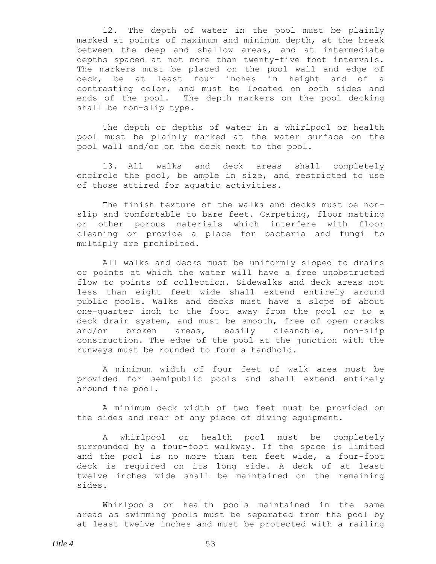12. The depth of water in the pool must be plainly marked at points of maximum and minimum depth, at the break between the deep and shallow areas, and at intermediate depths spaced at not more than twenty-five foot intervals. The markers must be placed on the pool wall and edge of deck, be at least four inches in height and of a contrasting color, and must be located on both sides and ends of the pool. The depth markers on the pool decking shall be non-slip type.

The depth or depths of water in a whirlpool or health pool must be plainly marked at the water surface on the pool wall and/or on the deck next to the pool.

13. All walks and deck areas shall completely encircle the pool, be ample in size, and restricted to use of those attired for aquatic activities.

The finish texture of the walks and decks must be nonslip and comfortable to bare feet. Carpeting, floor matting or other porous materials which interfere with floor cleaning or provide a place for bacteria and fungi to multiply are prohibited.

All walks and decks must be uniformly sloped to drains or points at which the water will have a free unobstructed flow to points of collection. Sidewalks and deck areas not less than eight feet wide shall extend entirely around public pools. Walks and decks must have a slope of about one-quarter inch to the foot away from the pool or to a deck drain system, and must be smooth, free of open cracks and/or broken areas, easily cleanable, non-slip construction. The edge of the pool at the junction with the runways must be rounded to form a handhold.

A minimum width of four feet of walk area must be provided for semipublic pools and shall extend entirely around the pool.

A minimum deck width of two feet must be provided on the sides and rear of any piece of diving equipment.

A whirlpool or health pool must be completely surrounded by a four-foot walkway. If the space is limited and the pool is no more than ten feet wide, a four-foot deck is required on its long side. A deck of at least twelve inches wide shall be maintained on the remaining sides.

Whirlpools or health pools maintained in the same areas as swimming pools must be separated from the pool by at least twelve inches and must be protected with a railing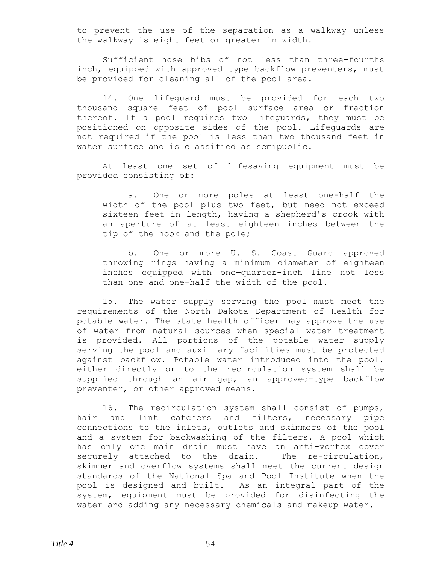to prevent the use of the separation as a walkway unless the walkway is eight feet or greater in width.

Sufficient hose bibs of not less than three-fourths inch, equipped with approved type backflow preventers, must be provided for cleaning all of the pool area.

14. One lifeguard must be provided for each two thousand square feet of pool surface area or fraction thereof. If a pool requires two lifeguards, they must be positioned on opposite sides of the pool. Lifeguards are not required if the pool is less than two thousand feet in water surface and is classified as semipublic.

At least one set of lifesaving equipment must be provided consisting of:

a. One or more poles at least one-half the width of the pool plus two feet, but need not exceed sixteen feet in length, having a shepherd's crook with an aperture of at least eighteen inches between the tip of the hook and the pole;

b. One or more U. S. Coast Guard approved throwing rings having a minimum diameter of eighteen inches equipped with one—quarter-inch line not less than one and one-half the width of the pool.

15. The water supply serving the pool must meet the requirements of the North Dakota Department of Health for potable water. The state health officer may approve the use of water from natural sources when special water treatment is provided. All portions of the potable water supply serving the pool and auxiliary facilities must be protected against backflow. Potable water introduced into the pool, either directly or to the recirculation system shall be supplied through an air gap, an approved-type backflow preventer, or other approved means.

16. The recirculation system shall consist of pumps, hair and lint catchers and filters, necessary pipe connections to the inlets, outlets and skimmers of the pool and a system for backwashing of the filters. A pool which has only one main drain must have an anti-vortex cover securely attached to the drain. The re-circulation, skimmer and overflow systems shall meet the current design standards of the National Spa and Pool Institute when the pool is designed and built. As an integral part of the system, equipment must be provided for disinfecting the water and adding any necessary chemicals and makeup water.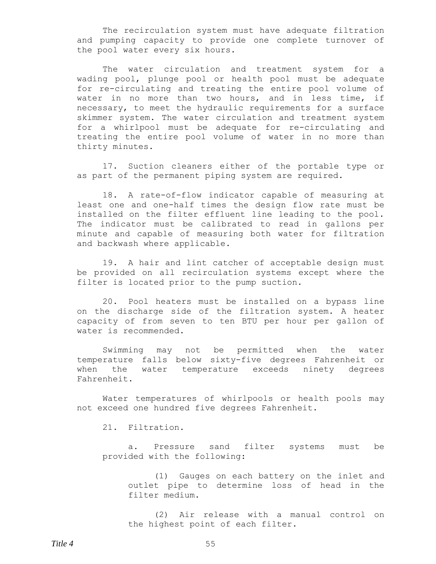The recirculation system must have adequate filtration and pumping capacity to provide one complete turnover of the pool water every six hours.

The water circulation and treatment system for a wading pool, plunge pool or health pool must be adequate for re-circulating and treating the entire pool volume of water in no more than two hours, and in less time, if necessary, to meet the hydraulic requirements for a surface skimmer system. The water circulation and treatment system for a whirlpool must be adequate for re-circulating and treating the entire pool volume of water in no more than thirty minutes.

17. Suction cleaners either of the portable type or as part of the permanent piping system are required.

18. A rate-of-flow indicator capable of measuring at least one and one-half times the design flow rate must be installed on the filter effluent line leading to the pool. The indicator must be calibrated to read in gallons per minute and capable of measuring both water for filtration and backwash where applicable.

19. A hair and lint catcher of acceptable design must be provided on all recirculation systems except where the filter is located prior to the pump suction.

20. Pool heaters must be installed on a bypass line on the discharge side of the filtration system. A heater capacity of from seven to ten BTU per hour per gallon of water is recommended.

Swimming may not be permitted when the water temperature falls below sixty-five degrees Fahrenheit or when the water temperature exceeds ninety degrees Fahrenheit.

Water temperatures of whirlpools or health pools may not exceed one hundred five degrees Fahrenheit.

21. Filtration.

a. Pressure sand filter systems must be provided with the following:

(1) Gauges on each battery on the inlet and outlet pipe to determine loss of head in the filter medium.

(2) Air release with a manual control on the highest point of each filter.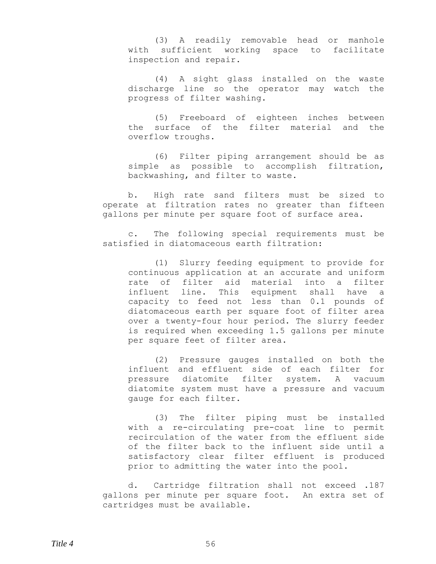(3) A readily removable head or manhole with sufficient working space to facilitate inspection and repair.

(4) A sight glass installed on the waste discharge line so the operator may watch the progress of filter washing.

(5) Freeboard of eighteen inches between the surface of the filter material and the overflow troughs.

(6) Filter piping arrangement should be as simple as possible to accomplish filtration, backwashing, and filter to waste.

b. High rate sand filters must be sized to operate at filtration rates no greater than fifteen gallons per minute per square foot of surface area.

c. The following special requirements must be satisfied in diatomaceous earth filtration:

(1) Slurry feeding equipment to provide for continuous application at an accurate and uniform rate of filter aid material into a filter influent line. This equipment shall have a capacity to feed not less than 0.1 pounds of diatomaceous earth per square foot of filter area over a twenty-four hour period. The slurry feeder is required when exceeding 1.5 gallons per minute per square feet of filter area.

(2) Pressure gauges installed on both the influent and effluent side of each filter for pressure diatomite filter system. A vacuum diatomite system must have a pressure and vacuum gauge for each filter.

(3) The filter piping must be installed with a re-circulating pre-coat line to permit recirculation of the water from the effluent side of the filter back to the influent side until a satisfactory clear filter effluent is produced prior to admitting the water into the pool.

d. Cartridge filtration shall not exceed .187 gallons per minute per square foot. An extra set of cartridges must be available.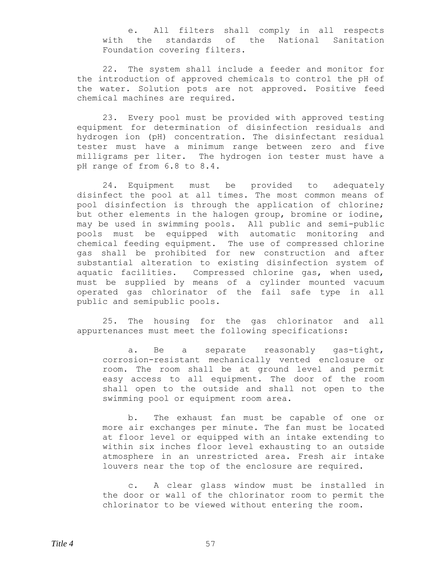e. All filters shall comply in all respects with the standards of the National Sanitation Foundation covering filters.

22. The system shall include a feeder and monitor for the introduction of approved chemicals to control the pH of the water. Solution pots are not approved. Positive feed chemical machines are required.

23. Every pool must be provided with approved testing equipment for determination of disinfection residuals and hydrogen ion (pH) concentration. The disinfectant residual tester must have a minimum range between zero and five milligrams per liter. The hydrogen ion tester must have a pH range of from 6.8 to 8.4.

24. Equipment must be provided to adequately disinfect the pool at all times. The most common means of pool disinfection is through the application of chlorine; but other elements in the halogen group, bromine or iodine, may be used in swimming pools. All public and semi-public pools must be equipped with automatic monitoring and chemical feeding equipment. The use of compressed chlorine gas shall be prohibited for new construction and after substantial alteration to existing disinfection system of aquatic facilities. Compressed chlorine gas, when used, must be supplied by means of a cylinder mounted vacuum operated gas chlorinator of the fail safe type in all public and semipublic pools.

25. The housing for the gas chlorinator and all appurtenances must meet the following specifications:

a. Be a separate reasonably gas-tight, corrosion-resistant mechanically vented enclosure or room. The room shall be at ground level and permit easy access to all equipment. The door of the room shall open to the outside and shall not open to the swimming pool or equipment room area.

b. The exhaust fan must be capable of one or more air exchanges per minute. The fan must be located at floor level or equipped with an intake extending to within six inches floor level exhausting to an outside atmosphere in an unrestricted area. Fresh air intake louvers near the top of the enclosure are required.

c. A clear glass window must be installed in the door or wall of the chlorinator room to permit the chlorinator to be viewed without entering the room.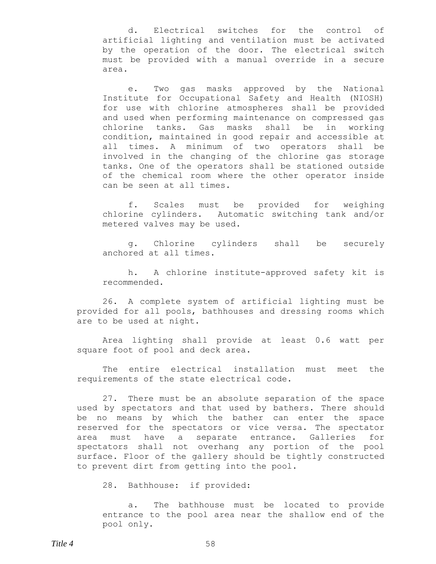d. Electrical switches for the control of artificial lighting and ventilation must be activated by the operation of the door. The electrical switch must be provided with a manual override in a secure area.

e. Two gas masks approved by the National Institute for Occupational Safety and Health (NIOSH) for use with chlorine atmospheres shall be provided and used when performing maintenance on compressed gas chlorine tanks. Gas masks shall be in working condition, maintained in good repair and accessible at all times. A minimum of two operators shall be involved in the changing of the chlorine gas storage tanks. One of the operators shall be stationed outside of the chemical room where the other operator inside can be seen at all times.

f. Scales must be provided for weighing chlorine cylinders. Automatic switching tank and/or metered valves may be used.

g. Chlorine cylinders shall be securely anchored at all times.

h. A chlorine institute-approved safety kit is recommended.

26. A complete system of artificial lighting must be provided for all pools, bathhouses and dressing rooms which are to be used at night.

Area lighting shall provide at least 0.6 watt per square foot of pool and deck area.

The entire electrical installation must meet the requirements of the state electrical code.

27. There must be an absolute separation of the space used by spectators and that used by bathers. There should be no means by which the bather can enter the space reserved for the spectators or vice versa. The spectator area must have a separate entrance. Galleries for spectators shall not overhang any portion of the pool surface. Floor of the gallery should be tightly constructed to prevent dirt from getting into the pool.

28. Bathhouse: if provided:

a. The bathhouse must be located to provide entrance to the pool area near the shallow end of the pool only.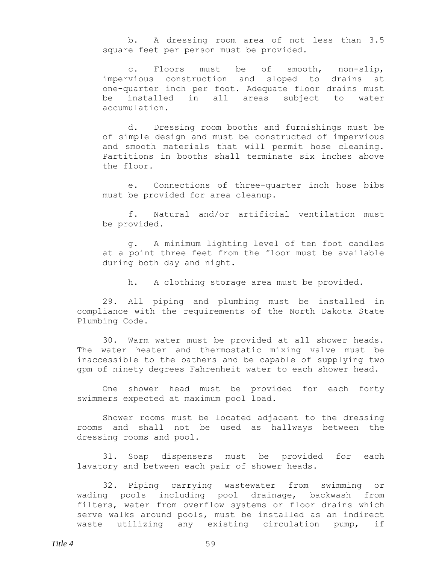b. A dressing room area of not less than 3.5 square feet per person must be provided.

c. Floors must be of smooth, non-slip, impervious construction and sloped to drains at one-quarter inch per foot. Adequate floor drains must be installed in all areas subject to water accumulation.

d. Dressing room booths and furnishings must be of simple design and must be constructed of impervious and smooth materials that will permit hose cleaning. Partitions in booths shall terminate six inches above the floor.

e. Connections of three-quarter inch hose bibs must be provided for area cleanup.

f. Natural and/or artificial ventilation must be provided.

g. A minimum lighting level of ten foot candles at a point three feet from the floor must be available during both day and night.

h. A clothing storage area must be provided.

29. All piping and plumbing must be installed in compliance with the requirements of the North Dakota State Plumbing Code.

30. Warm water must be provided at all shower heads. The water heater and thermostatic mixing valve must be inaccessible to the bathers and be capable of supplying two gpm of ninety degrees Fahrenheit water to each shower head.

One shower head must be provided for each forty swimmers expected at maximum pool load.

Shower rooms must be located adjacent to the dressing rooms and shall not be used as hallways between the dressing rooms and pool.

31. Soap dispensers must be provided for each lavatory and between each pair of shower heads.

32. Piping carrying wastewater from swimming or wading pools including pool drainage, backwash from filters, water from overflow systems or floor drains which serve walks around pools, must be installed as an indirect waste utilizing any existing circulation pump, if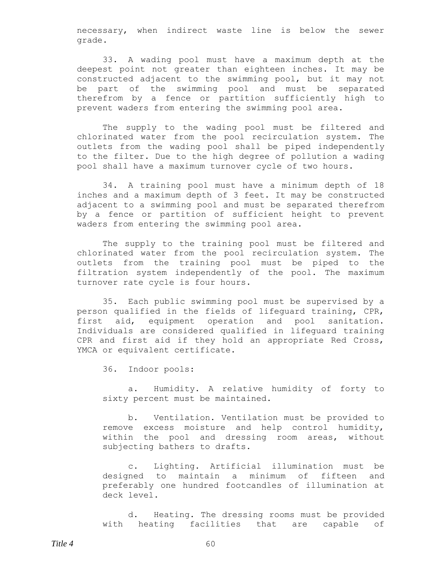necessary, when indirect waste line is below the sewer grade.

33. A wading pool must have a maximum depth at the deepest point not greater than eighteen inches. It may be constructed adjacent to the swimming pool, but it may not be part of the swimming pool and must be separated therefrom by a fence or partition sufficiently high to prevent waders from entering the swimming pool area.

The supply to the wading pool must be filtered and chlorinated water from the pool recirculation system. The outlets from the wading pool shall be piped independently to the filter. Due to the high degree of pollution a wading pool shall have a maximum turnover cycle of two hours.

34. A training pool must have a minimum depth of 18 inches and a maximum depth of 3 feet. It may be constructed adjacent to a swimming pool and must be separated therefrom by a fence or partition of sufficient height to prevent waders from entering the swimming pool area.

The supply to the training pool must be filtered and chlorinated water from the pool recirculation system. The outlets from the training pool must be piped to the filtration system independently of the pool. The maximum turnover rate cycle is four hours.

35. Each public swimming pool must be supervised by a person qualified in the fields of lifeguard training, CPR, first aid, equipment operation and pool sanitation. Individuals are considered qualified in lifeguard training CPR and first aid if they hold an appropriate Red Cross, YMCA or equivalent certificate.

36. Indoor pools:

a. Humidity. A relative humidity of forty to sixty percent must be maintained.

b. Ventilation. Ventilation must be provided to remove excess moisture and help control humidity, within the pool and dressing room areas, without subjecting bathers to drafts.

c. Lighting. Artificial illumination must be designed to maintain a minimum of fifteen and preferably one hundred footcandles of illumination at deck level.

d. Heating. The dressing rooms must be provided with heating facilities that are capable of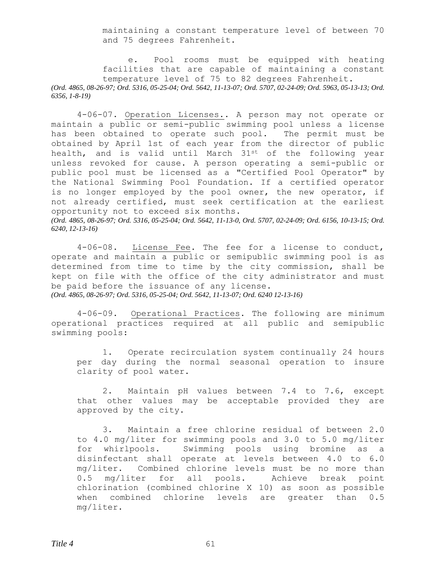maintaining a constant temperature level of between 70 and 75 degrees Fahrenheit.

e. Pool rooms must be equipped with heating facilities that are capable of maintaining a constant temperature level of 75 to 82 degrees Fahrenheit. *(Ord. 4865, 08-26-97; Ord. 5316, 05-25-04; Ord. 5642, 11-13-07; Ord. 5707, 02-24-09; Ord. 5963, 05-13-13; Ord. 6356, 1-8-19)*

4-06-07. Operation Licenses.. A person may not operate or maintain a public or semi-public swimming pool unless a license has been obtained to operate such pool. The permit must be obtained by April 1st of each year from the director of public health, and is valid until March 31st of the following year unless revoked for cause. A person operating a semi-public or public pool must be licensed as a "Certified Pool Operator" by the National Swimming Pool Foundation. If a certified operator is no longer employed by the pool owner, the new operator, if not already certified, must seek certification at the earliest opportunity not to exceed six months. *(Ord. 4865, 08-26-97; Ord. 5316, 05-25-04; Ord. 5642, 11-13-0, Ord. 5707, 02-24-09; Ord. 6156, 10-13-15; Ord. 6240, 12-13-16)*

4-06-08. License Fee. The fee for a license to conduct, operate and maintain a public or semipublic swimming pool is as determined from time to time by the city commission, shall be kept on file with the office of the city administrator and must be paid before the issuance of any license. *(Ord. 4865, 08-26-97; Ord. 5316, 05-25-04; Ord. 5642, 11-13-07; Ord. 6240 12-13-16)*

4-06-09. Operational Practices. The following are minimum operational practices required at all public and semipublic swimming pools:

1. Operate recirculation system continually 24 hours per day during the normal seasonal operation to insure clarity of pool water.

2. Maintain pH values between 7.4 to 7.6, except that other values may be acceptable provided they are approved by the city.

3. Maintain a free chlorine residual of between 2.0 to 4.0 mg/liter for swimming pools and 3.0 to 5.0 mg/liter for whirlpools. Swimming pools using bromine as a disinfectant shall operate at levels between 4.0 to 6.0 mg/liter. Combined chlorine levels must be no more than 0.5 mg/liter for all pools. Achieve break point chlorination (combined chlorine X 10) as soon as possible when combined chlorine levels are greater than 0.5 mg/liter.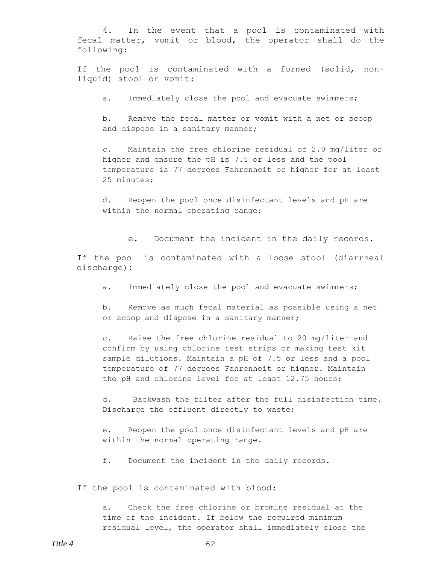4. In the event that a pool is contaminated with fecal matter, vomit or blood, the operator shall do the following:

If the pool is contaminated with a formed (solid, nonliquid) stool or vomit:

a. Immediately close the pool and evacuate swimmers;

b. Remove the fecal matter or vomit with a net or scoop and dispose in a sanitary manner;

c. Maintain the free chlorine residual of 2.0 mg/liter or higher and ensure the pH is 7.5 or less and the pool temperature is 77 degrees Fahrenheit or higher for at least 25 minutes;

d. Reopen the pool once disinfectant levels and pH are within the normal operating range;

e. Document the incident in the daily records.

If the pool is contaminated with a loose stool (diarrheal discharge):

a. Immediately close the pool and evacuate swimmers;

b. Remove as much fecal material as possible using a net or scoop and dispose in a sanitary manner;

c. Raise the free chlorine residual to 20 mg/liter and confirm by using chlorine test strips or making test kit sample dilutions. Maintain a pH of 7.5 or less and a pool temperature of 77 degrees Fahrenheit or higher. Maintain the pH and chlorine level for at least 12.75 hours;

d. Backwash the filter after the full disinfection time. Discharge the effluent directly to waste;

e. Reopen the pool once disinfectant levels and pH are within the normal operating range.

f. Document the incident in the daily records.

If the pool is contaminated with blood:

a. Check the free chlorine or bromine residual at the time of the incident. If below the required minimum residual level, the operator shall immediately close the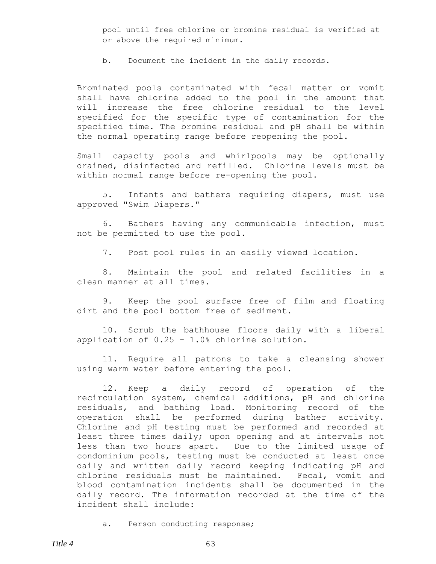pool until free chlorine or bromine residual is verified at or above the required minimum.

b. Document the incident in the daily records.

Brominated pools contaminated with fecal matter or vomit shall have chlorine added to the pool in the amount that will increase the free chlorine residual to the level specified for the specific type of contamination for the specified time. The bromine residual and pH shall be within the normal operating range before reopening the pool.

Small capacity pools and whirlpools may be optionally drained, disinfected and refilled. Chlorine levels must be within normal range before re-opening the pool.

5. Infants and bathers requiring diapers, must use approved "Swim Diapers."

6. Bathers having any communicable infection, must not be permitted to use the pool.

7. Post pool rules in an easily viewed location.

8. Maintain the pool and related facilities in a clean manner at all times.

9. Keep the pool surface free of film and floating dirt and the pool bottom free of sediment.

10. Scrub the bathhouse floors daily with a liberal application of 0.25 - 1.0% chlorine solution.

11. Require all patrons to take a cleansing shower using warm water before entering the pool.

12. Keep a daily record of operation of the recirculation system, chemical additions, pH and chlorine residuals, and bathing load. Monitoring record of the operation shall be performed during bather activity. Chlorine and pH testing must be performed and recorded at least three times daily; upon opening and at intervals not less than two hours apart. Due to the limited usage of condominium pools, testing must be conducted at least once daily and written daily record keeping indicating pH and chlorine residuals must be maintained. Fecal, vomit and blood contamination incidents shall be documented in the daily record. The information recorded at the time of the incident shall include:

a. Person conducting response;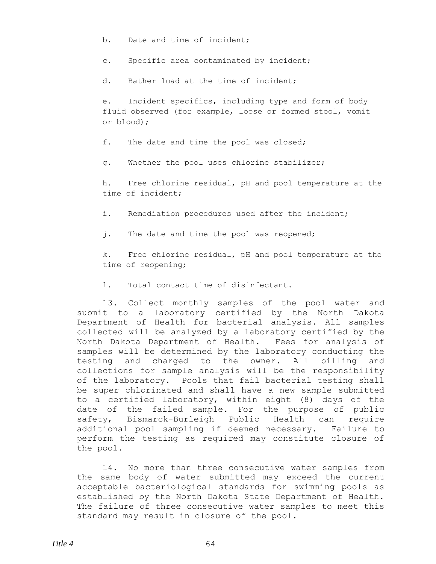b. Date and time of incident;

c. Specific area contaminated by incident;

d. Bather load at the time of incident;

e. Incident specifics, including type and form of body fluid observed (for example, loose or formed stool, vomit or blood);

f. The date and time the pool was closed;

g. Whether the pool uses chlorine stabilizer;

h. Free chlorine residual, pH and pool temperature at the time of incident;

i. Remediation procedures used after the incident;

j. The date and time the pool was reopened;

k. Free chlorine residual, pH and pool temperature at the time of reopening;

l. Total contact time of disinfectant.

13. Collect monthly samples of the pool water and submit to a laboratory certified by the North Dakota Department of Health for bacterial analysis. All samples collected will be analyzed by a laboratory certified by the North Dakota Department of Health. Fees for analysis of samples will be determined by the laboratory conducting the testing and charged to the owner. All billing and collections for sample analysis will be the responsibility of the laboratory. Pools that fail bacterial testing shall be super chlorinated and shall have a new sample submitted to a certified laboratory, within eight (8) days of the date of the failed sample. For the purpose of public safety, Bismarck-Burleigh Public Health can require additional pool sampling if deemed necessary. Failure to perform the testing as required may constitute closure of the pool.

14. No more than three consecutive water samples from the same body of water submitted may exceed the current acceptable bacteriological standards for swimming pools as established by the North Dakota State Department of Health. The failure of three consecutive water samples to meet this standard may result in closure of the pool.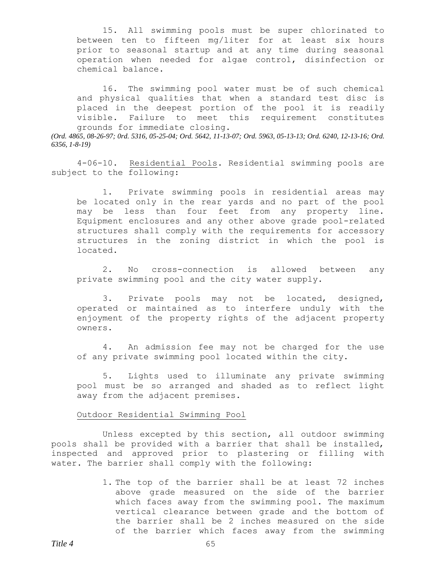15. All swimming pools must be super chlorinated to between ten to fifteen mg/liter for at least six hours prior to seasonal startup and at any time during seasonal operation when needed for algae control, disinfection or chemical balance.

16. The swimming pool water must be of such chemical and physical qualities that when a standard test disc is placed in the deepest portion of the pool it is readily visible. Failure to meet this requirement constitutes grounds for immediate closing.

*(Ord. 4865, 08-26-97; 0rd. 5316, 05-25-04; Ord. 5642, 11-13-07; Ord. 5963, 05-13-13; Ord. 6240, 12-13-16; Ord. 6356, 1-8-19)*

4-06-10. Residential Pools. Residential swimming pools are subject to the following:

1. Private swimming pools in residential areas may be located only in the rear yards and no part of the pool may be less than four feet from any property line. Equipment enclosures and any other above grade pool-related structures shall comply with the requirements for accessory structures in the zoning district in which the pool is located.

2. No cross-connection is allowed between any private swimming pool and the city water supply.

3. Private pools may not be located, designed, operated or maintained as to interfere unduly with the enjoyment of the property rights of the adjacent property owners.

4. An admission fee may not be charged for the use of any private swimming pool located within the city.

5. Lights used to illuminate any private swimming pool must be so arranged and shaded as to reflect light away from the adjacent premises.

### Outdoor Residential Swimming Pool

Unless excepted by this section, all outdoor swimming pools shall be provided with a barrier that shall be installed, inspected and approved prior to plastering or filling with water. The barrier shall comply with the following:

> 1. The top of the barrier shall be at least 72 inches above grade measured on the side of the barrier which faces away from the swimming pool. The maximum vertical clearance between grade and the bottom of the barrier shall be 2 inches measured on the side of the barrier which faces away from the swimming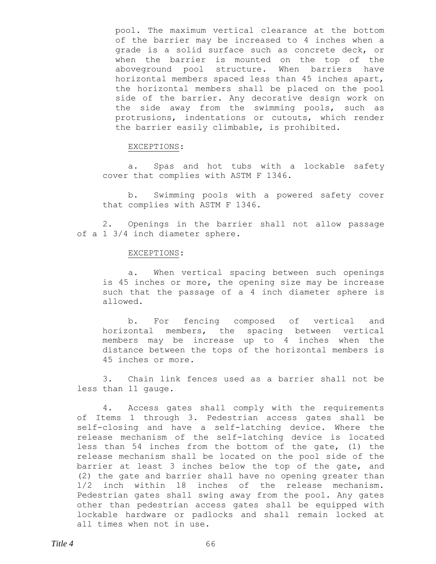pool. The maximum vertical clearance at the bottom of the barrier may be increased to 4 inches when a grade is a solid surface such as concrete deck, or when the barrier is mounted on the top of the aboveground pool structure. When barriers have horizontal members spaced less than 45 inches apart, the horizontal members shall be placed on the pool side of the barrier. Any decorative design work on the side away from the swimming pools, such as protrusions, indentations or cutouts, which render the barrier easily climbable, is prohibited.

### EXCEPTIONS:

a. Spas and hot tubs with a lockable safety cover that complies with ASTM F 1346.

b. Swimming pools with a powered safety cover that complies with ASTM F 1346.

2. Openings in the barrier shall not allow passage of a 1 3/4 inch diameter sphere.

#### EXCEPTIONS:

a. When vertical spacing between such openings is 45 inches or more, the opening size may be increase such that the passage of a 4 inch diameter sphere is allowed.

b. For fencing composed of vertical and horizontal members, the spacing between vertical members may be increase up to 4 inches when the distance between the tops of the horizontal members is 45 inches or more.

3. Chain link fences used as a barrier shall not be less than 11 gauge.

4. Access gates shall comply with the requirements of Items 1 through 3. Pedestrian access gates shall be self-closing and have a self-latching device. Where the release mechanism of the self-latching device is located less than 54 inches from the bottom of the gate, (1) the release mechanism shall be located on the pool side of the barrier at least 3 inches below the top of the gate, and (2) the gate and barrier shall have no opening greater than 1/2 inch within 18 inches of the release mechanism. Pedestrian gates shall swing away from the pool. Any gates other than pedestrian access gates shall be equipped with lockable hardware or padlocks and shall remain locked at all times when not in use.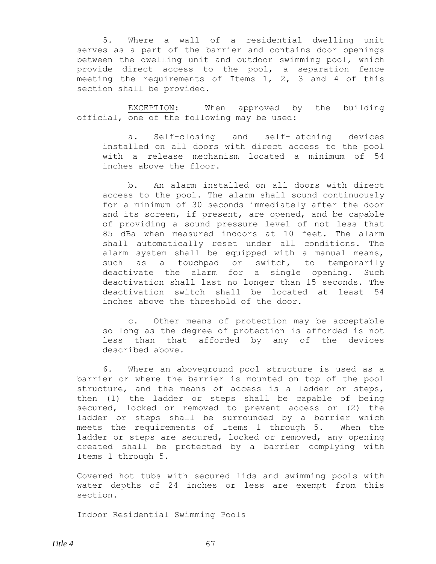5. Where a wall of a residential dwelling unit serves as a part of the barrier and contains door openings between the dwelling unit and outdoor swimming pool, which provide direct access to the pool, a separation fence meeting the requirements of Items 1, 2, 3 and 4 of this section shall be provided.

EXCEPTION: When approved by the building official, one of the following may be used:

a. Self-closing and self-latching devices installed on all doors with direct access to the pool with a release mechanism located a minimum of 54 inches above the floor.

b. An alarm installed on all doors with direct access to the pool. The alarm shall sound continuously for a minimum of 30 seconds immediately after the door and its screen, if present, are opened, and be capable of providing a sound pressure level of not less that 85 dBa when measured indoors at 10 feet. The alarm shall automatically reset under all conditions. The alarm system shall be equipped with a manual means, such as a touchpad or switch, to temporarily deactivate the alarm for a single opening. Such deactivation shall last no longer than 15 seconds. The deactivation switch shall be located at least 54 inches above the threshold of the door.

c. Other means of protection may be acceptable so long as the degree of protection is afforded is not less than that afforded by any of the devices described above.

6. Where an aboveground pool structure is used as a barrier or where the barrier is mounted on top of the pool structure, and the means of access is a ladder or steps, then (1) the ladder or steps shall be capable of being secured, locked or removed to prevent access or (2) the ladder or steps shall be surrounded by a barrier which meets the requirements of Items 1 through 5. When the ladder or steps are secured, locked or removed, any opening created shall be protected by a barrier complying with Items 1 through 5.

Covered hot tubs with secured lids and swimming pools with water depths of 24 inches or less are exempt from this section.

Indoor Residential Swimming Pools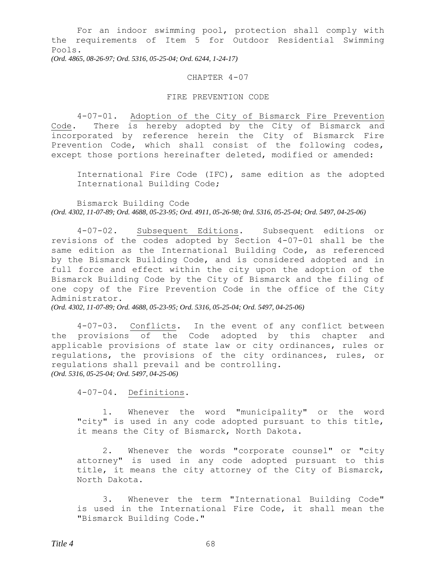For an indoor swimming pool, protection shall comply with the requirements of Item 5 for Outdoor Residential Swimming Pools.

*(Ord. 4865, 08-26-97; Ord. 5316, 05-25-04; Ord. 6244, 1-24-17)*

### CHAPTER 4-07

### FIRE PREVENTION CODE

4-07-01. Adoption of the City of Bismarck Fire Prevention Code. There is hereby adopted by the City of Bismarck and incorporated by reference herein the City of Bismarck Fire Prevention Code, which shall consist of the following codes, except those portions hereinafter deleted, modified or amended:

International Fire Code (IFC), same edition as the adopted International Building Code;

Bismarck Building Code *(Ord. 4302, 11-07-89; Ord. 4688, 05-23-95; Ord. 4911, 05-26-98; 0rd. 5316, 05-25-04; Ord. 5497, 04-25-06)*

4-07-02. Subsequent Editions. Subsequent editions or revisions of the codes adopted by Section 4-07-01 shall be the same edition as the International Building Code, as referenced by the Bismarck Building Code, and is considered adopted and in full force and effect within the city upon the adoption of the Bismarck Building Code by the City of Bismarck and the filing of one copy of the Fire Prevention Code in the office of the City Administrator.

*(Ord. 4302, 11-07-89; Ord. 4688, 05-23-95; Ord. 5316, 05-25-04; Ord. 5497, 04-25-06)*

4-07-03. Conflicts. In the event of any conflict between the provisions of the Code adopted by this chapter and applicable provisions of state law or city ordinances, rules or regulations, the provisions of the city ordinances, rules, or regulations shall prevail and be controlling. *(Ord. 5316, 05-25-04; Ord. 5497, 04-25-06)*

4-07-04. Definitions.

1. Whenever the word "municipality" or the word "city" is used in any code adopted pursuant to this title, it means the City of Bismarck, North Dakota.

2. Whenever the words "corporate counsel" or "city attorney" is used in any code adopted pursuant to this title, it means the city attorney of the City of Bismarck, North Dakota.

3. Whenever the term "International Building Code" is used in the International Fire Code, it shall mean the "Bismarck Building Code."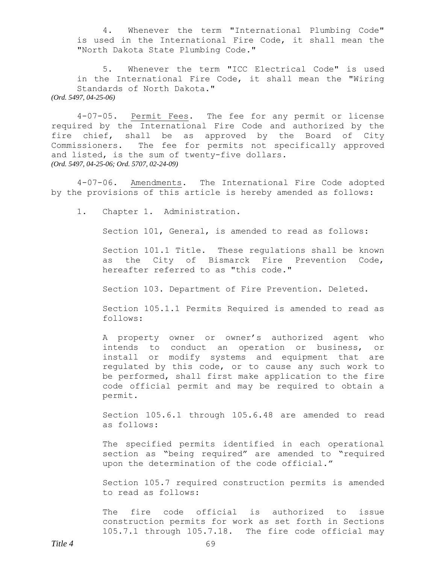4. Whenever the term "International Plumbing Code" is used in the International Fire Code, it shall mean the "North Dakota State Plumbing Code."

5. Whenever the term "ICC Electrical Code" is used in the International Fire Code, it shall mean the "Wiring Standards of North Dakota." *(Ord. 5497, 04-25-06)*

4-07-05. Permit Fees. The fee for any permit or license required by the International Fire Code and authorized by the fire chief, shall be as approved by the Board of City Commissioners. The fee for permits not specifically approved and listed, is the sum of twenty-five dollars. *(Ord. 5497, 04-25-06; Ord. 5707, 02-24-09)*

4-07-06. Amendments. The International Fire Code adopted by the provisions of this article is hereby amended as follows:

1. Chapter 1. Administration.

Section 101, General, is amended to read as follows:

Section 101.1 Title. These regulations shall be known as the City of Bismarck Fire Prevention Code, hereafter referred to as "this code."

Section 103. Department of Fire Prevention. Deleted.

Section 105.1.1 Permits Required is amended to read as follows:

A property owner or owner's authorized agent who intends to conduct an operation or business, or install or modify systems and equipment that are regulated by this code, or to cause any such work to be performed, shall first make application to the fire code official permit and may be required to obtain a permit.

Section 105.6.1 through 105.6.48 are amended to read as follows:

The specified permits identified in each operational section as "being required" are amended to "required upon the determination of the code official."

Section 105.7 required construction permits is amended to read as follows:

The fire code official is authorized to issue construction permits for work as set forth in Sections 105.7.1 through 105.7.18. The fire code official may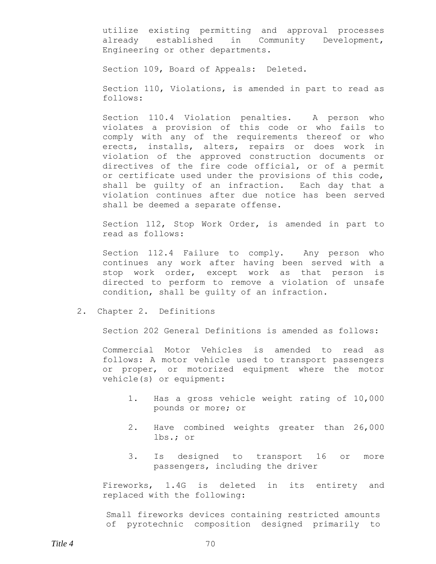utilize existing permitting and approval processes already established in Community Development, Engineering or other departments.

Section 109, Board of Appeals: Deleted.

Section 110, Violations, is amended in part to read as follows:

Section 110.4 Violation penalties. A person who violates a provision of this code or who fails to comply with any of the requirements thereof or who erects, installs, alters, repairs or does work in violation of the approved construction documents or directives of the fire code official, or of a permit or certificate used under the provisions of this code, shall be guilty of an infraction. Each day that a violation continues after due notice has been served shall be deemed a separate offense.

Section 112, Stop Work Order, is amended in part to read as follows:

Section 112.4 Failure to comply. Any person who continues any work after having been served with a stop work order, except work as that person is directed to perform to remove a violation of unsafe condition, shall be guilty of an infraction.

2. Chapter 2. Definitions

Section 202 General Definitions is amended as follows:

Commercial Motor Vehicles is amended to read as follows: A motor vehicle used to transport passengers or proper, or motorized equipment where the motor vehicle(s) or equipment:

- 1. Has a gross vehicle weight rating of 10,000 pounds or more; or
- 2. Have combined weights greater than 26,000 lbs.; or
- 3. Is designed to transport 16 or more passengers, including the driver

Fireworks, 1.4G is deleted in its entirety and replaced with the following:

Small fireworks devices containing restricted amounts of pyrotechnic composition designed primarily to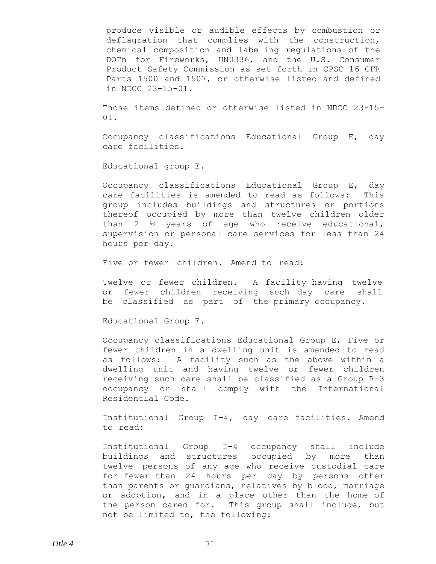produce visible or audible effects by combustion or deflagration that complies with the construction, chemical composition and labeling regulations of the DOTn for Fireworks, UN0336, and the U.S. Consumer Product Safety Commission as set forth in CPSC 16 CFR Parts 1500 and 1507, or otherwise listed and defined in NDCC 23-15-01.

Those items defined or otherwise listed in NDCC 23-15- 01.

Occupancy classifications Educational Group E, day care facilities.

Educational group E.

Occupancy classifications Educational Group E, day care facilities is amended to read as follows: This group includes buildings and structures or portions thereof occupied by more than twelve children older than 2 ½ years of age who receive educational, supervision or personal care services for less than 24 hours per day.

Five or fewer children. Amend to read:

Twelve or fewer children. A facility having twelve or fewer children receiving such day care shall be classified as part of the primary occupancy.

Educational Group E.

Occupancy classifications Educational Group E, Five or fewer children in a dwelling unit is amended to read as follows: A facility such as the above within a dwelling unit and having twelve or fewer children receiving such care shall be classified as a Group R-3 occupancy or shall comply with the International Residential Code.

Institutional Group I-4, day care facilities. Amend to read:

Institutional Group I-4 occupancy shall include buildings and structures occupied by more than twelve persons of any age who receive custodial care for fewer than 24 hours per day by persons other than parents or guardians, relatives by blood, marriage or adoption, and in a place other than the home of the person cared for. This group shall include, but not be limited to, the following: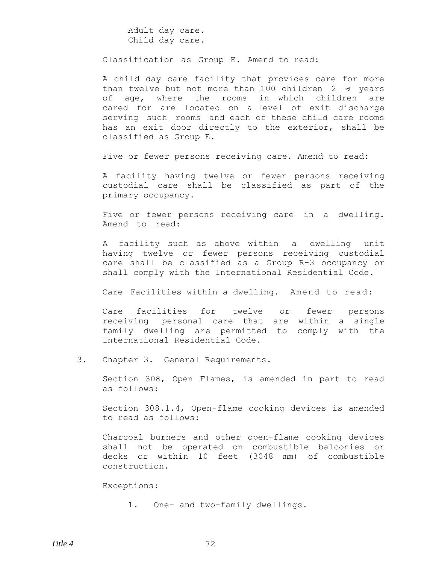Adult day care. Child day care.

Classification as Group E. Amend to read:

A child day care facility that provides care for more than twelve but not more than 100 children  $2 \frac{1}{2}$  years of age, where the rooms in which children are cared for are located on a level of exit discharge serving such rooms and each of these child care rooms has an exit door directly to the exterior, shall be classified as Group E.

Five or fewer persons receiving care. Amend to read:

A facility having twelve or fewer persons receiving custodial care shall be classified as part of the primary occupancy.

Five or fewer persons receiving care in a dwelling. Amend to read:

A facility such as above within a dwelling unit having twelve or fewer persons receiving custodial care shall be classified as a Group R-3 occupancy or shall comply with the International Residential Code.

Care Facilities within a dwelling. Amend to read:

Care facilities for twelve or fewer persons receiving personal care that are within a single family dwelling are permitted to comply with the International Residential Code.

3. Chapter 3. General Requirements.

Section 308, Open Flames, is amended in part to read as follows:

Section 308.1.4, Open-flame cooking devices is amended to read as follows:

Charcoal burners and other open-flame cooking devices shall not be operated on combustible balconies or decks or within 10 feet (3048 mm) of combustible construction.

Exceptions:

1. One- and two-family dwellings.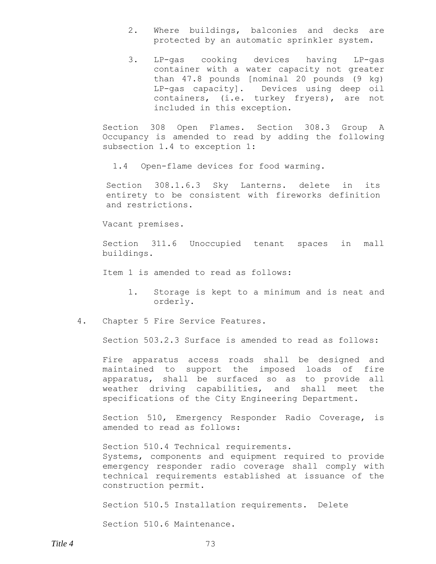- 2. Where buildings, balconies and decks are protected by an automatic sprinkler system.
- 3. LP-gas cooking devices having LP-gas container with a water capacity not greater than 47.8 pounds [nominal 20 pounds (9 kg) LP-gas capacity]. Devices using deep oil containers, (i.e. turkey fryers), are not included in this exception.

Section 308 Open Flames. Section 308.3 Group A Occupancy is amended to read by adding the following subsection 1.4 to exception 1:

1.4 Open-flame devices for food warming.

Section 308.1.6.3 Sky Lanterns. delete in its entirety to be consistent with fireworks definition and restrictions.

Vacant premises.

Section 311.6 Unoccupied tenant spaces in mall buildings.

Item 1 is amended to read as follows:

- 1. Storage is kept to a minimum and is neat and orderly.
- 4. Chapter 5 Fire Service Features.

Section 503.2.3 Surface is amended to read as follows:

Fire apparatus access roads shall be designed and maintained to support the imposed loads of fire apparatus, shall be surfaced so as to provide all weather driving capabilities, and shall meet the specifications of the City Engineering Department.

Section 510, Emergency Responder Radio Coverage, is amended to read as follows:

Section 510.4 Technical requirements. Systems, components and equipment required to provide emergency responder radio coverage shall comply with technical requirements established at issuance of the construction permit.

Section 510.5 Installation requirements. Delete

Section 510.6 Maintenance.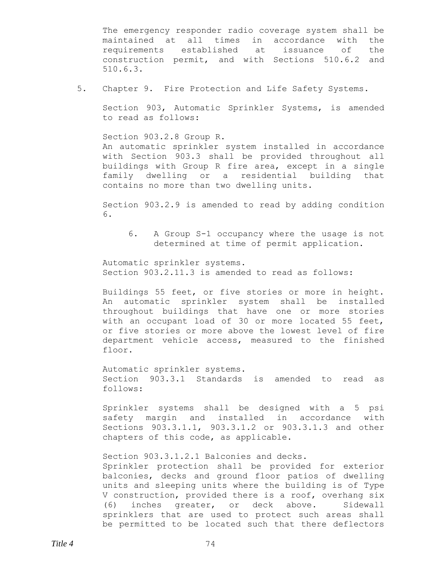The emergency responder radio coverage system shall be maintained at all times in accordance with the requirements established at issuance of the construction permit, and with Sections 510.6.2 and 510.6.3.

5. Chapter 9. Fire Protection and Life Safety Systems.

Section 903, Automatic Sprinkler Systems, is amended to read as follows:

Section 903.2.8 Group R. An automatic sprinkler system installed in accordance with Section 903.3 shall be provided throughout all buildings with Group R fire area, except in a single family dwelling or a residential building that contains no more than two dwelling units.

Section 903.2.9 is amended to read by adding condition 6.

6. A Group S-1 occupancy where the usage is not determined at time of permit application.

Automatic sprinkler systems. Section 903.2.11.3 is amended to read as follows:

Buildings 55 feet, or five stories or more in height. An automatic sprinkler system shall be installed throughout buildings that have one or more stories with an occupant load of 30 or more located 55 feet, or five stories or more above the lowest level of fire department vehicle access, measured to the finished floor.

Automatic sprinkler systems. Section 903.3.1 Standards is amended to read as follows:

Sprinkler systems shall be designed with a 5 psi safety margin and installed in accordance with Sections 903.3.1.1, 903.3.1.2 or 903.3.1.3 and other chapters of this code, as applicable.

Section 903.3.1.2.1 Balconies and decks. Sprinkler protection shall be provided for exterior balconies, decks and ground floor patios of dwelling units and sleeping units where the building is of Type V construction, provided there is a roof, overhang six (6) inches greater, or deck above. Sidewall sprinklers that are used to protect such areas shall be permitted to be located such that there deflectors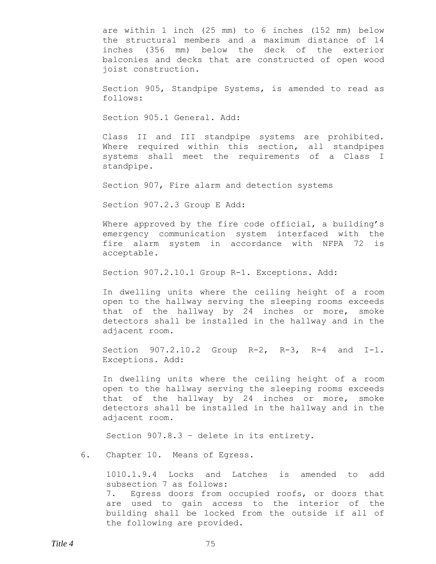are within 1 inch (25 mm) to 6 inches (152 mm) below the structural members and a maximum distance of 14 inches (356 mm) below the deck of the exterior balconies and decks that are constructed of open wood joist construction.

Section 905, Standpipe Systems, is amended to read as follows:

Section 905.1 General. Add:

Class II and III standpipe systems are prohibited. Where required within this section, all standpipes systems shall meet the requirements of a Class I standpipe.

Section 907, Fire alarm and detection systems

Section 907.2.3 Group E Add:

Where approved by the fire code official, a building's emergency communication system interfaced with the fire alarm system in accordance with NFPA 72 is acceptable.

Section 907.2.10.1 Group R-1. Exceptions. Add:

In dwelling units where the ceiling height of a room open to the hallway serving the sleeping rooms exceeds that of the hallway by 24 inches or more, smoke detectors shall be installed in the hallway and in the adjacent room.

Section 907.2.10.2 Group R-2, R-3, R-4 and I-1. Exceptions. Add:

In dwelling units where the ceiling height of a room open to the hallway serving the sleeping rooms exceeds that of the hallway by 24 inches or more, smoke detectors shall be installed in the hallway and in the adjacent room.

Section 907.8.3 – delete in its entirety.

6. Chapter 10. Means of Egress.

1010.1.9.4 Locks and Latches is amended to add subsection 7 as follows: 7. Egress doors from occupied roofs, or doors that are used to gain access to the interior of the building shall be locked from the outside if all of the following are provided.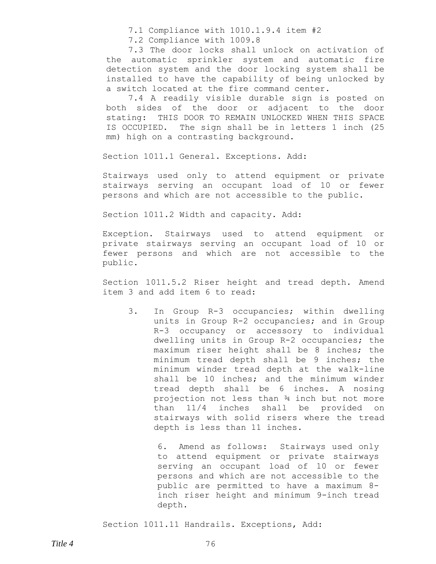7.1 Compliance with 1010.1.9.4 item #2

7.2 Compliance with 1009.8

7.3 The door locks shall unlock on activation of the automatic sprinkler system and automatic fire detection system and the door locking system shall be installed to have the capability of being unlocked by a switch located at the fire command center.

7.4 A readily visible durable sign is posted on both sides of the door or adjacent to the door stating: THIS DOOR TO REMAIN UNLOCKED WHEN THIS SPACE IS OCCUPIED. The sign shall be in letters 1 inch (25 mm) high on a contrasting background.

Section 1011.1 General. Exceptions. Add:

Stairways used only to attend equipment or private stairways serving an occupant load of 10 or fewer persons and which are not accessible to the public.

Section 1011.2 Width and capacity. Add:

Exception. Stairways used to attend equipment or private stairways serving an occupant load of 10 or fewer persons and which are not accessible to the public.

Section 1011.5.2 Riser height and tread depth. Amend item 3 and add item 6 to read:

3. In Group R-3 occupancies; within dwelling units in Group R-2 occupancies; and in Group R-3 occupancy or accessory to individual dwelling units in Group R-2 occupancies; the maximum riser height shall be 8 inches; the minimum tread depth shall be 9 inches; the minimum winder tread depth at the walk-line shall be 10 inches; and the minimum winder tread depth shall be 6 inches. A nosing projection not less than ¾ inch but not more than 11/4 inches shall be provided on stairways with solid risers where the tread depth is less than 11 inches.

> 6. Amend as follows: Stairways used only to attend equipment or private stairways serving an occupant load of 10 or fewer persons and which are not accessible to the public are permitted to have a maximum 8 inch riser height and minimum 9-inch tread depth.

Section 1011.11 Handrails. Exceptions, Add: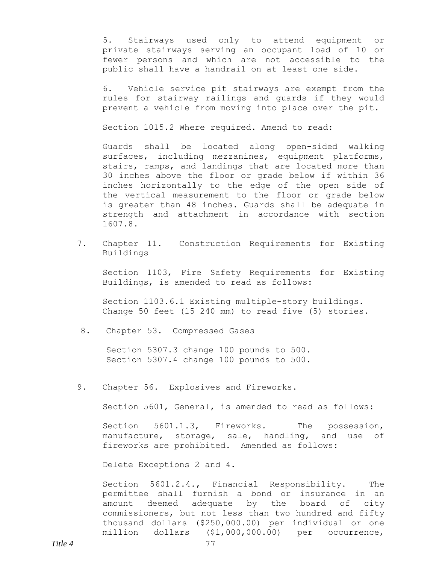5. Stairways used only to attend equipment or private stairways serving an occupant load of 10 or fewer persons and which are not accessible to the public shall have a handrail on at least one side.

6. Vehicle service pit stairways are exempt from the rules for stairway railings and guards if they would prevent a vehicle from moving into place over the pit.

Section 1015.2 Where required. Amend to read:

Guards shall be located along open-sided walking surfaces, including mezzanines, equipment platforms, stairs, ramps, and landings that are located more than 30 inches above the floor or grade below if within 36 inches horizontally to the edge of the open side of the vertical measurement to the floor or grade below is greater than 48 inches. Guards shall be adequate in strength and attachment in accordance with section 1607.8.

7. Chapter 11. Construction Requirements for Existing Buildings

Section 1103, Fire Safety Requirements for Existing Buildings, is amended to read as follows:

Section 1103.6.1 Existing multiple-story buildings. Change 50 feet (15 240 mm) to read five (5) stories.

8. Chapter 53. Compressed Gases

Section 5307.3 change 100 pounds to 500. Section 5307.4 change 100 pounds to 500.

9. Chapter 56. Explosives and Fireworks.

Section 5601, General, is amended to read as follows:

Section 5601.1.3, Fireworks. The possession, manufacture, storage, sale, handling, and use of fireworks are prohibited. Amended as follows:

Delete Exceptions 2 and 4.

Section 5601.2.4., Financial Responsibility. The permittee shall furnish a bond or insurance in an amount deemed adequate by the board of city commissioners, but not less than two hundred and fifty thousand dollars (\$250,000.00) per individual or one million dollars (\$1,000,000.00) per occurrence,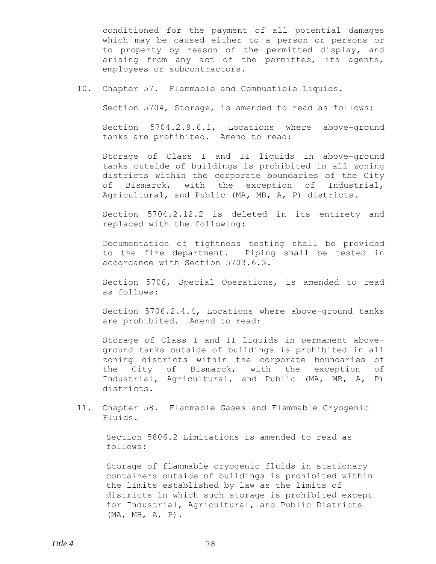conditioned for the payment of all potential damages which may be caused either to a person or persons or to property by reason of the permitted display, and arising from any act of the permittee, its agents, employees or subcontractors.

10. Chapter 57. Flammable and Combustible Liquids.

Section 5704, Storage, is amended to read as follows:

Section 5704.2.9.6.1, Locations where above-ground tanks are prohibited. Amend to read:

Storage of Class I and II liquids in above-ground tanks outside of buildings is prohibited in all zoning districts within the corporate boundaries of the City of Bismarck, with the exception of Industrial, Agricultural, and Public (MA, MB, A, P) districts.

Section 5704.2.12.2 is deleted in its entirety and replaced with the following:

Documentation of tightness testing shall be provided to the fire department. Piping shall be tested in accordance with Section 5703.6.3.

Section 5706, Special Operations, is amended to read as follows:

Section 5706.2.4.4, Locations where above-ground tanks are prohibited. Amend to read:

Storage of Class I and II liquids in permanent aboveground tanks outside of buildings is prohibited in all zoning districts within the corporate boundaries of the City of Bismarck, with the exception of Industrial, Agricultural, and Public (MA, MB, A, P) districts.

11. Chapter 58. Flammable Gases and Flammable Cryogenic Fluids.

Section 5806.2 Limitations is amended to read as follows:

Storage of flammable cryogenic fluids in stationary containers outside of buildings is prohibited within the limits established by law as the limits of districts in which such storage is prohibited except for Industrial, Agricultural, and Public Districts (MA, MB, A, P).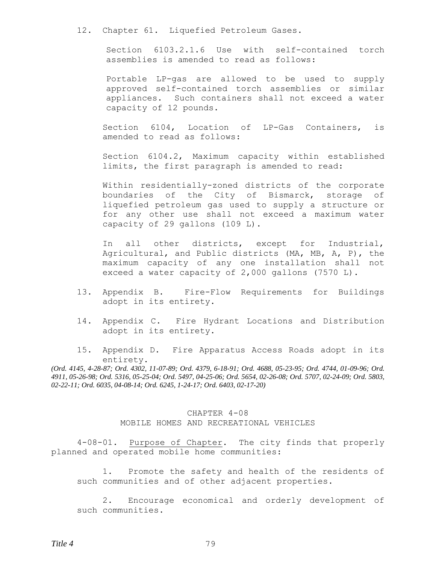12. Chapter 61. Liquefied Petroleum Gases.

Section 6103.2.1.6 Use with self-contained torch assemblies is amended to read as follows:

Portable LP-gas are allowed to be used to supply approved self-contained torch assemblies or similar appliances. Such containers shall not exceed a water capacity of 12 pounds.

Section 6104, Location of LP-Gas Containers, is amended to read as follows:

Section 6104.2, Maximum capacity within established limits, the first paragraph is amended to read:

Within residentially-zoned districts of the corporate boundaries of the City of Bismarck, storage of liquefied petroleum gas used to supply a structure or for any other use shall not exceed a maximum water capacity of 29 gallons (109 L).

In all other districts, except for Industrial, Agricultural, and Public districts (MA, MB, A, P), the maximum capacity of any one installation shall not exceed a water capacity of 2,000 gallons (7570 L).

- 13. Appendix B. Fire-Flow Requirements for Buildings adopt in its entirety.
- 14. Appendix C. Fire Hydrant Locations and Distribution adopt in its entirety.
- 15. Appendix D. Fire Apparatus Access Roads adopt in its entirety.

*(Ord. 4145, 4-28-87; Ord. 4302, 11-07-89; Ord. 4379, 6-18-91; Ord. 4688, 05-23-95; Ord. 4744, 01-09-96; Ord. 4911, 05-26-98; Ord. 5316, 05-25-04; Ord. 5497, 04-25-06; Ord. 5654, 02-26-08; Ord. 5707, 02-24-09; Ord. 5803, 02-22-11; Ord. 6035, 04-08-14; Ord. 6245, 1-24-17; Ord. 6403, 02-17-20)*

### CHAPTER 4-08 MOBILE HOMES AND RECREATIONAL VEHICLES

4-08-01. Purpose of Chapter. The city finds that properly planned and operated mobile home communities:

1. Promote the safety and health of the residents of such communities and of other adjacent properties.

2. Encourage economical and orderly development of such communities.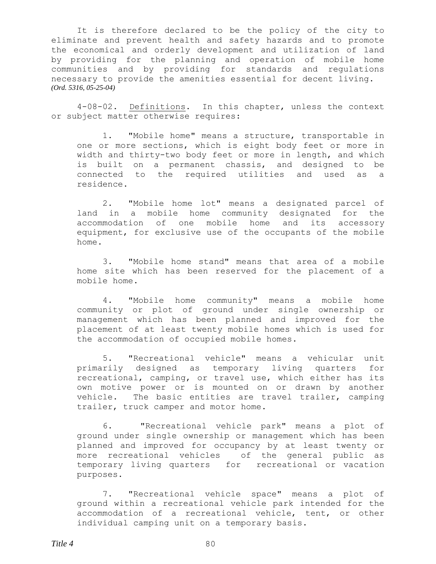It is therefore declared to be the policy of the city to eliminate and prevent health and safety hazards and to promote the economical and orderly development and utilization of land by providing for the planning and operation of mobile home communities and by providing for standards and regulations necessary to provide the amenities essential for decent living. *(Ord. 5316, 05-25-04)*

4-08-02. Definitions. In this chapter, unless the context or subject matter otherwise requires:

1. "Mobile home" means a structure, transportable in one or more sections, which is eight body feet or more in width and thirty-two body feet or more in length, and which is built on a permanent chassis, and designed to be connected to the required utilities and used as a residence.

2. "Mobile home lot" means a designated parcel of land in a mobile home community designated for the accommodation of one mobile home and its accessory equipment, for exclusive use of the occupants of the mobile home.

3. "Mobile home stand" means that area of a mobile home site which has been reserved for the placement of a mobile home.

4. "Mobile home community" means a mobile home community or plot of ground under single ownership or management which has been planned and improved for the placement of at least twenty mobile homes which is used for the accommodation of occupied mobile homes.

5. "Recreational vehicle" means a vehicular unit primarily designed as temporary living quarters for recreational, camping, or travel use, which either has its own motive power or is mounted on or drawn by another vehicle. The basic entities are travel trailer, camping trailer, truck camper and motor home.

6. "Recreational vehicle park" means a plot of ground under single ownership or management which has been planned and improved for occupancy by at least twenty or more recreational vehicles of the general public as temporary living quarters for recreational or vacation purposes.

7. "Recreational vehicle space" means a plot of ground within a recreational vehicle park intended for the accommodation of a recreational vehicle, tent, or other individual camping unit on a temporary basis.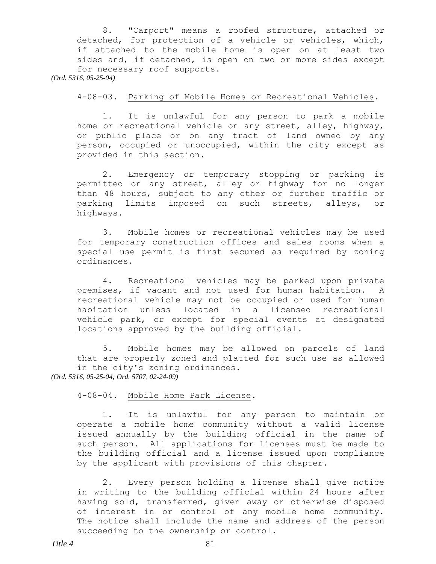8. "Carport" means a roofed structure, attached or detached, for protection of a vehicle or vehicles, which, if attached to the mobile home is open on at least two sides and, if detached, is open on two or more sides except for necessary roof supports. *(Ord. 5316, 05-25-04)*

4-08-03. Parking of Mobile Homes or Recreational Vehicles.

1. It is unlawful for any person to park a mobile home or recreational vehicle on any street, alley, highway, or public place or on any tract of land owned by any person, occupied or unoccupied, within the city except as provided in this section.

2. Emergency or temporary stopping or parking is permitted on any street, alley or highway for no longer than 48 hours, subject to any other or further traffic or parking limits imposed on such streets, alleys, or highways.

3. Mobile homes or recreational vehicles may be used for temporary construction offices and sales rooms when a special use permit is first secured as required by zoning ordinances.

4. Recreational vehicles may be parked upon private premises, if vacant and not used for human habitation. A recreational vehicle may not be occupied or used for human habitation unless located in a licensed recreational vehicle park, or except for special events at designated locations approved by the building official.

5. Mobile homes may be allowed on parcels of land that are properly zoned and platted for such use as allowed in the city's zoning ordinances. *(Ord. 5316, 05-25-04; Ord. 5707, 02-24-09)*

4-08-04. Mobile Home Park License.

1. It is unlawful for any person to maintain or operate a mobile home community without a valid license issued annually by the building official in the name of such person. All applications for licenses must be made to the building official and a license issued upon compliance by the applicant with provisions of this chapter.

2. Every person holding a license shall give notice in writing to the building official within 24 hours after having sold, transferred, given away or otherwise disposed of interest in or control of any mobile home community. The notice shall include the name and address of the person succeeding to the ownership or control.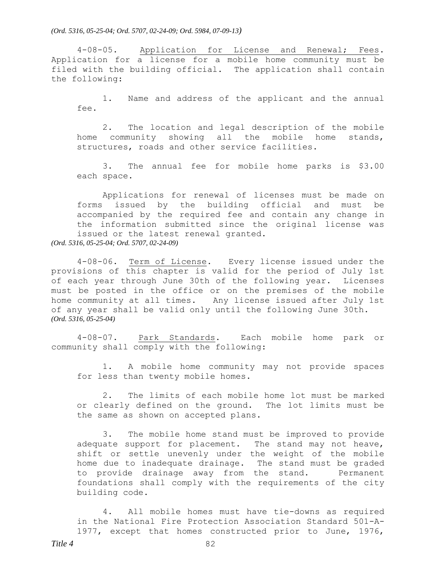*(Ord. 5316, 05-25-04; Ord. 5707, 02-24-09; Ord. 5984, 07-09-13)*

4-08-05. Application for License and Renewal; Fees. Application for a license for a mobile home community must be filed with the building official. The application shall contain the following:

1. Name and address of the applicant and the annual fee.

2. The location and legal description of the mobile home community showing all the mobile home stands, structures, roads and other service facilities.

3. The annual fee for mobile home parks is \$3.00 each space.

Applications for renewal of licenses must be made on forms issued by the building official and must be accompanied by the required fee and contain any change in the information submitted since the original license was issued or the latest renewal granted. *(Ord. 5316, 05-25-04; Ord. 5707, 02-24-09)*

4-08-06. Term of License. Every license issued under the provisions of this chapter is valid for the period of July 1st of each year through June 30th of the following year. Licenses must be posted in the office or on the premises of the mobile home community at all times. Any license issued after July 1st of any year shall be valid only until the following June 30th. *(Ord. 5316, 05-25-04)*

4-08-07. Park Standards. Each mobile home park or community shall comply with the following:

1. A mobile home community may not provide spaces for less than twenty mobile homes.

2. The limits of each mobile home lot must be marked or clearly defined on the ground. The lot limits must be the same as shown on accepted plans.

3. The mobile home stand must be improved to provide adequate support for placement. The stand may not heave, shift or settle unevenly under the weight of the mobile home due to inadequate drainage. The stand must be graded to provide drainage away from the stand. Permanent foundations shall comply with the requirements of the city building code.

4. All mobile homes must have tie-downs as required in the National Fire Protection Association Standard 501-A-1977, except that homes constructed prior to June, 1976,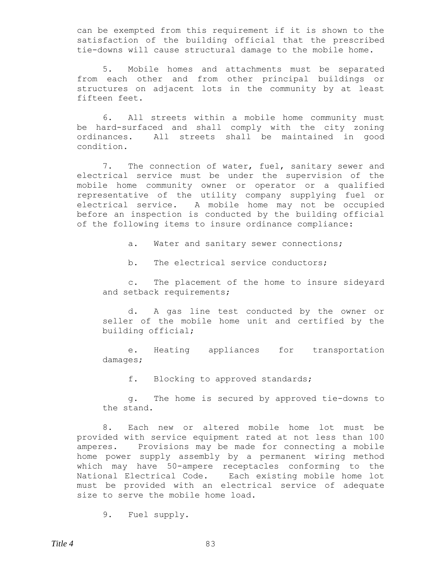can be exempted from this requirement if it is shown to the satisfaction of the building official that the prescribed tie-downs will cause structural damage to the mobile home.

5. Mobile homes and attachments must be separated from each other and from other principal buildings or structures on adjacent lots in the community by at least fifteen feet.

6. All streets within a mobile home community must be hard-surfaced and shall comply with the city zoning ordinances. All streets shall be maintained in good condition.

7. The connection of water, fuel, sanitary sewer and electrical service must be under the supervision of the mobile home community owner or operator or a qualified representative of the utility company supplying fuel or electrical service. A mobile home may not be occupied before an inspection is conducted by the building official of the following items to insure ordinance compliance:

a. Water and sanitary sewer connections;

b. The electrical service conductors;

c. The placement of the home to insure sideyard and setback requirements;

d. A gas line test conducted by the owner or seller of the mobile home unit and certified by the building official;

e. Heating appliances for transportation damages;

f. Blocking to approved standards;

g. The home is secured by approved tie-downs to the stand.

8. Each new or altered mobile home lot must be provided with service equipment rated at not less than 100 amperes. Provisions may be made for connecting a mobile home power supply assembly by a permanent wiring method which may have 50-ampere receptacles conforming to the National Electrical Code. Each existing mobile home lot must be provided with an electrical service of adequate size to serve the mobile home load.

9. Fuel supply.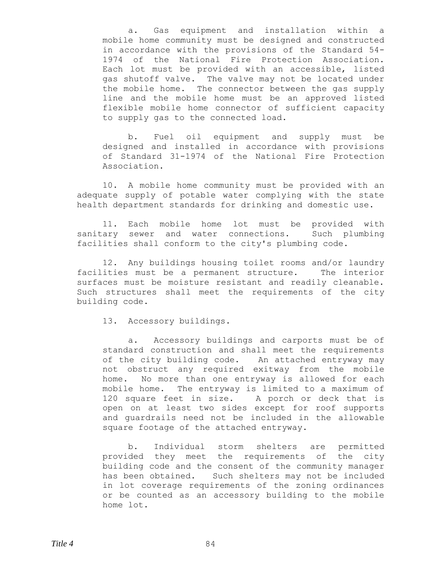a. Gas equipment and installation within a mobile home community must be designed and constructed in accordance with the provisions of the Standard 54- 1974 of the National Fire Protection Association. Each lot must be provided with an accessible, listed gas shutoff valve. The valve may not be located under the mobile home. The connector between the gas supply line and the mobile home must be an approved listed flexible mobile home connector of sufficient capacity to supply gas to the connected load.

b. Fuel oil equipment and supply must be designed and installed in accordance with provisions of Standard 31-1974 of the National Fire Protection Association.

10. A mobile home community must be provided with an adequate supply of potable water complying with the state health department standards for drinking and domestic use.

11. Each mobile home lot must be provided with sanitary sewer and water connections. Such plumbing facilities shall conform to the city's plumbing code.

12. Any buildings housing toilet rooms and/or laundry facilities must be a permanent structure. The interior surfaces must be moisture resistant and readily cleanable. Such structures shall meet the requirements of the city building code.

13. Accessory buildings.

a. Accessory buildings and carports must be of standard construction and shall meet the requirements of the city building code. An attached entryway may not obstruct any required exitway from the mobile home. No more than one entryway is allowed for each mobile home. The entryway is limited to a maximum of 120 square feet in size. A porch or deck that is open on at least two sides except for roof supports and guardrails need not be included in the allowable square footage of the attached entryway.

b. Individual storm shelters are permitted provided they meet the requirements of the city building code and the consent of the community manager has been obtained. Such shelters may not be included in lot coverage requirements of the zoning ordinances or be counted as an accessory building to the mobile home lot.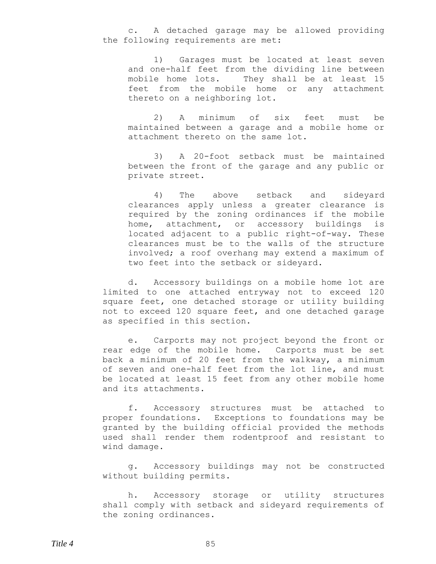c. A detached garage may be allowed providing the following requirements are met:

1) Garages must be located at least seven and one-half feet from the dividing line between mobile home lots. They shall be at least 15 feet from the mobile home or any attachment thereto on a neighboring lot.

2) A minimum of six feet must be maintained between a garage and a mobile home or attachment thereto on the same lot.

3) A 20-foot setback must be maintained between the front of the garage and any public or private street.

4) The above setback and sideyard clearances apply unless a greater clearance is required by the zoning ordinances if the mobile home, attachment, or accessory buildings is located adjacent to a public right-of-way. These clearances must be to the walls of the structure involved; a roof overhang may extend a maximum of two feet into the setback or sideyard.

d. Accessory buildings on a mobile home lot are limited to one attached entryway not to exceed 120 square feet, one detached storage or utility building not to exceed 120 square feet, and one detached garage as specified in this section.

e. Carports may not project beyond the front or rear edge of the mobile home. Carports must be set back a minimum of 20 feet from the walkway, a minimum of seven and one-half feet from the lot line, and must be located at least 15 feet from any other mobile home and its attachments.

f. Accessory structures must be attached to proper foundations. Exceptions to foundations may be granted by the building official provided the methods used shall render them rodentproof and resistant to wind damage.

g. Accessory buildings may not be constructed without building permits.

h. Accessory storage or utility structures shall comply with setback and sideyard requirements of the zoning ordinances.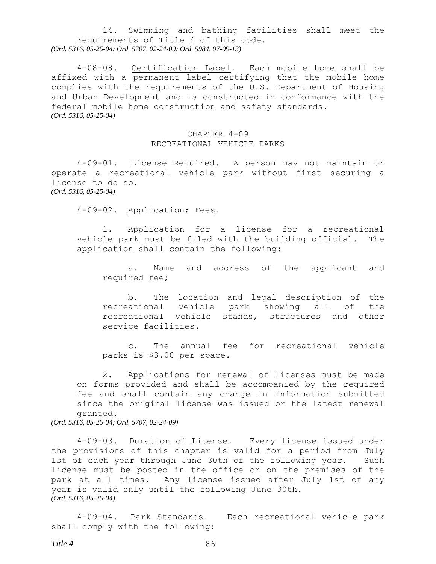14. Swimming and bathing facilities shall meet the requirements of Title 4 of this code. *(Ord. 5316, 05-25-04; Ord. 5707, 02-24-09; Ord. 5984, 07-09-13)*

4-08-08. Certification Label. Each mobile home shall be affixed with a permanent label certifying that the mobile home complies with the requirements of the U.S. Department of Housing and Urban Development and is constructed in conformance with the federal mobile home construction and safety standards. *(Ord. 5316, 05-25-04)*

#### CHAPTER 4-09 RECREATIONAL VEHICLE PARKS

4-09-01. License Required. A person may not maintain or operate a recreational vehicle park without first securing a license to do so. *(Ord. 5316, 05-25-04)*

4-09-02. Application; Fees.

1. Application for a license for a recreational vehicle park must be filed with the building official. The application shall contain the following:

a. Name and address of the applicant and required fee;

b. The location and legal description of the recreational vehicle park showing all of the recreational vehicle stands, structures and other service facilities.

c. The annual fee for recreational vehicle parks is \$3.00 per space.

2. Applications for renewal of licenses must be made on forms provided and shall be accompanied by the required fee and shall contain any change in information submitted since the original license was issued or the latest renewal granted.

*(Ord. 5316, 05-25-04; Ord. 5707, 02-24-09)*

4-09-03. Duration of License. Every license issued under the provisions of this chapter is valid for a period from July 1st of each year through June 30th of the following year. Such license must be posted in the office or on the premises of the park at all times. Any license issued after July 1st of any year is valid only until the following June 30th. *(Ord. 5316, 05-25-04)*

4-09-04. Park Standards. Each recreational vehicle park shall comply with the following: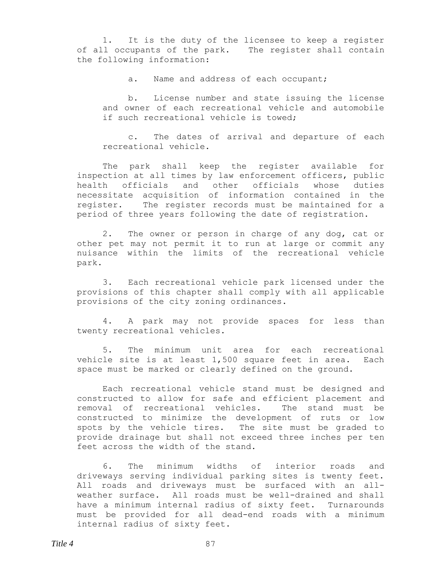1. It is the duty of the licensee to keep a register of all occupants of the park. The register shall contain the following information:

a. Name and address of each occupant;

b. License number and state issuing the license and owner of each recreational vehicle and automobile if such recreational vehicle is towed;

c. The dates of arrival and departure of each recreational vehicle.

The park shall keep the register available for inspection at all times by law enforcement officers, public health officials and other officials whose duties necessitate acquisition of information contained in the register. The register records must be maintained for a period of three years following the date of registration.

2. The owner or person in charge of any dog, cat or other pet may not permit it to run at large or commit any nuisance within the limits of the recreational vehicle park.

3. Each recreational vehicle park licensed under the provisions of this chapter shall comply with all applicable provisions of the city zoning ordinances.

4. A park may not provide spaces for less than twenty recreational vehicles.

5. The minimum unit area for each recreational vehicle site is at least 1,500 square feet in area. Each space must be marked or clearly defined on the ground.

Each recreational vehicle stand must be designed and constructed to allow for safe and efficient placement and removal of recreational vehicles. The stand must be constructed to minimize the development of ruts or low spots by the vehicle tires. The site must be graded to provide drainage but shall not exceed three inches per ten feet across the width of the stand.

6. The minimum widths of interior roads and driveways serving individual parking sites is twenty feet. All roads and driveways must be surfaced with an allweather surface. All roads must be well-drained and shall have a minimum internal radius of sixty feet. Turnarounds must be provided for all dead-end roads with a minimum internal radius of sixty feet.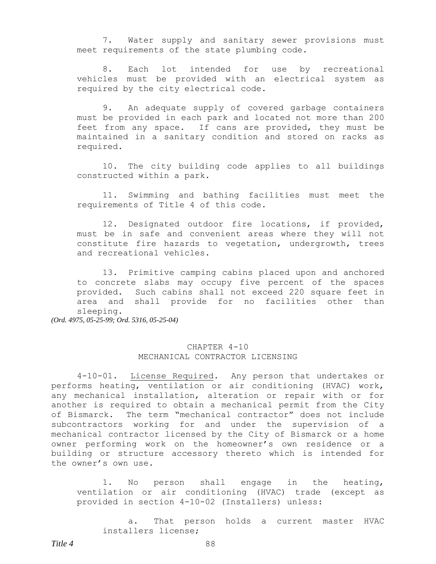7. Water supply and sanitary sewer provisions must meet requirements of the state plumbing code.

8. Each lot intended for use by recreational vehicles must be provided with an electrical system as required by the city electrical code.

9. An adequate supply of covered garbage containers must be provided in each park and located not more than 200 feet from any space. If cans are provided, they must be maintained in a sanitary condition and stored on racks as required.

10. The city building code applies to all buildings constructed within a park.

11. Swimming and bathing facilities must meet the requirements of Title 4 of this code.

12. Designated outdoor fire locations, if provided, must be in safe and convenient areas where they will not constitute fire hazards to vegetation, undergrowth, trees and recreational vehicles.

13. Primitive camping cabins placed upon and anchored to concrete slabs may occupy five percent of the spaces provided. Such cabins shall not exceed 220 square feet in area and shall provide for no facilities other than sleeping.

*(Ord. 4975, 05-25-99; Ord. 5316, 05-25-04)*

# CHAPTER 4-10 MECHANICAL CONTRACTOR LICENSING

4-10-01. License Required*.* Any person that undertakes or performs heating, ventilation or air conditioning (HVAC) work, any mechanical installation, alteration or repair with or for another is required to obtain a mechanical permit from the City of Bismarck. The term "mechanical contractor" does not include subcontractors working for and under the supervision of a mechanical contractor licensed by the City of Bismarck or a home owner performing work on the homeowner's own residence or a building or structure accessory thereto which is intended for the owner's own use.

1. No person shall engage in the heating, ventilation or air conditioning (HVAC) trade (except as provided in section 4-10-02 (Installers) unless:

a. That person holds a current master HVAC installers license;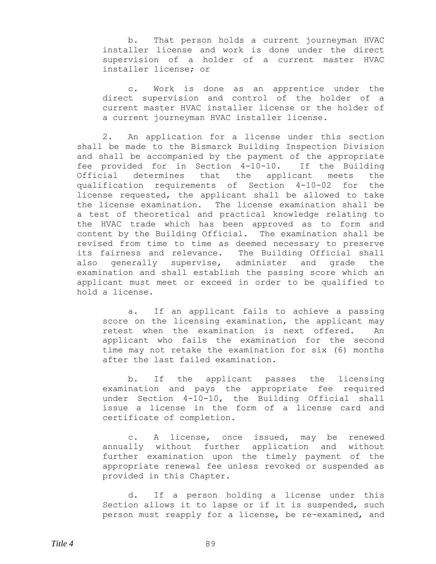b. That person holds a current journeyman HVAC installer license and work is done under the direct supervision of a holder of a current master HVAC installer license; or

c. Work is done as an apprentice under the direct supervision and control of the holder of a current master HVAC installer license or the holder of a current journeyman HVAC installer license.

2. An application for a license under this section shall be made to the Bismarck Building Inspection Division and shall be accompanied by the payment of the appropriate fee provided for in Section 4-10-10. If the Building Official determines that the applicant meets the qualification requirements of Section 4-10-02 for the license requested, the applicant shall be allowed to take the license examination. The license examination shall be a test of theoretical and practical knowledge relating to the HVAC trade which has been approved as to form and content by the Building Official. The examination shall be revised from time to time as deemed necessary to preserve its fairness and relevance. The Building Official shall also generally supervise, administer and grade the examination and shall establish the passing score which an applicant must meet or exceed in order to be qualified to hold a license.

a. If an applicant fails to achieve a passing score on the licensing examination, the applicant may retest when the examination is next offered. An applicant who fails the examination for the second time may not retake the examination for six (6) months after the last failed examination.

b. If the applicant passes the licensing examination and pays the appropriate fee required under Section 4-10-10, the Building Official shall issue a license in the form of a license card and certificate of completion.

c. A license, once issued, may be renewed annually without further application and without further examination upon the timely payment of the appropriate renewal fee unless revoked or suspended as provided in this Chapter.

d. If a person holding a license under this Section allows it to lapse or if it is suspended, such person must reapply for a license, be re-examined, and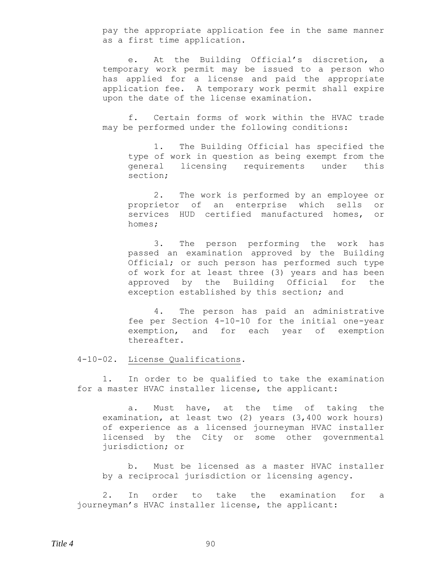pay the appropriate application fee in the same manner as a first time application.

e. At the Building Official's discretion, a temporary work permit may be issued to a person who has applied for a license and paid the appropriate application fee. A temporary work permit shall expire upon the date of the license examination.

f. Certain forms of work within the HVAC trade may be performed under the following conditions:

1. The Building Official has specified the type of work in question as being exempt from the general licensing requirements under this section;

2. The work is performed by an employee or proprietor of an enterprise which sells or services HUD certified manufactured homes, or homes;

3. The person performing the work has passed an examination approved by the Building Official; or such person has performed such type of work for at least three (3) years and has been approved by the Building Official for the exception established by this section; and

4. The person has paid an administrative fee per Section 4-10-10 for the initial one-year exemption, and for each year of exemption thereafter.

4-10-02. License Qualifications**.**

1. In order to be qualified to take the examination for a master HVAC installer license, the applicant:

a. Must have, at the time of taking the examination, at least two (2) years (3,400 work hours) of experience as a licensed journeyman HVAC installer licensed by the City or some other governmental jurisdiction; or

b. Must be licensed as a master HVAC installer by a reciprocal jurisdiction or licensing agency.

2. In order to take the examination for a journeyman's HVAC installer license, the applicant: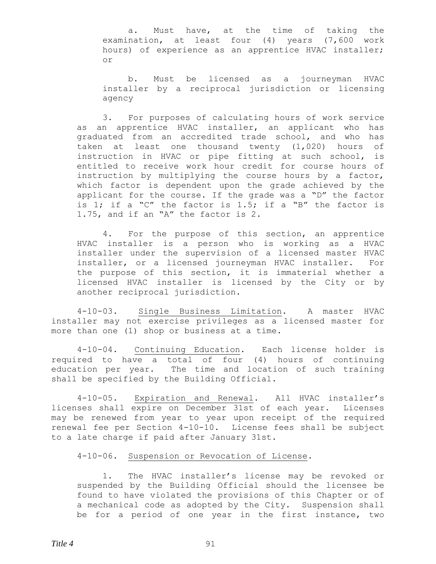a. Must have, at the time of taking the examination, at least four (4) years (7,600 work hours) of experience as an apprentice HVAC installer; or

b. Must be licensed as a journeyman HVAC installer by a reciprocal jurisdiction or licensing agency

3. For purposes of calculating hours of work service as an apprentice HVAC installer, an applicant who has graduated from an accredited trade school, and who has taken at least one thousand twenty (1,020) hours of instruction in HVAC or pipe fitting at such school, is entitled to receive work hour credit for course hours of instruction by multiplying the course hours by a factor, which factor is dependent upon the grade achieved by the applicant for the course. If the grade was a "D" the factor is 1; if a "C" the factor is 1.5; if a "B" the factor is 1.75, and if an "A" the factor is 2.

4. For the purpose of this section, an apprentice HVAC installer is a person who is working as a HVAC installer under the supervision of a licensed master HVAC installer, or a licensed journeyman HVAC installer. For the purpose of this section, it is immaterial whether a licensed HVAC installer is licensed by the City or by another reciprocal jurisdiction.

4-10-03. Single Business Limitation. A master HVAC installer may not exercise privileges as a licensed master for more than one (1) shop or business at a time.

4-10-04. Continuing Education**.** Each license holder is required to have a total of four (4) hours of continuing education per year. The time and location of such training shall be specified by the Building Official.

4-10-05. Expiration and Renewal**.** All HVAC installer's licenses shall expire on December 31st of each year. Licenses may be renewed from year to year upon receipt of the required renewal fee per Section 4-10-10. License fees shall be subject to a late charge if paid after January 31st.

## 4-10-06. Suspension or Revocation of License**.**

1. The HVAC installer's license may be revoked or suspended by the Building Official should the licensee be found to have violated the provisions of this Chapter or of a mechanical code as adopted by the City. Suspension shall be for a period of one year in the first instance, two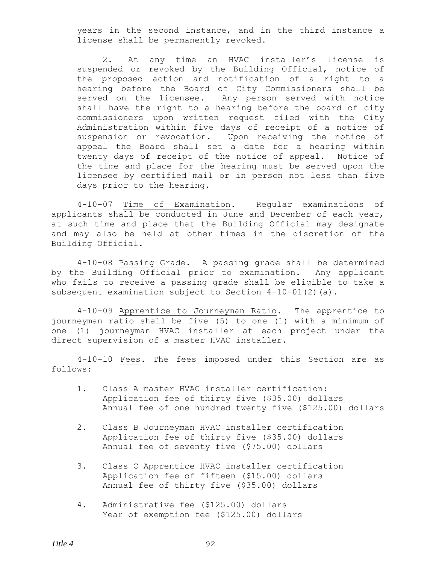years in the second instance, and in the third instance a license shall be permanently revoked.

2. At any time an HVAC installer's license is suspended or revoked by the Building Official, notice of the proposed action and notification of a right to a hearing before the Board of City Commissioners shall be served on the licensee. Any person served with notice shall have the right to a hearing before the board of city commissioners upon written request filed with the City Administration within five days of receipt of a notice of suspension or revocation. Upon receiving the notice of appeal the Board shall set a date for a hearing within twenty days of receipt of the notice of appeal. Notice of the time and place for the hearing must be served upon the licensee by certified mail or in person not less than five days prior to the hearing.

4-10-07 Time of Examination**.** Regular examinations of applicants shall be conducted in June and December of each year, at such time and place that the Building Official may designate and may also be held at other times in the discretion of the Building Official.

4-10-08 Passing Grade**.** A passing grade shall be determined by the Building Official prior to examination. Any applicant who fails to receive a passing grade shall be eligible to take a subsequent examination subject to Section 4-10-01(2)(a).

4-10-09 Apprentice to Journeyman Ratio**.** The apprentice to journeyman ratio shall be five (5) to one (1) with a minimum of one (1) journeyman HVAC installer at each project under the direct supervision of a master HVAC installer.

4-10-10 Fees**.** The fees imposed under this Section are as follows:

- 1. Class A master HVAC installer certification: Application fee of thirty five (\$35.00) dollars Annual fee of one hundred twenty five (\$125.00) dollars
- 2. Class B Journeyman HVAC installer certification Application fee of thirty five (\$35.00) dollars Annual fee of seventy five (\$75.00) dollars
- 3. Class C Apprentice HVAC installer certification Application fee of fifteen (\$15.00) dollars Annual fee of thirty five (\$35.00) dollars
- 4. Administrative fee (\$125.00) dollars Year of exemption fee (\$125.00) dollars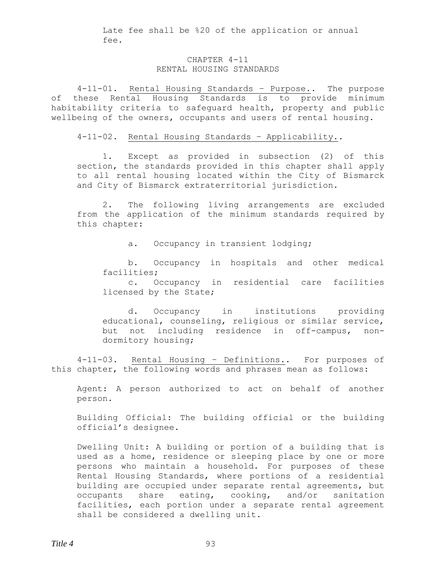Late fee shall be %20 of the application or annual fee.

#### CHAPTER 4-11 RENTAL HOUSING STANDARDS

4-11-01. Rental Housing Standards – Purpose.. The purpose of these Rental Housing Standards is to provide minimum habitability criteria to safeguard health, property and public wellbeing of the owners, occupants and users of rental housing.

4-11-02. Rental Housing Standards – Applicability..

1. Except as provided in subsection (2) of this section, the standards provided in this chapter shall apply to all rental housing located within the City of Bismarck and City of Bismarck extraterritorial jurisdiction.

2. The following living arrangements are excluded from the application of the minimum standards required by this chapter:

a. Occupancy in transient lodging;

b. Occupancy in hospitals and other medical facilities;

c. Occupancy in residential care facilities licensed by the State;

d. Occupancy in institutions providing educational, counseling, religious or similar service, but not including residence in off-campus, nondormitory housing;

4-11-03. Rental Housing – Definitions.. For purposes of this chapter, the following words and phrases mean as follows:

Agent: A person authorized to act on behalf of another person.

Building Official: The building official or the building official's designee.

Dwelling Unit: A building or portion of a building that is used as a home, residence or sleeping place by one or more persons who maintain a household. For purposes of these Rental Housing Standards, where portions of a residential building are occupied under separate rental agreements, but occupants share eating, cooking, and/or sanitation facilities, each portion under a separate rental agreement shall be considered a dwelling unit.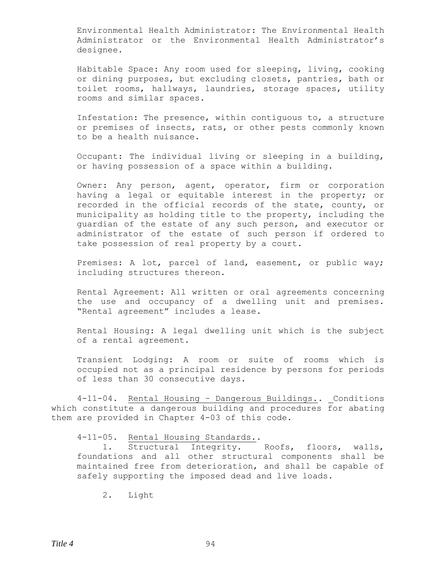Environmental Health Administrator: The Environmental Health Administrator or the Environmental Health Administrator's designee.

Habitable Space: Any room used for sleeping, living, cooking or dining purposes, but excluding closets, pantries, bath or toilet rooms, hallways, laundries, storage spaces, utility rooms and similar spaces.

Infestation: The presence, within contiguous to, a structure or premises of insects, rats, or other pests commonly known to be a health nuisance.

Occupant: The individual living or sleeping in a building, or having possession of a space within a building.

Owner: Any person, agent, operator, firm or corporation having a legal or equitable interest in the property; or recorded in the official records of the state, county, or municipality as holding title to the property, including the guardian of the estate of any such person, and executor or administrator of the estate of such person if ordered to take possession of real property by a court.

Premises: A lot, parcel of land, easement, or public way; including structures thereon.

Rental Agreement: All written or oral agreements concerning the use and occupancy of a dwelling unit and premises. "Rental agreement" includes a lease.

Rental Housing: A legal dwelling unit which is the subject of a rental agreement.

Transient Lodging: A room or suite of rooms which is occupied not as a principal residence by persons for periods of less than 30 consecutive days.

4-11-04. Rental Housing – Dangerous Buildings.. Conditions which constitute a dangerous building and procedures for abating them are provided in Chapter 4-03 of this code.

## 4-11-05. Rental Housing Standards..

1. Structural Integrity. Roofs, floors, walls, foundations and all other structural components shall be maintained free from deterioration, and shall be capable of safely supporting the imposed dead and live loads.

2. Light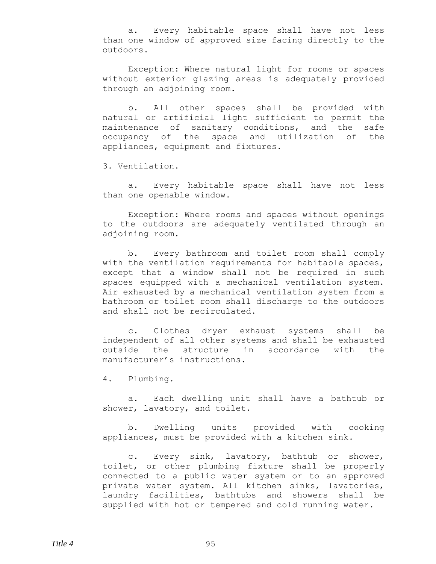a. Every habitable space shall have not less than one window of approved size facing directly to the outdoors.

Exception: Where natural light for rooms or spaces without exterior glazing areas is adequately provided through an adjoining room.

b. All other spaces shall be provided with natural or artificial light sufficient to permit the maintenance of sanitary conditions, and the safe occupancy of the space and utilization of the appliances, equipment and fixtures.

3. Ventilation.

a. Every habitable space shall have not less than one openable window.

Exception: Where rooms and spaces without openings to the outdoors are adequately ventilated through an adjoining room.

b. Every bathroom and toilet room shall comply with the ventilation requirements for habitable spaces, except that a window shall not be required in such spaces equipped with a mechanical ventilation system. Air exhausted by a mechanical ventilation system from a bathroom or toilet room shall discharge to the outdoors and shall not be recirculated.

c. Clothes dryer exhaust systems shall be independent of all other systems and shall be exhausted outside the structure in accordance with the manufacturer's instructions.

4. Plumbing.

a. Each dwelling unit shall have a bathtub or shower, lavatory, and toilet.

b. Dwelling units provided with cooking appliances, must be provided with a kitchen sink.

c. Every sink, lavatory, bathtub or shower, toilet, or other plumbing fixture shall be properly connected to a public water system or to an approved private water system. All kitchen sinks, lavatories, laundry facilities, bathtubs and showers shall be supplied with hot or tempered and cold running water.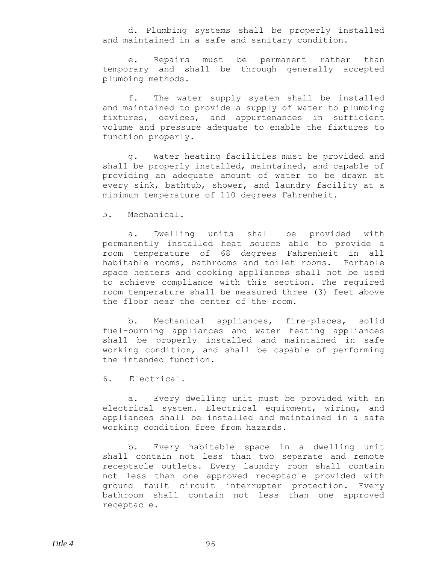d. Plumbing systems shall be properly installed and maintained in a safe and sanitary condition.

e. Repairs must be permanent rather than temporary and shall be through generally accepted plumbing methods.

f. The water supply system shall be installed and maintained to provide a supply of water to plumbing fixtures, devices, and appurtenances in sufficient volume and pressure adequate to enable the fixtures to function properly.

g. Water heating facilities must be provided and shall be properly installed, maintained, and capable of providing an adequate amount of water to be drawn at every sink, bathtub, shower, and laundry facility at a minimum temperature of 110 degrees Fahrenheit.

5. Mechanical.

a. Dwelling units shall be provided with permanently installed heat source able to provide a room temperature of 68 degrees Fahrenheit in all habitable rooms, bathrooms and toilet rooms. Portable space heaters and cooking appliances shall not be used to achieve compliance with this section. The required room temperature shall be measured three (3) feet above the floor near the center of the room.

b. Mechanical appliances, fire-places, solid fuel-burning appliances and water heating appliances shall be properly installed and maintained in safe working condition, and shall be capable of performing the intended function.

6. Electrical.

a. Every dwelling unit must be provided with an electrical system. Electrical equipment, wiring, and appliances shall be installed and maintained in a safe working condition free from hazards.

b. Every habitable space in a dwelling unit shall contain not less than two separate and remote receptacle outlets. Every laundry room shall contain not less than one approved receptacle provided with ground fault circuit interrupter protection. Every bathroom shall contain not less than one approved receptacle.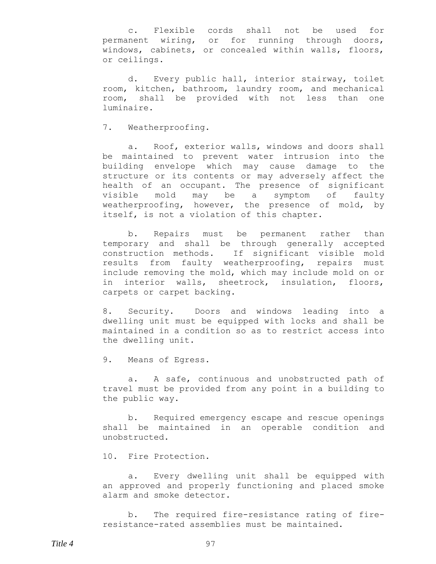c. Flexible cords shall not be used for permanent wiring, or for running through doors, windows, cabinets, or concealed within walls, floors, or ceilings.

d. Every public hall, interior stairway, toilet room, kitchen, bathroom, laundry room, and mechanical room, shall be provided with not less than one luminaire.

7. Weatherproofing.

a. Roof, exterior walls, windows and doors shall be maintained to prevent water intrusion into the building envelope which may cause damage to the structure or its contents or may adversely affect the health of an occupant. The presence of significant visible mold may be a symptom of faulty weatherproofing, however, the presence of mold, by itself, is not a violation of this chapter.

b. Repairs must be permanent rather than temporary and shall be through generally accepted construction methods. If significant visible mold results from faulty weatherproofing, repairs must include removing the mold, which may include mold on or in interior walls, sheetrock, insulation, floors, carpets or carpet backing.

8. Security. Doors and windows leading into a dwelling unit must be equipped with locks and shall be maintained in a condition so as to restrict access into the dwelling unit.

9. Means of Egress.

a. A safe, continuous and unobstructed path of travel must be provided from any point in a building to the public way.

b. Required emergency escape and rescue openings shall be maintained in an operable condition and unobstructed.

10. Fire Protection.

a. Every dwelling unit shall be equipped with an approved and properly functioning and placed smoke alarm and smoke detector.

b. The required fire-resistance rating of fireresistance-rated assemblies must be maintained.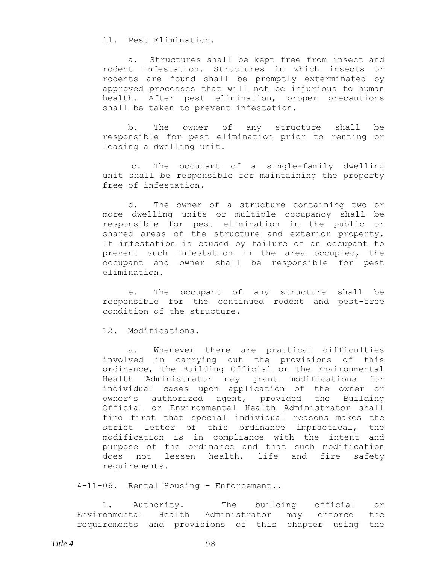11. Pest Elimination.

a. Structures shall be kept free from insect and rodent infestation. Structures in which insects or rodents are found shall be promptly exterminated by approved processes that will not be injurious to human health. After pest elimination, proper precautions shall be taken to prevent infestation.

b. The owner of any structure shall be responsible for pest elimination prior to renting or leasing a dwelling unit.

c. The occupant of a single-family dwelling unit shall be responsible for maintaining the property free of infestation.

d. The owner of a structure containing two or more dwelling units or multiple occupancy shall be responsible for pest elimination in the public or shared areas of the structure and exterior property. If infestation is caused by failure of an occupant to prevent such infestation in the area occupied, the occupant and owner shall be responsible for pest elimination.

e. The occupant of any structure shall be responsible for the continued rodent and pest-free condition of the structure.

12. Modifications.

a. Whenever there are practical difficulties involved in carrying out the provisions of this ordinance, the Building Official or the Environmental Health Administrator may grant modifications for individual cases upon application of the owner or owner's authorized agent, provided the Building Official or Environmental Health Administrator shall find first that special individual reasons makes the strict letter of this ordinance impractical, the modification is in compliance with the intent and purpose of the ordinance and that such modification does not lessen health, life and fire safety requirements.

4-11-06. Rental Housing – Enforcement..

1. Authority. The building official or Environmental Health Administrator may enforce the requirements and provisions of this chapter using the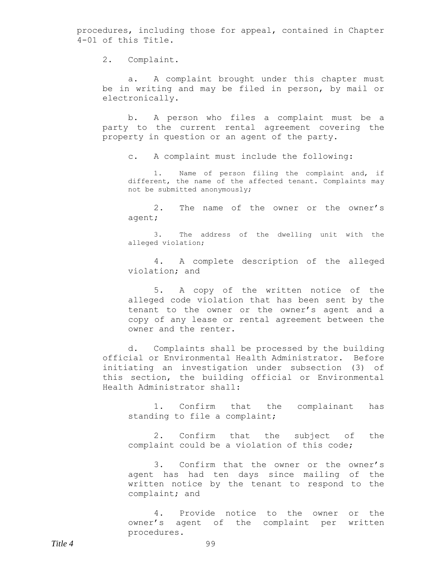procedures, including those for appeal, contained in Chapter 4-01 of this Title.

2. Complaint.

a. A complaint brought under this chapter must be in writing and may be filed in person, by mail or electronically.

b. A person who files a complaint must be a party to the current rental agreement covering the property in question or an agent of the party.

c. A complaint must include the following:

1. Name of person filing the complaint and, if different, the name of the affected tenant. Complaints may not be submitted anonymously;

2. The name of the owner or the owner's agent;

3. The address of the dwelling unit with the alleged violation;

4. A complete description of the alleged violation; and

5. A copy of the written notice of the alleged code violation that has been sent by the tenant to the owner or the owner's agent and a copy of any lease or rental agreement between the owner and the renter.

d. Complaints shall be processed by the building official or Environmental Health Administrator. Before initiating an investigation under subsection (3) of this section, the building official or Environmental Health Administrator shall:

1. Confirm that the complainant has standing to file a complaint;

2. Confirm that the subject of the complaint could be a violation of this code;

3. Confirm that the owner or the owner's agent has had ten days since mailing of the written notice by the tenant to respond to the complaint; and

4. Provide notice to the owner or the owner's agent of the complaint per written procedures.